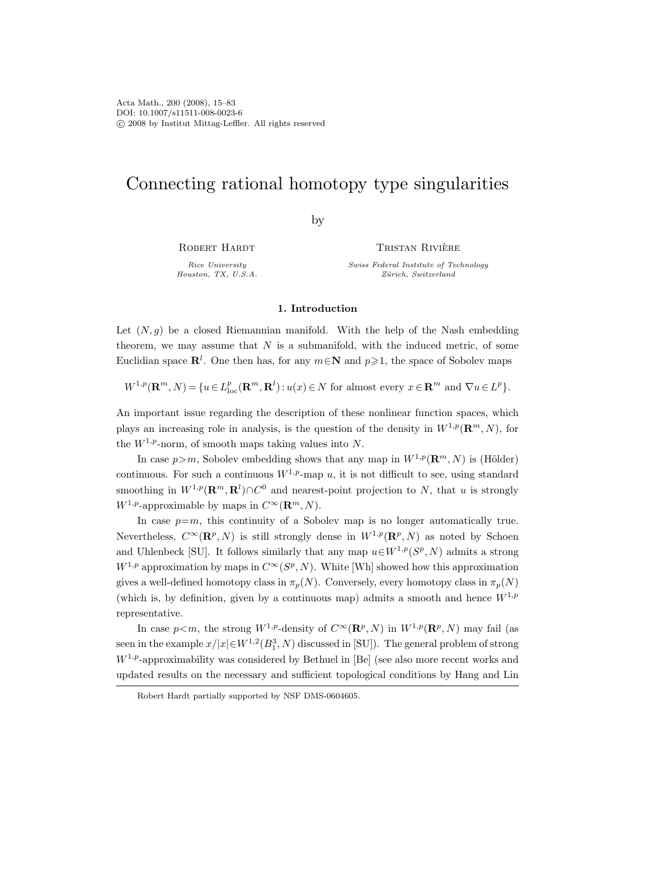# Connecting rational homotopy type singularities

by

ROBERT HARDT

Rice University Houston, TX, U.S.A.

Tristan Riviere ` Swiss Federal Institute of Technology Zürich, Switzerland

### 1. Introduction

Let  $(N, g)$  be a closed Riemannian manifold. With the help of the Nash embedding theorem, we may assume that  $N$  is a submanifold, with the induced metric, of some Euclidian space  $\mathbb{R}^l$ . One then has, for any  $m \in \mathbb{N}$  and  $p \geq 1$ , the space of Sobolev maps

 $W^{1,p}(\mathbf{R}^m, N) = \{u \in L_{\text{loc}}^p(\mathbf{R}^m, \mathbf{R}^l) : u(x) \in N \text{ for almost every } x \in \mathbf{R}^m \text{ and } \nabla u \in L^p \}.$ 

An important issue regarding the description of these nonlinear function spaces, which plays an increasing role in analysis, is the question of the density in  $W^{1,p}(\mathbf{R}^m, N)$ , for the  $W^{1,p}$ -norm, of smooth maps taking values into N.

In case  $p>m$ , Sobolev embedding shows that any map in  $W^{1,p}(\mathbf{R}^m, N)$  is (Hölder) continuous. For such a continuous  $W^{1,p}$ -map u, it is not difficult to see, using standard smoothing in  $W^{1,p}(\mathbf{R}^m,\mathbf{R}^l)\cap C^0$  and nearest-point projection to N, that u is strongly  $W^{1,p}$ -approximable by maps in  $C^{\infty}(\mathbf{R}^m, N)$ .

In case  $p=m$ , this continuity of a Sobolev map is no longer automatically true. Nevertheless,  $C^{\infty}(\mathbf{R}^p, N)$  is still strongly dense in  $W^{1,p}(\mathbf{R}^p, N)$  as noted by Schoen and Uhlenbeck [SU]. It follows similarly that any map  $u \in W^{1,p}(S^p, N)$  admits a strong  $W^{1,p}$  approximation by maps in  $C^{\infty}(S^p, N)$ . White [Wh] showed how this approximation gives a well-defined homotopy class in  $\pi_p(N)$ . Conversely, every homotopy class in  $\pi_p(N)$ (which is, by definition, given by a continuous map) admits a smooth and hence  $W^{1,p}$ representative.

In case  $p < m$ , the strong  $W^{1,p}$ -density of  $C^{\infty}(\mathbf{R}^p, N)$  in  $W^{1,p}(\mathbf{R}^p, N)$  may fail (as seen in the example  $x/|x| \in W^{1,2}(B_1^3, N)$  discussed in [SU]). The general problem of strong  $W^{1,p}$ -approximability was considered by Bethuel in [Be] (see also more recent works and updated results on the necessary and sufficient topological conditions by Hang and Lin

Robert Hardt partially supported by NSF DMS-0604605.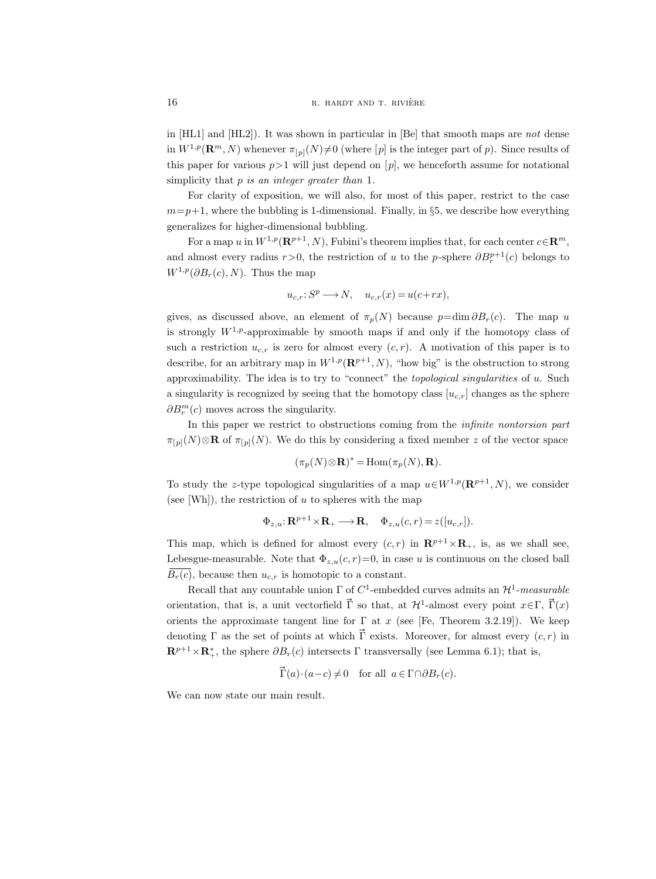in [HL1] and [HL2]). It was shown in particular in [Be] that smooth maps are not dense in  $W^{1,p}(\mathbf{R}^m, N)$  whenever  $\pi_{[p]}(N)\neq 0$  (where [p] is the integer part of p). Since results of this paper for various  $p>1$  will just depend on  $[p]$ , we henceforth assume for notational simplicity that  $p$  is an integer greater than  $1$ .

For clarity of exposition, we will also, for most of this paper, restrict to the case  $m=p+1$ , where the bubbling is 1-dimensional. Finally, in §5, we describe how everything generalizes for higher-dimensional bubbling.

For a map u in  $W^{1,p}(\mathbf{R}^{p+1}, N)$ , Fubini's theorem implies that, for each center  $c \in \mathbf{R}^m$ , and almost every radius  $r > 0$ , the restriction of u to the p-sphere  $\partial B_r^{p+1}(c)$  belongs to  $W^{1,p}(\partial B_r(c), N)$ . Thus the map

$$
u_{c,r}: S^p \longrightarrow N, \quad u_{c,r}(x) = u(c+rx),
$$

gives, as discussed above, an element of  $\pi_p(N)$  because  $p=\dim \partial B_r(c)$ . The map u is strongly  $W^{1,p}$ -approximable by smooth maps if and only if the homotopy class of such a restriction  $u_{c,r}$  is zero for almost every  $(c, r)$ . A motivation of this paper is to describe, for an arbitrary map in  $W^{1,p}(\mathbf{R}^{p+1}, N)$ , "how big" is the obstruction to strong approximability. The idea is to try to "connect" the topological singularities of u. Such a singularity is recognized by seeing that the homotopy class  $[u_{c,r}]$  changes as the sphere  $\partial B_r^m(c)$  moves across the singularity.

In this paper we restrict to obstructions coming from the *infinite nontorsion part*  $\pi_{[p]}(N)\otimes \mathbf{R}$  of  $\pi_{[p]}(N)$ . We do this by considering a fixed member z of the vector space

$$
(\pi_p(N)\otimes \mathbf{R})^* = \text{Hom}(\pi_p(N), \mathbf{R}).
$$

To study the z-type topological singularities of a map  $u \in W^{1,p}(\mathbf{R}^{p+1}, N)$ , we consider (see [Wh]), the restriction of  $u$  to spheres with the map

$$
\Phi_{z,u}: \mathbf{R}^{p+1} \times \mathbf{R}_+ \longrightarrow \mathbf{R}, \quad \Phi_{z,u}(c,r) = z([u_{c,r}]).
$$

This map, which is defined for almost every  $(c, r)$  in  $\mathbb{R}^{p+1} \times \mathbb{R}_+$ , is, as we shall see, Lebesgue-measurable. Note that  $\Phi_{z,u}(c, r) = 0$ , in case u is continuous on the closed ball  $\overline{B_r(c)}$ , because then  $u_{c,r}$  is homotopic to a constant.

Recall that any countable union  $\Gamma$  of  $C^1$ -embedded curves admits an  $\mathcal{H}^1$ -measurable orientation, that is, a unit vectorfield  $\vec{\Gamma}$  so that, at  $\mathcal{H}^1$ -almost every point  $x \in \Gamma$ ,  $\vec{\Gamma}(x)$ orients the approximate tangent line for  $\Gamma$  at x (see [Fe, Theorem 3.2.19]). We keep denoting Γ as the set of points at which  $\vec{\Gamma}$  exists. Moreover, for almost every  $(c, r)$  in  $\mathbf{R}^{p+1}\times\mathbf{R}^*_+$ , the sphere  $\partial B_r(c)$  intersects  $\Gamma$  transversally (see Lemma 6.1); that is,

$$
\vec{\Gamma}(a) \cdot (a-c) \neq 0 \quad \text{for all} \ \ a \in \Gamma \cap \partial B_r(c).
$$

We can now state our main result.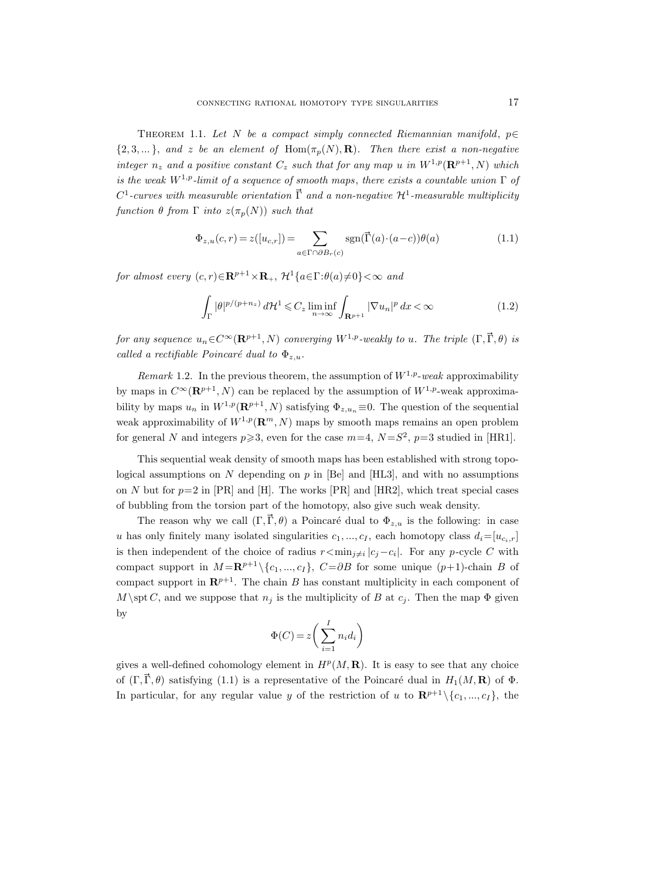THEOREM 1.1. Let N be a compact simply connected Riemannian manifold,  $p \in$  $\{2, 3, \ldots\}$ , and z be an element of Hom $(\pi_p(N), \mathbf{R})$ . Then there exist a non-negative integer  $n_z$  and a positive constant  $C_z$  such that for any map u in  $W^{1,p}(\mathbf{R}^{p+1}, N)$  which is the weak  $W^{1,p}$ -limit of a sequence of smooth maps, there exists a countable union  $\Gamma$  of  $C^1$ -curves with measurable orientation  $\vec{\Gamma}$  and a non-negative  $\mathcal{H}^1$ -measurable multiplicity function  $\theta$  from  $\Gamma$  into  $z(\pi_p(N))$  such that

$$
\Phi_{z,u}(c,r) = z([u_{c,r}]) = \sum_{a \in \Gamma \cap \partial B_r(c)} \text{sgn}(\vec{\Gamma}(a) \cdot (a-c))\theta(a)
$$
\n(1.1)

for almost every  $(c, r) \in \mathbb{R}^{p+1} \times \mathbb{R}_+$ ,  $\mathcal{H}^1\{a \in \Gamma : \theta(a) \neq 0\} < \infty$  and

$$
\int_{\Gamma} |\theta|^{p/(p+n_z)} d\mathcal{H}^1 \leqslant C_z \liminf_{n \to \infty} \int_{\mathbf{R}^{p+1}} |\nabla u_n|^p dx < \infty \tag{1.2}
$$

for any sequence  $u_n \in C^\infty(\mathbf{R}^{p+1}, N)$  converging  $W^{1,p}$ -weakly to u. The triple  $(\Gamma, \vec{\Gamma}, \theta)$  is called a rectifiable Poincaré dual to  $\Phi_{z,u}$ .

Remark 1.2. In the previous theorem, the assumption of  $W^{1,p}$ -weak approximability by maps in  $C^{\infty}(\mathbf{R}^{p+1}, N)$  can be replaced by the assumption of  $W^{1,p}$ -weak approximability by maps  $u_n$  in  $W^{1,p}(\mathbf{R}^{p+1}, N)$  satisfying  $\Phi_{z,u_n} \equiv 0$ . The question of the sequential weak approximability of  $W^{1,p}(\mathbf{R}^m, N)$  maps by smooth maps remains an open problem for general N and integers  $p \ge 3$ , even for the case  $m=4$ ,  $N=S^2$ ,  $p=3$  studied in [HR1].

This sequential weak density of smooth maps has been established with strong topological assumptions on N depending on p in [Be] and [HL3], and with no assumptions on N but for  $p=2$  in [PR] and [H]. The works [PR] and [HR2], which treat special cases of bubbling from the torsion part of the homotopy, also give such weak density.

The reason why we call  $(\Gamma, \vec{\Gamma}, \theta)$  a Poincaré dual to  $\Phi_{z,u}$  is the following: in case u has only finitely many isolated singularities  $c_1, ..., c_I$ , each homotopy class  $d_i=[u_{c_i,r}]$ is then independent of the choice of radius  $r \leq \min_{j \neq i} |c_j - c_i|$ . For any p-cycle C with compact support in  $M = \mathbb{R}^{p+1} \setminus \{c_1, ..., c_I\}$ ,  $C = \partial B$  for some unique  $(p+1)$ -chain B of compact support in  $\mathbb{R}^{p+1}$ . The chain B has constant multiplicity in each component of  $M \setminus \text{st } C$ , and we suppose that  $n_j$  is the multiplicity of B at  $c_j$ . Then the map  $\Phi$  given by

$$
\Phi(C) = z \bigg(\sum_{i=1}^{I} n_i d_i\bigg)
$$

gives a well-defined cohomology element in  $H^p(M, \mathbf{R})$ . It is easy to see that any choice of  $(\Gamma, \vec{\Gamma}, \theta)$  satisfying (1.1) is a representative of the Poincaré dual in  $H_1(M, \mathbf{R})$  of  $\Phi$ . In particular, for any regular value y of the restriction of u to  $\mathbb{R}^{p+1} \setminus \{c_1, ..., c_I\}$ , the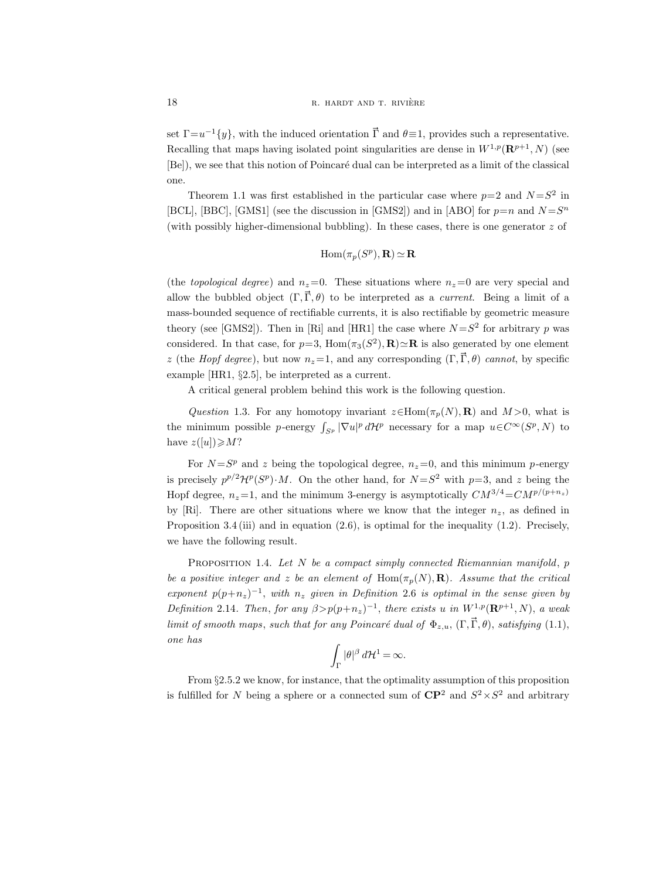set  $\Gamma = u^{-1}{y}$ , with the induced orientation  $\vec{\Gamma}$  and  $\theta = 1$ , provides such a representative. Recalling that maps having isolated point singularities are dense in  $W^{1,p}(\mathbf{R}^{p+1},N)$  (see [Be]), we see that this notion of Poincaré dual can be interpreted as a limit of the classical one.

Theorem 1.1 was first established in the particular case where  $p=2$  and  $N=S^2$  in [BCL], [BBC], [GMS1] (see the discussion in [GMS2]) and in [ABO] for  $p=n$  and  $N = S<sup>n</sup>$ (with possibly higher-dimensional bubbling). In these cases, there is one generator  $z$  of

$$
\mathrm{Hom}(\pi_p(S^p), \mathbf{R}) \simeq \mathbf{R}
$$

(the topological degree) and  $n_z=0$ . These situations where  $n_z=0$  are very special and allow the bubbled object  $(\Gamma, \vec{\Gamma}, \theta)$  to be interpreted as a *current*. Being a limit of a mass-bounded sequence of rectifiable currents, it is also rectifiable by geometric measure theory (see [GMS2]). Then in [Ri] and [HR1] the case where  $N = S^2$  for arbitrary p was considered. In that case, for  $p=3$ ,  $\text{Hom}(\pi_3(S^2), \mathbf{R}) \simeq \mathbf{R}$  is also generated by one element z (the Hopf degree), but now  $n_z=1$ , and any corresponding  $(\Gamma, \vec{\Gamma}, \theta)$  cannot, by specific example [HR1, §2.5], be interpreted as a current.

A critical general problem behind this work is the following question.

Question 1.3. For any homotopy invariant  $z \in \text{Hom}(\pi_p(N), \mathbf{R})$  and  $M > 0$ , what is the minimum possible p-energy  $\int_{S^p} |\nabla u|^p d\mathcal{H}^p$  necessary for a map  $u \in C^{\infty}(S^p, N)$  to have  $z([u]) \geqslant M?$ 

For  $N = S^p$  and z being the topological degree,  $n_z = 0$ , and this minimum p-energy is precisely  $p^{p/2} \mathcal{H}^p(S^p) \cdot M$ . On the other hand, for  $N = S^2$  with  $p = 3$ , and z being the Hopf degree,  $n_z=1$ , and the minimum 3-energy is asymptotically  $CM^{3/4}=CM^{p/(p+n_z)}$ by [Ri]. There are other situations where we know that the integer  $n_z$ , as defined in Proposition 3.4 (iii) and in equation (2.6), is optimal for the inequality (1.2). Precisely, we have the following result.

PROPOSITION 1.4. Let  $N$  be a compact simply connected Riemannian manifold,  $p$ be a positive integer and z be an element of Hom $(\pi_p(N), \mathbf{R})$ . Assume that the critical exponent  $p(p+n_z)^{-1}$ , with  $n_z$  given in Definition 2.6 is optimal in the sense given by Definition 2.14. Then, for any  $\beta > p(p+n_z)^{-1}$ , there exists u in  $W^{1,p}(\mathbf{R}^{p+1}, N)$ , a weak limit of smooth maps, such that for any Poincaré dual of  $\Phi_{z,u}$ ,  $(\Gamma, \vec{\Gamma}, \theta)$ , satisfying (1.1), one has

$$
\int_{\Gamma} |\theta|^{\beta} d\mathcal{H}^{1} = \infty.
$$

From §2.5.2 we know, for instance, that the optimality assumption of this proposition is fulfilled for N being a sphere or a connected sum of  $\mathbb{CP}^2$  and  $S^2 \times S^2$  and arbitrary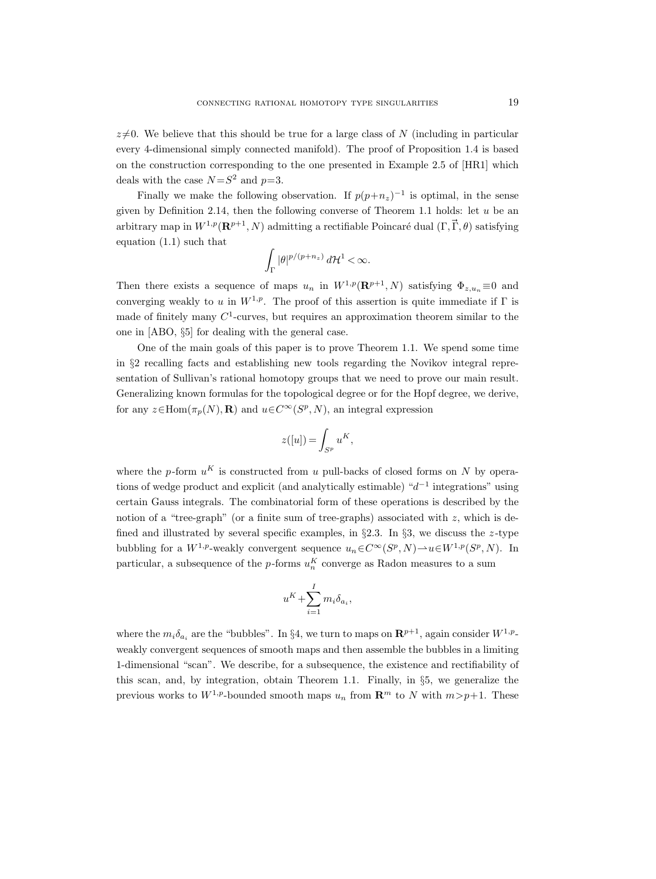$z\neq0$ . We believe that this should be true for a large class of N (including in particular every 4-dimensional simply connected manifold). The proof of Proposition 1.4 is based on the construction corresponding to the one presented in Example 2.5 of [HR1] which deals with the case  $N = S^2$  and  $p=3$ .

Finally we make the following observation. If  $p(p+n_z)^{-1}$  is optimal, in the sense given by Definition 2.14, then the following converse of Theorem 1.1 holds: let  $u$  be an arbitrary map in  $W^{1,p}(\mathbf{R}^{p+1}, N)$  admitting a rectifiable Poincaré dual  $(\Gamma, \vec{\Gamma}, \theta)$  satisfying equation (1.1) such that

$$
\int_{\Gamma} |\theta|^{p/(p+n_z)}\,d{\mathcal H}^1<\infty.
$$

Then there exists a sequence of maps  $u_n$  in  $W^{1,p}(\mathbf{R}^{p+1}, N)$  satisfying  $\Phi_{z,u_n} \equiv 0$  and converging weakly to u in  $W^{1,p}$ . The proof of this assertion is quite immediate if  $\Gamma$  is made of finitely many  $C^1$ -curves, but requires an approximation theorem similar to the one in [ABO, §5] for dealing with the general case.

One of the main goals of this paper is to prove Theorem 1.1. We spend some time in §2 recalling facts and establishing new tools regarding the Novikov integral representation of Sullivan's rational homotopy groups that we need to prove our main result. Generalizing known formulas for the topological degree or for the Hopf degree, we derive, for any  $z \in \text{Hom}(\pi_p(N), \mathbf{R})$  and  $u \in C^{\infty}(S^p, N)$ , an integral expression

$$
z([u]) = \int_{S^p} u^K,
$$

where the p-form  $u<sup>K</sup>$  is constructed from u pull-backs of closed forms on N by operations of wedge product and explicit (and analytically estimable)  $d^{-1}$  integrations" using certain Gauss integrals. The combinatorial form of these operations is described by the notion of a "tree-graph" (or a finite sum of tree-graphs) associated with  $z$ , which is defined and illustrated by several specific examples, in  $\S 2.3$ . In  $\S 3$ , we discuss the z-type bubbling for a  $W^{1,p}$ -weakly convergent sequence  $u_n \in C^{\infty}(S^p, N) \to u \in W^{1,p}(S^p, N)$ . In particular, a subsequence of the *p*-forms  $u_n^K$  converge as Radon measures to a sum

$$
u^K + \sum_{i=1}^I m_i \delta_{a_i},
$$

where the  $m_i \delta_{a_i}$  are the "bubbles". In §4, we turn to maps on  $\mathbb{R}^{p+1}$ , again consider  $W^{1,p}$ weakly convergent sequences of smooth maps and then assemble the bubbles in a limiting 1-dimensional "scan". We describe, for a subsequence, the existence and rectifiability of this scan, and, by integration, obtain Theorem 1.1. Finally, in §5, we generalize the previous works to  $W^{1,p}$ -bounded smooth maps  $u_n$  from  $\mathbb{R}^m$  to N with  $m > p+1$ . These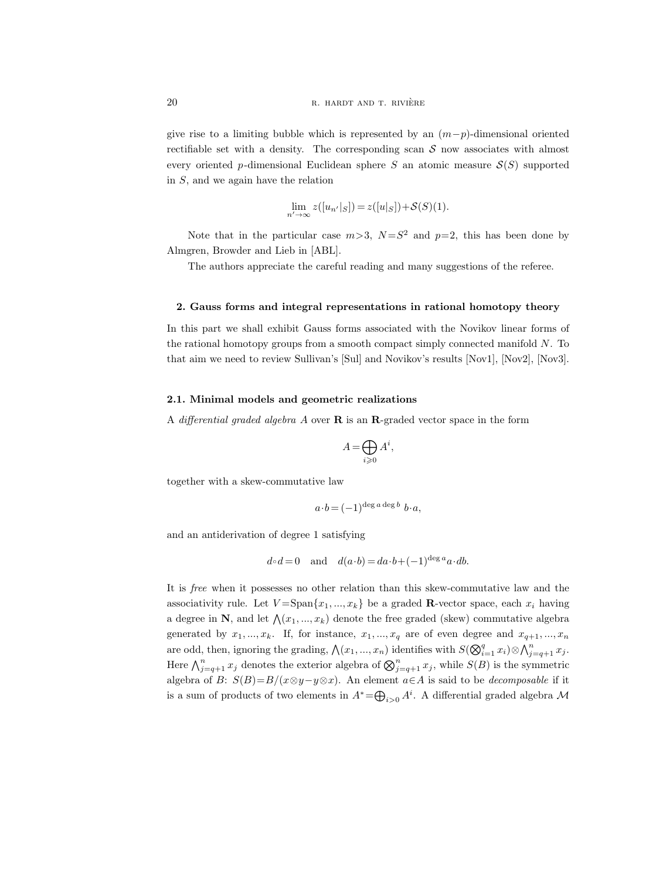give rise to a limiting bubble which is represented by an  $(m-p)$ -dimensional oriented rectifiable set with a density. The corresponding scan  $S$  now associates with almost every oriented p-dimensional Euclidean sphere S an atomic measure  $S(S)$  supported in  $S$ , and we again have the relation

$$
\lim_{n' \to \infty} z([u_{n'}|_S]) = z([u|_S]) + \mathcal{S}(S)(1).
$$

Note that in the particular case  $m > 3$ ,  $N = S^2$  and  $p = 2$ , this has been done by Almgren, Browder and Lieb in [ABL].

The authors appreciate the careful reading and many suggestions of the referee.

#### 2. Gauss forms and integral representations in rational homotopy theory

In this part we shall exhibit Gauss forms associated with the Novikov linear forms of the rational homotopy groups from a smooth compact simply connected manifold  $N$ . To that aim we need to review Sullivan's [Sul] and Novikov's results [Nov1], [Nov2], [Nov3].

### 2.1. Minimal models and geometric realizations

A differential graded algebra A over  $\bf{R}$  is an  $\bf{R}$ -graded vector space in the form

$$
A = \bigoplus_{i \geqslant 0} A^i,
$$

together with a skew-commutative law

$$
a \cdot b = (-1)^{\deg a \deg b} b \cdot a,
$$

and an antiderivation of degree 1 satisfying

$$
d \circ d = 0
$$
 and  $d(a \cdot b) = da \cdot b + (-1)^{\deg a} a \cdot db$ .

It is free when it possesses no other relation than this skew-commutative law and the associativity rule. Let  $V = \text{Span}\{x_1, ..., x_k\}$  be a graded **R**-vector space, each  $x_i$  having a degree in N, and let  $\bigwedge(x_1, ..., x_k)$  denote the free graded (skew) commutative algebra generated by  $x_1, ..., x_k$ . If, for instance,  $x_1, ..., x_q$  are of even degree and  $x_{q+1}, ..., x_n$ are odd, then, ignoring the grading,  $\bigwedge (x_1, ..., x_n)$  identifies with  $S(\bigotimes_{i=1}^q x_i) \otimes \bigwedge_{j=q+1}^n x_j$ . Here  $\bigwedge_{j=q+1}^{n} x_j$  denotes the exterior algebra of  $\bigotimes_{j=q+1}^{n} x_j$ , while  $S(B)$  is the symmetric algebra of B:  $S(B)=B/(x\otimes y-y\otimes x)$ . An element  $a\in A$  is said to be *decomposable* if it is a sum of products of two elements in  $A^* = \bigoplus_{i>0} A^i$ . A differential graded algebra M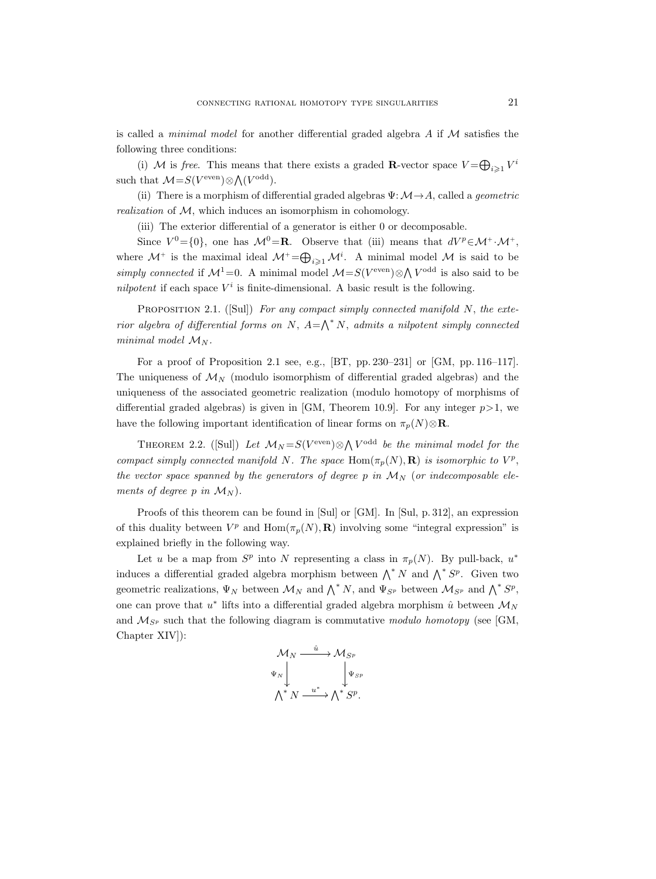is called a *minimal model* for another differential graded algebra  $A$  if  $M$  satisfies the following three conditions:

(i) M is free. This means that there exists a graded **R**-vector space  $V = \bigoplus_{i \geq 1} V^i$ such that  $\mathcal{M}=S(V^{\text{even}})\otimes \bigwedge(V^{\text{odd}})$ .

(ii) There is a morphism of differential graded algebras  $\Psi: \mathcal{M} \rightarrow A$ , called a *geometric* realization of M, which induces an isomorphism in cohomology.

(iii) The exterior differential of a generator is either 0 or decomposable.

Since  $V^0 = \{0\}$ , one has  $\mathcal{M}^0 = \mathbf{R}$ . Observe that (iii) means that  $dV^p \in \mathcal{M}^+ \cdot \mathcal{M}^+$ , where  $\mathcal{M}^+$  is the maximal ideal  $\mathcal{M}^+$  =  $\bigoplus_{i\geqslant 1} \mathcal{M}^i$ . A minimal model  $\mathcal M$  is said to be simply connected if  $\mathcal{M}^1=0$ . A minimal model  $\mathcal{M}=S(V^{\text{even}})\otimes \bigwedge V^{\text{odd}}$  is also said to be nilpotent if each space  $V^i$  is finite-dimensional. A basic result is the following.

PROPOSITION 2.1. ([Sul]) For any compact simply connected manifold  $N$ , the exterior algebra of differential forms on N,  $A = \bigwedge^* N$ , admits a nilpotent simply connected minimal model  $\mathcal{M}_N$ .

For a proof of Proposition 2.1 see, e.g., [BT, pp. 230–231] or [GM, pp. 116–117]. The uniqueness of  $\mathcal{M}_N$  (modulo isomorphism of differential graded algebras) and the uniqueness of the associated geometric realization (modulo homotopy of morphisms of differential graded algebras) is given in [GM, Theorem 10.9]. For any integer  $p>1$ , we have the following important identification of linear forms on  $\pi_p(N) \otimes \mathbf{R}$ .

THEOREM 2.2. ([Sul]) Let  $\mathcal{M}_N = S(V^{\text{even}}) \otimes \bigwedge V^{\text{odd}}$  be the minimal model for the compact simply connected manifold N. The space  $\text{Hom}(\pi_p(N), \mathbf{R})$  is isomorphic to  $V^p$ , the vector space spanned by the generators of degree p in  $\mathcal{M}_N$  (or indecomposable elements of degree p in  $\mathcal{M}_N$ ).

Proofs of this theorem can be found in [Sul] or [GM]. In [Sul, p. 312], an expression of this duality between  $V^p$  and  $\text{Hom}(\pi_p(N), \mathbf{R})$  involving some "integral expression" is explained briefly in the following way.

Let u be a map from  $S^p$  into N representing a class in  $\pi_p(N)$ . By pull-back,  $u^*$ induces a differential graded algebra morphism between  $\bigwedge^* N$  and  $\bigwedge^* S^p$ . Given two geometric realizations,  $\Psi_N$  between  $\mathcal{M}_N$  and  $\bigwedge^* N$ , and  $\Psi_{S^p}$  between  $\mathcal{M}_{S^p}$  and  $\bigwedge^* S^p$ , one can prove that  $u^*$  lifts into a differential graded algebra morphism  $\hat{u}$  between  $\mathcal{M}_N$ and  $\mathcal{M}_{S^p}$  such that the following diagram is commutative modulo homotopy (see [GM, Chapter XIV]):

$$
\begin{array}{ccc}\n{\cal M}_N & \xrightarrow{\hat{u}} & {\cal M}_{S^p} \\
\Psi_N & & \downarrow{\Psi_{S^p}} \\
{\cal N}^*N & \xrightarrow{\quad u^* \quad} {\cal N}^*S^p.\n\end{array}
$$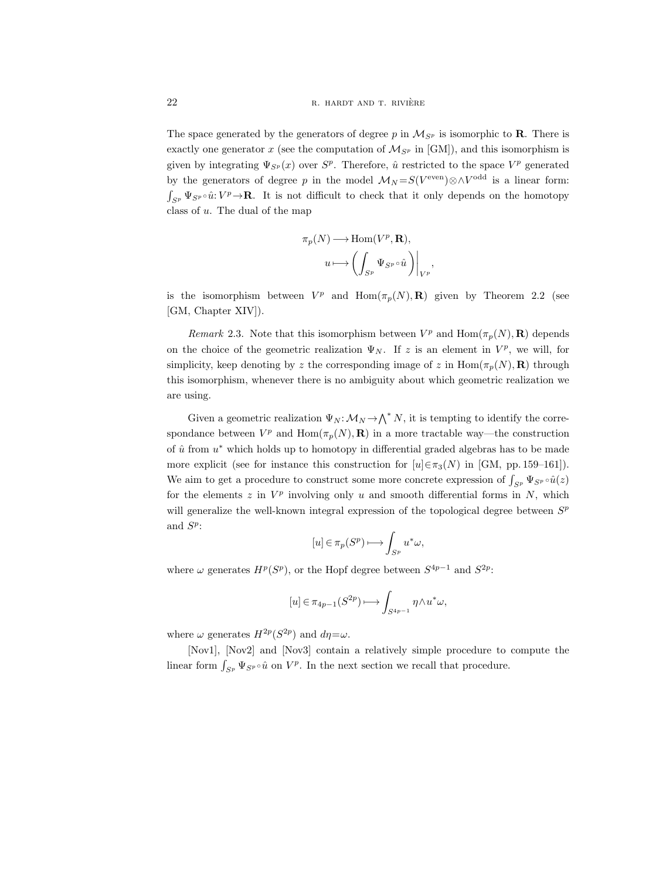The space generated by the generators of degree p in  $\mathcal{M}_{S^p}$  is isomorphic to **R**. There is exactly one generator x (see the computation of  $\mathcal{M}_{S^p}$  in [GM]), and this isomorphism is given by integrating  $\Psi_{S^p}(x)$  over  $S^p$ . Therefore,  $\hat{u}$  restricted to the space  $V^p$  generated by the generators of degree p in the model  $\mathcal{M}_N = S(V^{\text{even}}) \otimes \wedge V^{\text{odd}}$  is a linear form:  $\int_{S^p} \Psi_{S^p} \circ \hat{u} : V^p \to \mathbf{R}$ . It is not difficult to check that it only depends on the homotopy class of u. The dual of the map

$$
\pi_p(N) \longrightarrow \text{Hom}(V^p, \mathbf{R}),
$$

$$
u \longmapsto \left( \int_{S^p} \Psi_{S^p} \circ \hat{u} \right) \Big|_{V^p}
$$

,

is the isomorphism between  $V^p$  and  $\text{Hom}(\pi_p(N), \mathbf{R})$  given by Theorem 2.2 (see [GM, Chapter XIV]).

*Remark* 2.3. Note that this isomorphism between  $V^p$  and  $\text{Hom}(\pi_p(N), \mathbf{R})$  depends on the choice of the geometric realization  $\Psi_N$ . If z is an element in  $V^p$ , we will, for simplicity, keep denoting by z the corresponding image of z in  $\text{Hom}(\pi_p(N), \mathbf{R})$  through this isomorphism, whenever there is no ambiguity about which geometric realization we are using.

Given a geometric realization  $\Psi_N: \mathcal{M}_N \to \bigwedge^* N$ , it is tempting to identify the correspondance between  $V^p$  and  $\text{Hom}(\pi_p(N), \mathbf{R})$  in a more tractable way—the construction of  $\hat{u}$  from  $u^*$  which holds up to homotopy in differential graded algebras has to be made more explicit (see for instance this construction for  $[u] \in \pi_3(N)$  in [GM, pp. 159–161]). We aim to get a procedure to construct some more concrete expression of  $\int_{S^p} \Psi_{S^p} \circ \hat{u}(z)$ for the elements  $z$  in  $V^p$  involving only  $u$  and smooth differential forms in  $N$ , which will generalize the well-known integral expression of the topological degree between  $S<sup>p</sup>$ and  $S^p$ :

$$
[u] \in \pi_p(S^p) \longrightarrow \int_{S^p} u^* \omega,
$$

where  $\omega$  generates  $H^p(S^p)$ , or the Hopf degree between  $S^{4p-1}$  and  $S^{2p}$ :

$$
[u] \in \pi_{4p-1}(S^{2p}) \longmapsto \int_{S^{4p-1}} \eta \wedge u^* \omega,
$$

where  $\omega$  generates  $H^{2p}(S^{2p})$  and  $d\eta = \omega$ .

[Nov1], [Nov2] and [Nov3] contain a relatively simple procedure to compute the linear form  $\int_{S^p} \Psi_{S^p} \circ \hat{u}$  on  $V^p$ . In the next section we recall that procedure.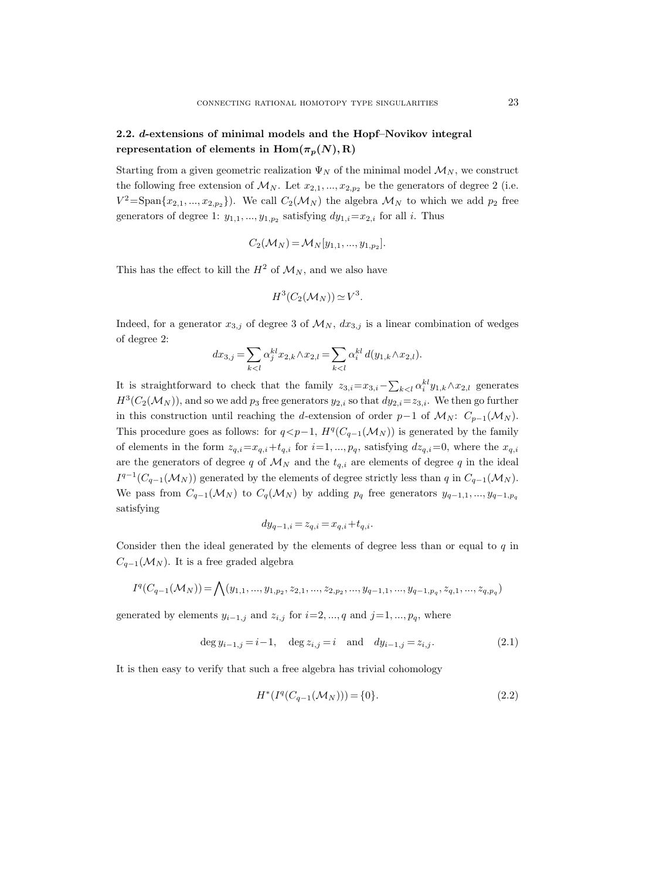# 2.2. d-extensions of minimal models and the Hopf–Novikov integral representation of elements in  $\text{Hom}(\pi_p(N), R)$

Starting from a given geometric realization  $\Psi_N$  of the minimal model  $\mathcal{M}_N$ , we construct the following free extension of  $\mathcal{M}_N$ . Let  $x_{2,1},...,x_{2,p_2}$  be the generators of degree 2 (i.e.  $V^2 = \text{Span}\{x_{2,1}, ..., x_{2,p_2}\}\)$ . We call  $C_2(\mathcal{M}_N)$  the algebra  $\mathcal{M}_N$  to which we add  $p_2$  free generators of degree 1:  $y_{1,1},...,y_{1,p_2}$  satisfying  $dy_{1,i} = x_{2,i}$  for all i. Thus

$$
C_2(\mathcal{M}_N) = \mathcal{M}_N[y_{1,1},...,y_{1,p_2}].
$$

This has the effect to kill the  $H^2$  of  $\mathcal{M}_N$ , and we also have

$$
H^3(C_2(\mathcal{M}_N)) \simeq V^3.
$$

Indeed, for a generator  $x_{3,j}$  of degree 3 of  $\mathcal{M}_N$ ,  $dx_{3,j}$  is a linear combination of wedges of degree 2:

$$
dx_{3,j} = \sum_{k < l} \alpha_j^{kl} x_{2,k} \wedge x_{2,l} = \sum_{k < l} \alpha_i^{kl} \, d(y_{1,k} \wedge x_{2,l}).
$$

It is straightforward to check that the family  $z_{3,i} = x_{3,i} - \sum_{k < l} \alpha_i^{kl} y_{1,k} \wedge x_{2,l}$  generates  $H^3(C_2(\mathcal{M}_N))$ , and so we add  $p_3$  free generators  $y_{2,i}$  so that  $dy_{2,i} = z_{3,i}$ . We then go further in this construction until reaching the d-extension of order  $p-1$  of  $\mathcal{M}_N$ :  $C_{p-1}(\mathcal{M}_N)$ . This procedure goes as follows: for  $q < p-1$ ,  $H<sup>q</sup>(C_{q-1}(\mathcal{M}_N))$  is generated by the family of elements in the form  $z_{q,i}=x_{q,i}+t_{q,i}$  for  $i=1, ..., p_q$ , satisfying  $dz_{q,i}=0$ , where the  $x_{q,i}$ are the generators of degree q of  $\mathcal{M}_N$  and the  $t_{q,i}$  are elements of degree q in the ideal  $I^{q-1}(C_{q-1}(\mathcal{M}_N))$  generated by the elements of degree strictly less than q in  $C_{q-1}(\mathcal{M}_N)$ . We pass from  $C_{q-1}(\mathcal{M}_N)$  to  $C_q(\mathcal{M}_N)$  by adding  $p_q$  free generators  $y_{q-1,1},...,y_{q-1,p_q}$ satisfying

$$
dy_{q-1,i} = z_{q,i} = x_{q,i} + t_{q,i}.
$$

Consider then the ideal generated by the elements of degree less than or equal to  $q$  in  $C_{q-1}(\mathcal{M}_N)$ . It is a free graded algebra

$$
I^{q}(C_{q-1}(\mathcal{M}_{N})) = \bigwedge (y_{1,1},...,y_{1,p_{2}},z_{2,1},...,z_{2,p_{2}},...,y_{q-1,1},...,y_{q-1,p_{q}},z_{q,1},...,z_{q,p_{q}})
$$

generated by elements  $y_{i-1,j}$  and  $z_{i,j}$  for  $i=2, ..., q$  and  $j=1, ..., p_q$ , where

$$
\deg y_{i-1,j} = i-1, \quad \deg z_{i,j} = i \quad \text{and} \quad dy_{i-1,j} = z_{i,j}.
$$
 (2.1)

It is then easy to verify that such a free algebra has trivial cohomology

$$
H^*(I^q(C_{q-1}(\mathcal{M}_N))) = \{0\}.
$$
\n(2.2)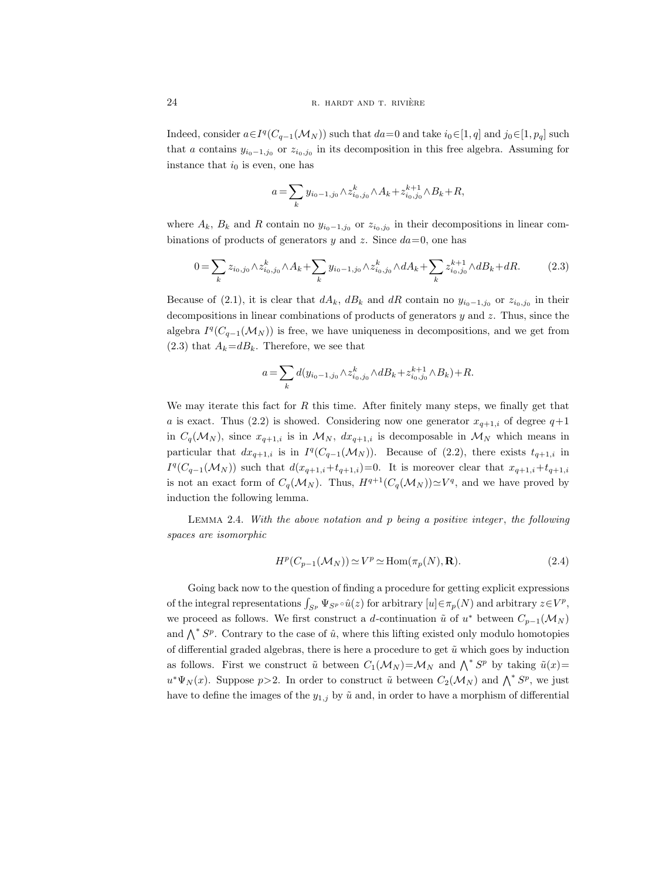Indeed, consider  $a \in I^q(C_{q-1}(\mathcal{M}_N))$  such that  $da=0$  and take  $i_0 \in [1, q]$  and  $j_0 \in [1, p_q]$  such that a contains  $y_{i_0-1,j_0}$  or  $z_{i_0,j_0}$  in its decomposition in this free algebra. Assuming for instance that  $i_0$  is even, one has

$$
a = \sum_{k} y_{i_0 - 1, j_0} \wedge z_{i_0, j_0}^k \wedge A_k + z_{i_0, j_0}^{k+1} \wedge B_k + R,
$$

where  $A_k$ ,  $B_k$  and R contain no  $y_{i_0-1,j_0}$  or  $z_{i_0,j_0}$  in their decompositions in linear combinations of products of generators y and z. Since  $da=0$ , one has

$$
0 = \sum_{k} z_{i_0, j_0} \wedge z_{i_0, j_0}^k \wedge A_k + \sum_{k} y_{i_0 - 1, j_0} \wedge z_{i_0, j_0}^k \wedge dA_k + \sum_{k} z_{i_0, j_0}^{k+1} \wedge dB_k + dR. \tag{2.3}
$$

Because of (2.1), it is clear that  $dA_k$ ,  $dB_k$  and  $dR$  contain no  $y_{i_0-1,j_0}$  or  $z_{i_0,j_0}$  in their decompositions in linear combinations of products of generators  $y$  and  $z$ . Thus, since the algebra  $I^q(C_{q-1}(\mathcal{M}_N))$  is free, we have uniqueness in decompositions, and we get from  $(2.3)$  that  $A_k = dB_k$ . Therefore, we see that

$$
a = \sum_k d(y_{i_0-1,j_0} \wedge z_{i_0,j_0}^k \wedge dB_k + z_{i_0,j_0}^{k+1} \wedge B_k) + R.
$$

We may iterate this fact for  $R$  this time. After finitely many steps, we finally get that a is exact. Thus (2.2) is showed. Considering now one generator  $x_{q+1,i}$  of degree  $q+1$ in  $C_q(\mathcal{M}_N)$ , since  $x_{q+1,i}$  is in  $\mathcal{M}_N$ ,  $dx_{q+1,i}$  is decomposable in  $\mathcal{M}_N$  which means in particular that  $dx_{q+1,i}$  is in  $I^q(C_{q-1}(\mathcal{M}_N))$ . Because of (2.2), there exists  $t_{q+1,i}$  in  $I^q(C_{q-1}(\mathcal{M}_N))$  such that  $d(x_{q+1,i}+t_{q+1,i})=0$ . It is moreover clear that  $x_{q+1,i}+t_{q+1,i}$ is not an exact form of  $C_q(\mathcal{M}_N)$ . Thus,  $H^{q+1}(C_q(\mathcal{M}_N)) \simeq V^q$ , and we have proved by induction the following lemma.

LEMMA 2.4. With the above notation and  $p$  being a positive integer, the following spaces are isomorphic

$$
H^p(C_{p-1}(\mathcal{M}_N)) \simeq V^p \simeq \text{Hom}(\pi_p(N), \mathbf{R}).\tag{2.4}
$$

Going back now to the question of finding a procedure for getting explicit expressions of the integral representations  $\int_{S^p} \Psi_{S^p} \circ \hat{u}(z)$  for arbitrary  $[u] \in \pi_p(N)$  and arbitrary  $z \in V^p$ , we proceed as follows. We first construct a d-continuation  $\tilde{u}$  of  $u^*$  between  $C_{p-1}(\mathcal{M}_N)$ and  $\bigwedge^* S^p$ . Contrary to the case of  $\hat{u}$ , where this lifting existed only modulo homotopies of differential graded algebras, there is here a procedure to get  $\tilde{u}$  which goes by induction as follows. First we construct  $\tilde{u}$  between  $C_1(\mathcal{M}_N) = \mathcal{M}_N$  and  $\bigwedge^* S^p$  by taking  $\tilde{u}(x) =$  $u^*\Psi_N(x)$ . Suppose  $p>2$ . In order to construct  $\tilde{u}$  between  $C_2(\mathcal{M}_N)$  and  $\bigwedge^* S^p$ , we just have to define the images of the  $y_{1,j}$  by  $\tilde{u}$  and, in order to have a morphism of differential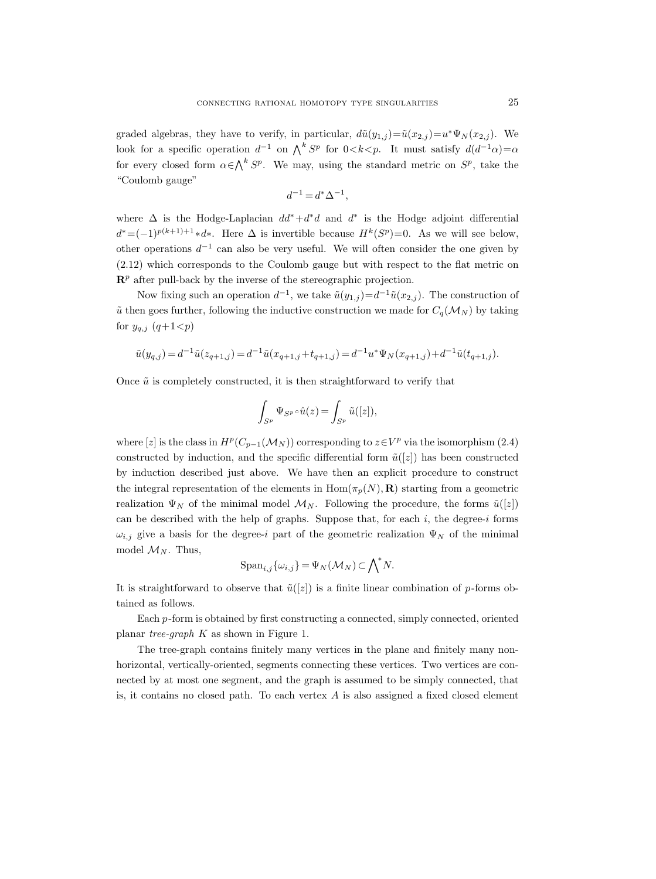graded algebras, they have to verify, in particular,  $d\tilde{u}(y_{1,j}) = \tilde{u}(x_{2,j}) = u^* \Psi_N(x_{2,j}).$  We look for a specific operation  $d^{-1}$  on  $\bigwedge^k S^p$  for  $0 < k < p$ . It must satisfy  $d(d^{-1}\alpha) = \alpha$ for every closed form  $\alpha \in \bigwedge^k S^p$ . We may, using the standard metric on  $S^p$ , take the "Coulomb gauge"

$$
d^{-1}=d^*\Delta^{-1},
$$

where  $\Delta$  is the Hodge-Laplacian  $dd^* + d^*d$  and  $d^*$  is the Hodge adjoint differential  $d^* = (-1)^{p(k+1)+1} * d^*$ . Here  $\Delta$  is invertible because  $H^k(S^p)=0$ . As we will see below, other operations  $d^{-1}$  can also be very useful. We will often consider the one given by (2.12) which corresponds to the Coulomb gauge but with respect to the flat metric on  $\mathbb{R}^p$  after pull-back by the inverse of the stereographic projection.

Now fixing such an operation  $d^{-1}$ , we take  $\tilde{u}(y_{1,j}) = d^{-1}\tilde{u}(x_{2,j})$ . The construction of  $\tilde{u}$  then goes further, following the inductive construction we made for  $C_q(\mathcal{M}_N)$  by taking for  $y_{q,j}$   $(q+1 < p)$ 

$$
\tilde{u}(y_{q,j}) = d^{-1}\tilde{u}(z_{q+1,j}) = d^{-1}\tilde{u}(x_{q+1,j} + t_{q+1,j}) = d^{-1}u^* \Psi_N(x_{q+1,j}) + d^{-1}\tilde{u}(t_{q+1,j}).
$$

Once  $\tilde{u}$  is completely constructed, it is then straightforward to verify that

$$
\int_{S^p} \Psi_{S^p} \circ \hat{u}(z) = \int_{S^p} \tilde{u}([z]),
$$

where [z] is the class in  $H^p(C_{p-1}(\mathcal{M}_N))$  corresponding to  $z \in V^p$  via the isomorphism (2.4) constructed by induction, and the specific differential form  $\tilde{u}([z])$  has been constructed by induction described just above. We have then an explicit procedure to construct the integral representation of the elements in  $\text{Hom}(\pi_p(N), \mathbf{R})$  starting from a geometric realization  $\Psi_N$  of the minimal model  $\mathcal{M}_N$ . Following the procedure, the forms  $\tilde{u}([z])$ can be described with the help of graphs. Suppose that, for each  $i$ , the degree-i forms  $\omega_{i,j}$  give a basis for the degree-i part of the geometric realization  $\Psi_N$  of the minimal model  $\mathcal{M}_N$ . Thus,

$$
\mathrm{Span}_{i,j}\{\omega_{i,j}\} = \Psi_N(\mathcal{M}_N) \subset \bigwedge^* N.
$$

It is straightforward to observe that  $\tilde{u}([z])$  is a finite linear combination of p-forms obtained as follows.

Each p-form is obtained by first constructing a connected, simply connected, oriented planar tree-graph K as shown in Figure 1.

The tree-graph contains finitely many vertices in the plane and finitely many nonhorizontal, vertically-oriented, segments connecting these vertices. Two vertices are connected by at most one segment, and the graph is assumed to be simply connected, that is, it contains no closed path. To each vertex  $A$  is also assigned a fixed closed element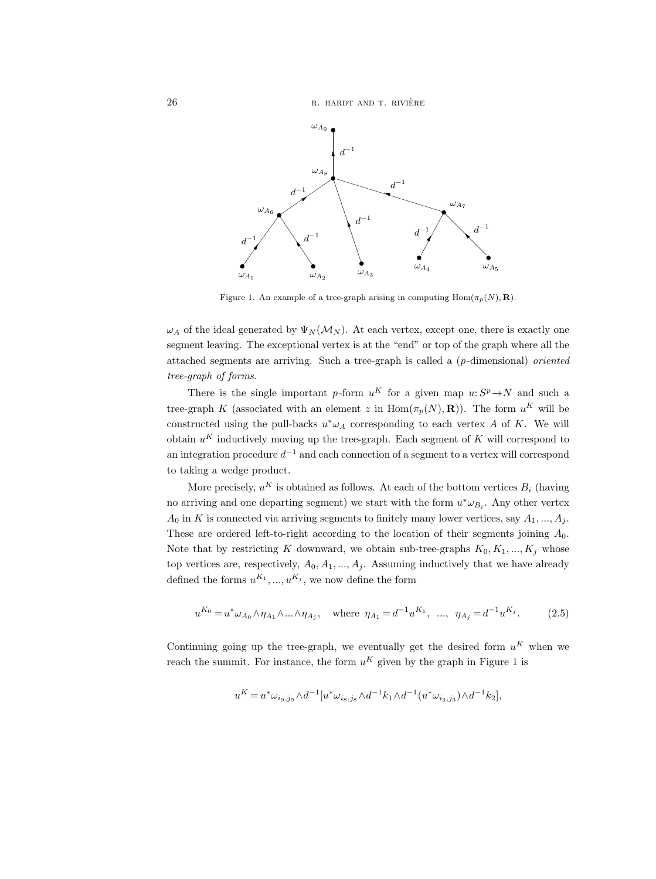26 R. HARDT AND T. RIVIÈRE



Figure 1. An example of a tree-graph arising in computing  $\text{Hom}(\pi_p(N), \mathbf{R})$ .

 $\omega_A$  of the ideal generated by  $\Psi_N(\mathcal{M}_N)$ . At each vertex, except one, there is exactly one segment leaving. The exceptional vertex is at the "end" or top of the graph where all the attached segments are arriving. Such a tree-graph is called a  $(p$ -dimensional) oriented tree-graph of forms.

There is the single important p-form  $u^K$  for a given map  $u: S^p \to N$  and such a tree-graph K (associated with an element z in  $\text{Hom}(\pi_p(N), \mathbf{R})$ ). The form  $u^K$  will be constructed using the pull-backs  $u^*\omega_A$  corresponding to each vertex A of K. We will obtain  $u^K$  inductively moving up the tree-graph. Each segment of K will correspond to an integration procedure  $d^{-1}$  and each connection of a segment to a vertex will correspond to taking a wedge product.

More precisely,  $u^K$  is obtained as follows. At each of the bottom vertices  $B_i$  (having no arriving and one departing segment) we start with the form  $u^* \omega_{B_i}$ . Any other vertex  $A_0$  in K is connected via arriving segments to finitely many lower vertices, say  $A_1, ..., A_j$ . These are ordered left-to-right according to the location of their segments joining  $A_0$ . Note that by restricting K downward, we obtain sub-tree-graphs  $K_0, K_1, ..., K_j$  whose top vertices are, respectively,  $A_0, A_1, ..., A_j$ . Assuming inductively that we have already defined the forms  $u^{K_1},..., u^{K_j}$ , we now define the form

$$
u^{K_0} = u^* \omega_{A_0} \wedge \eta_{A_1} \wedge \ldots \wedge \eta_{A_j}, \quad \text{where } \eta_{A_1} = d^{-1} u^{K_1}, \ \ldots, \ \eta_{A_j} = d^{-1} u^{K_j}.
$$
 (2.5)

Continuing going up the tree-graph, we eventually get the desired form  $u^K$  when we reach the summit. For instance, the form  $u^K$  given by the graph in Figure 1 is

$$
u^K = u^* \omega_{i_9, j_9} \wedge d^{-1} [u^* \omega_{i_8, j_8} \wedge d^{-1} k_1 \wedge d^{-1} (u^* \omega_{i_3, j_3}) \wedge d^{-1} k_2],
$$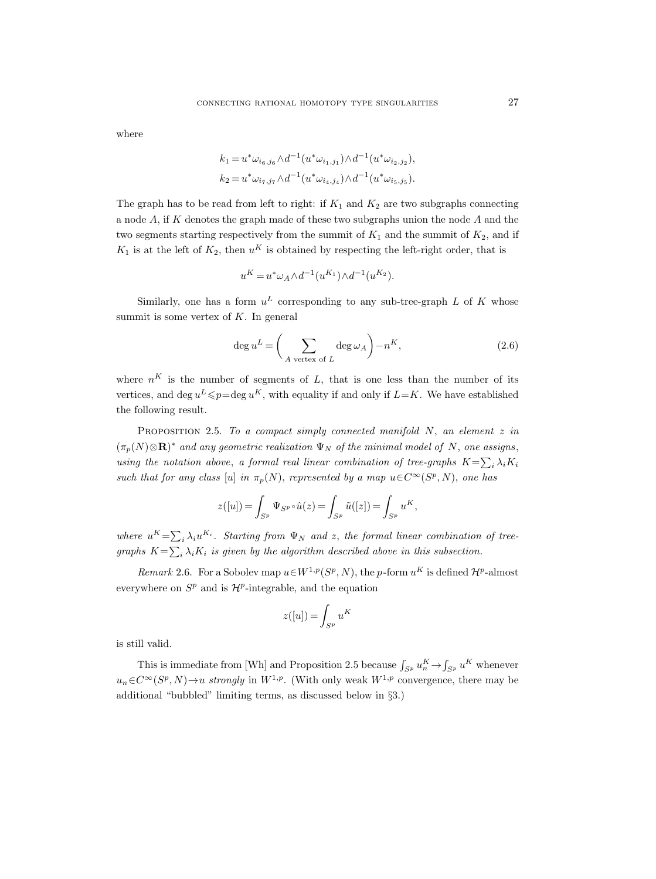where

$$
k_1 = u^* \omega_{i_6,j_6} \wedge d^{-1} (u^* \omega_{i_1,j_1}) \wedge d^{-1} (u^* \omega_{i_2,j_2}),
$$
  
\n
$$
k_2 = u^* \omega_{i_7,j_7} \wedge d^{-1} (u^* \omega_{i_4,j_4}) \wedge d^{-1} (u^* \omega_{i_5,j_5}).
$$

The graph has to be read from left to right: if  $K_1$  and  $K_2$  are two subgraphs connecting a node A, if K denotes the graph made of these two subgraphs union the node A and the two segments starting respectively from the summit of  $K_1$  and the summit of  $K_2$ , and if  $K_1$  is at the left of  $K_2$ , then  $u^K$  is obtained by respecting the left-right order, that is

$$
u^K = u^* \omega_A \wedge d^{-1}(u^{K_1}) \wedge d^{-1}(u^{K_2}).
$$

Similarly, one has a form  $u^L$  corresponding to any sub-tree-graph L of K whose summit is some vertex of  $K$ . In general

$$
\deg u^L = \left(\sum_{A \text{ vertex of } L} \deg \omega_A\right) - n^K,\tag{2.6}
$$

where  $n<sup>K</sup>$  is the number of segments of L, that is one less than the number of its vertices, and deg  $u^L \leq p = \deg u^K$ , with equality if and only if  $L=K$ . We have established the following result.

PROPOSITION 2.5. To a compact simply connected manifold  $N$ , an element  $z$  in  $(\pi_p(N)\otimes\mathbf{R})^*$  and any geometric realization  $\Psi_N$  of the minimal model of N, one assigns, using the notation above, a formal real linear combination of tree-graphs  $K = \sum_i \lambda_i K_i$ such that for any class [u] in  $\pi_p(N)$ , represented by a map  $u \in C^{\infty}(S^p, N)$ , one has

$$
z([u]) = \int_{S^p} \Psi_{S^p} \circ \hat{u}(z) = \int_{S^p} \tilde{u}([z]) = \int_{S^p} u^K,
$$

where  $u^K = \sum_i \lambda_i u^{K_i}$ . Starting from  $\Psi_N$  and z, the formal linear combination of treegraphs  $K = \sum_i \lambda_i K_i$  is given by the algorithm described above in this subsection.

Remark 2.6. For a Sobolev map  $u \in W^{1,p}(S^p, N)$ , the p-form  $u^K$  is defined  $\mathcal{H}^p$ -almost everywhere on  $S^p$  and is  $\mathcal{H}^p$ -integrable, and the equation

$$
z([u]) = \int_{S^p} u^K
$$

is still valid.

This is immediate from [Wh] and Proposition 2.5 because  $\int_{S^p} u_n^K \to \int_{S^p} u^K$  whenever  $u_n \in C^{\infty}(S^p, N) \to u$  strongly in  $W^{1,p}$ . (With only weak  $W^{1,p}$  convergence, there may be additional "bubbled" limiting terms, as discussed below in §3.)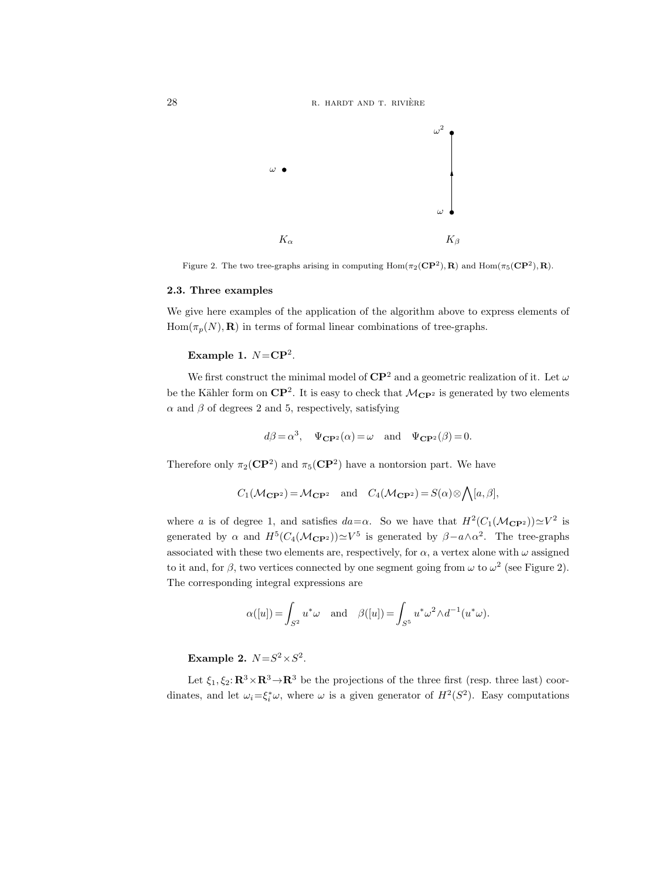28 R. HARDT AND T. RIVIÈRE



Figure 2. The two tree-graphs arising in computing  $Hom(\pi_2(\mathbf{CP}^2), \mathbf{R})$  and  $Hom(\pi_5(\mathbf{CP}^2), \mathbf{R})$ .

### 2.3. Three examples

We give here examples of the application of the algorithm above to express elements of  $Hom(\pi_p(N), R)$  in terms of formal linear combinations of tree-graphs.

## Example 1.  $N = \mathbf{CP}^2$ .

We first construct the minimal model of  $\mathbb{CP}^2$  and a geometric realization of it. Let  $\omega$ be the Kähler form on  $\mathbb{CP}^2$ . It is easy to check that  $\mathcal{M}_{\mathbb{CP}^2}$  is generated by two elements  $\alpha$  and  $\beta$  of degrees 2 and 5, respectively, satisfying

$$
d\beta = \alpha^3
$$
,  $\Psi_{\mathbf{CP}^2}(\alpha) = \omega$  and  $\Psi_{\mathbf{CP}^2}(\beta) = 0$ .

Therefore only  $\pi_2(\mathbf{CP}^2)$  and  $\pi_5(\mathbf{CP}^2)$  have a nontorsion part. We have

$$
C_1(\mathcal{M}_{\mathbf{CP}^2}) = \mathcal{M}_{\mathbf{CP}^2}
$$
 and  $C_4(\mathcal{M}_{\mathbf{CP}^2}) = S(\alpha) \otimes \bigwedge [a, \beta],$ 

where a is of degree 1, and satisfies  $da = \alpha$ . So we have that  $H^2(C_1(\mathcal{M}_{\mathbf{CP}^2})) \simeq V^2$  is generated by  $\alpha$  and  $H^5(C_4(\mathcal{M}_{\mathbf{CP}^2})) \simeq V^5$  is generated by  $\beta - a \wedge \alpha^2$ . The tree-graphs associated with these two elements are, respectively, for  $\alpha$ , a vertex alone with  $\omega$  assigned to it and, for  $\beta$ , two vertices connected by one segment going from  $\omega$  to  $\omega^2$  (see Figure 2). The corresponding integral expressions are

$$
\alpha([u]) = \int_{S^2} u^* \omega \quad \text{and} \quad \beta([u]) = \int_{S^5} u^* \omega^2 \wedge d^{-1}(u^* \omega).
$$

Example 2.  $N = S^2 \times S^2$ .

Let  $\xi_1, \xi_2$ :  $\mathbb{R}^3 \times \mathbb{R}^3 \to \mathbb{R}^3$  be the projections of the three first (resp. three last) coordinates, and let  $\omega_i = \xi_i^* \omega$ , where  $\omega$  is a given generator of  $H^2(S^2)$ . Easy computations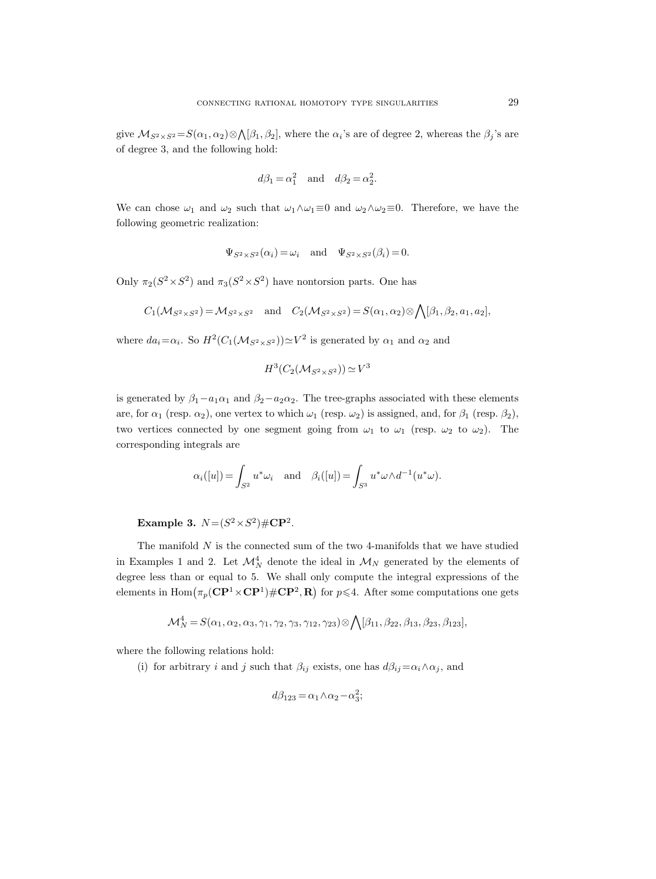give  $\mathcal{M}_{S^2\times S^2} = S(\alpha_1,\alpha_2)\otimes\bigwedge[\beta_1,\beta_2]$ , where the  $\alpha_i$ 's are of degree 2, whereas the  $\beta_j$ 's are of degree 3, and the following hold:

$$
d\beta_1 = \alpha_1^2
$$
 and  $d\beta_2 = \alpha_2^2$ .

We can chose  $\omega_1$  and  $\omega_2$  such that  $\omega_1 \wedge \omega_1 \equiv 0$  and  $\omega_2 \wedge \omega_2 \equiv 0$ . Therefore, we have the following geometric realization:

$$
\Psi_{S^2 \times S^2}(\alpha_i) = \omega_i
$$
 and  $\Psi_{S^2 \times S^2}(\beta_i) = 0$ .

Only  $\pi_2(S^2 \times S^2)$  and  $\pi_3(S^2 \times S^2)$  have nontorsion parts. One has

$$
C_1(\mathcal{M}_{S^2 \times S^2}) = \mathcal{M}_{S^2 \times S^2} \quad \text{and} \quad C_2(\mathcal{M}_{S^2 \times S^2}) = S(\alpha_1, \alpha_2) \otimes \bigwedge [\beta_1, \beta_2, a_1, a_2],
$$

where  $da_i = \alpha_i$ . So  $H^2(C_1(\mathcal{M}_{S^2 \times S^2})) \simeq V^2$  is generated by  $\alpha_1$  and  $\alpha_2$  and

$$
H^3(C_2(\mathcal{M}_{S^2 \times S^2})) \simeq V^3
$$

is generated by  $\beta_1 - a_1 \alpha_1$  and  $\beta_2 - a_2 \alpha_2$ . The tree-graphs associated with these elements are, for  $\alpha_1$  (resp.  $\alpha_2$ ), one vertex to which  $\omega_1$  (resp.  $\omega_2$ ) is assigned, and, for  $\beta_1$  (resp.  $\beta_2$ ), two vertices connected by one segment going from  $\omega_1$  to  $\omega_1$  (resp.  $\omega_2$  to  $\omega_2$ ). The corresponding integrals are

$$
\alpha_i([u]) = \int_{S^2} u^* \omega_i \quad \text{and} \quad \beta_i([u]) = \int_{S^3} u^* \omega \wedge d^{-1}(u^* \omega).
$$

Example 3.  $N = (S^2 \times S^2) \# \mathbb{CP}^2$ .

The manifold  $N$  is the connected sum of the two 4-manifolds that we have studied in Examples 1 and 2. Let  $\mathcal{M}_N^4$  denote the ideal in  $\mathcal{M}_N$  generated by the elements of degree less than or equal to 5. We shall only compute the integral expressions of the elements in  $\text{Hom}\big(\pi_p(\mathbf{CP}^1\times\mathbf{CP}^1)\#\mathbf{CP}^2,\mathbf{R}\big)$  for  $p\leqslant 4$ . After some computations one gets

$$
\mathcal{M}_N^4 = S(\alpha_1, \alpha_2, \alpha_3, \gamma_1, \gamma_2, \gamma_3, \gamma_{12}, \gamma_{23}) \otimes \bigwedge [\beta_{11}, \beta_{22}, \beta_{13}, \beta_{23}, \beta_{123}],
$$

where the following relations hold:

(i) for arbitrary i and j such that  $\beta_{ij}$  exists, one has  $d\beta_{ij} = \alpha_i \wedge \alpha_j$ , and

$$
d\beta_{123} = \alpha_1 \wedge \alpha_2 - \alpha_3^2;
$$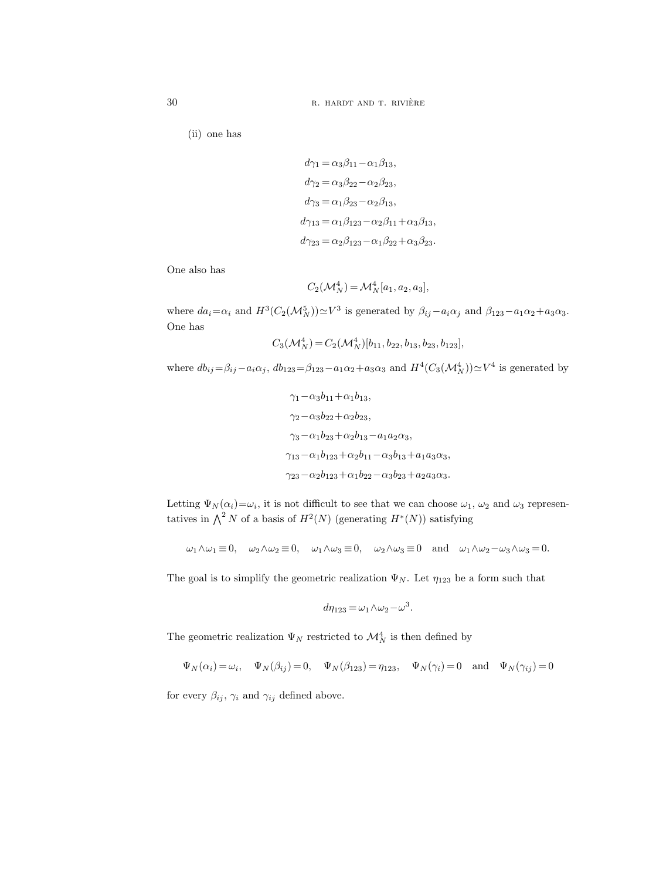30 R. HARDT AND T. RIVIÈRE

(ii) one has

$$
d\gamma_1 = \alpha_3 \beta_{11} - \alpha_1 \beta_{13},
$$
  
\n
$$
d\gamma_2 = \alpha_3 \beta_{22} - \alpha_2 \beta_{23},
$$
  
\n
$$
d\gamma_3 = \alpha_1 \beta_{23} - \alpha_2 \beta_{13},
$$
  
\n
$$
d\gamma_{13} = \alpha_1 \beta_{123} - \alpha_2 \beta_{11} + \alpha_3 \beta_{13},
$$
  
\n
$$
d\gamma_{23} = \alpha_2 \beta_{123} - \alpha_1 \beta_{22} + \alpha_3 \beta_{23}.
$$

One also has

$$
C_2(\mathcal{M}_N^4) = \mathcal{M}_N^4[a_1, a_2, a_3],
$$

where  $da_i = \alpha_i$  and  $H^3(C_2(\mathcal{M}_N^5)) \simeq V^3$  is generated by  $\beta_{ij} - a_i \alpha_j$  and  $\beta_{123} - a_1 \alpha_2 + a_3 \alpha_3$ . One has

$$
C_3(\mathcal{M}_N^4) = C_2(\mathcal{M}_N^4)[b_{11}, b_{22}, b_{13}, b_{23}, b_{123}],
$$

where  $db_{ij} = \beta_{ij} - a_i \alpha_j$ ,  $db_{123} = \beta_{123} - a_1 \alpha_2 + a_3 \alpha_3$  and  $H^4(C_3(\mathcal{M}_N^4)) \simeq V^4$  is generated by

$$
\gamma_1 - \alpha_3 b_{11} + \alpha_1 b_{13},
$$
  
\n
$$
\gamma_2 - \alpha_3 b_{22} + \alpha_2 b_{23},
$$
  
\n
$$
\gamma_3 - \alpha_1 b_{23} + \alpha_2 b_{13} - a_1 a_2 \alpha_3,
$$
  
\n
$$
\gamma_{13} - \alpha_1 b_{123} + \alpha_2 b_{11} - \alpha_3 b_{13} + a_1 a_3 \alpha_3,
$$
  
\n
$$
\gamma_{23} - \alpha_2 b_{123} + \alpha_1 b_{22} - \alpha_3 b_{23} + a_2 a_3 \alpha_3.
$$

Letting  $\Psi_N(\alpha_i) = \omega_i$ , it is not difficult to see that we can choose  $\omega_1$ ,  $\omega_2$  and  $\omega_3$  representatives in  $\bigwedge^2 N$  of a basis of  $H^2(N)$  (generating  $H^*(N)$ ) satisfying

$$
\omega_1 \wedge \omega_1 \equiv 0, \quad \omega_2 \wedge \omega_2 \equiv 0, \quad \omega_1 \wedge \omega_3 \equiv 0, \quad \omega_2 \wedge \omega_3 \equiv 0 \quad \text{and} \quad \omega_1 \wedge \omega_2 - \omega_3 \wedge \omega_3 = 0.
$$

The goal is to simplify the geometric realization  $\Psi_N$ . Let  $\eta_{123}$  be a form such that

$$
d\eta_{123} = \omega_1 \wedge \omega_2 - \omega^3.
$$

The geometric realization  $\Psi_N$  restricted to  $\mathcal{M}^4_N$  is then defined by

 $\Psi_N(\alpha_i) = \omega_i$ ,  $\Psi_N(\beta_{ij}) = 0$ ,  $\Psi_N(\beta_{123}) = \eta_{123}$ ,  $\Psi_N(\gamma_i) = 0$  and  $\Psi_N(\gamma_{ij}) = 0$ 

for every  $\beta_{ij},$   $\gamma_i$  and  $\gamma_{ij}$  defined above.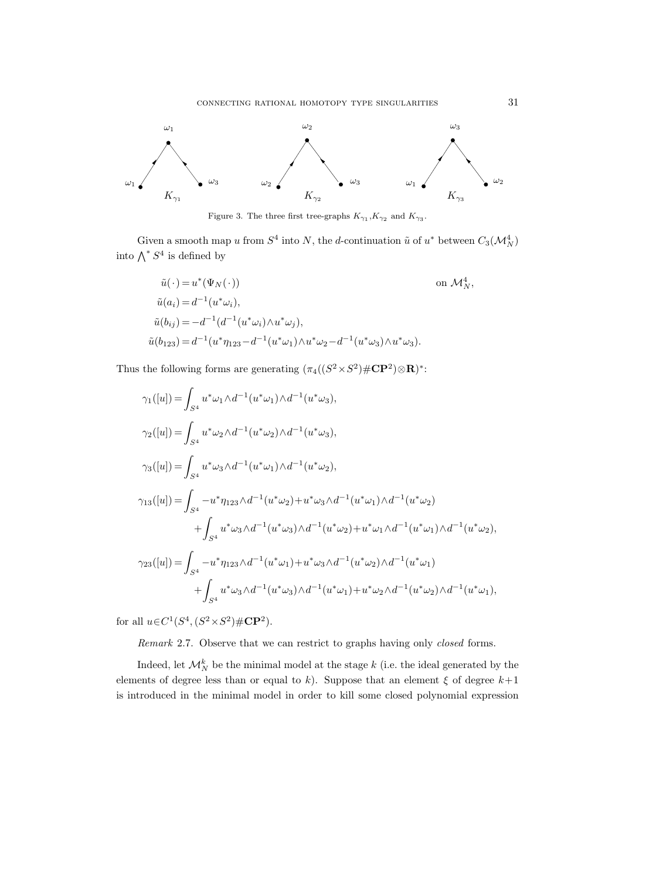



Given a smooth map u from  $S^4$  into N, the d-continuation  $\tilde{u}$  of  $u^*$  between  $C_3(\mathcal{M}_N^4)$ into  $\bigwedge^* S^4$  is defined by

$$
\tilde{u}(\cdot) = u^*(\Psi_N(\cdot))
$$
 on  $\mathcal{M}_N^4$ ,  
\n
$$
\tilde{u}(a_i) = d^{-1}(u^*\omega_i),
$$
  
\n
$$
\tilde{u}(b_{ij}) = -d^{-1}(d^{-1}(u^*\omega_i)\wedge u^*\omega_j),
$$
  
\n
$$
\tilde{u}(b_{123}) = d^{-1}(u^*\eta_{123} - d^{-1}(u^*\omega_1)\wedge u^*\omega_2 - d^{-1}(u^*\omega_3)\wedge u^*\omega_3).
$$

Thus the following forms are generating  $(\pi_4((S^2 \times S^2) \# \mathbb{CP}^2) \otimes \mathbb{R})^*$ :

$$
\gamma_1([u]) = \int_{S^4} u^* \omega_1 \wedge d^{-1} (u^* \omega_1) \wedge d^{-1} (u^* \omega_3),
$$
  
\n
$$
\gamma_2([u]) = \int_{S^4} u^* \omega_2 \wedge d^{-1} (u^* \omega_2) \wedge d^{-1} (u^* \omega_3),
$$
  
\n
$$
\gamma_3([u]) = \int_{S^4} u^* \omega_3 \wedge d^{-1} (u^* \omega_1) \wedge d^{-1} (u^* \omega_2),
$$
  
\n
$$
\gamma_{13}([u]) = \int_{S^4} -u^* \eta_{123} \wedge d^{-1} (u^* \omega_2) + u^* \omega_3 \wedge d^{-1} (u^* \omega_1) \wedge d^{-1} (u^* \omega_2)
$$
  
\n
$$
+ \int_{S^4} u^* \omega_3 \wedge d^{-1} (u^* \omega_3) \wedge d^{-1} (u^* \omega_2) + u^* \omega_1 \wedge d^{-1} (u^* \omega_1) \wedge d^{-1} (u^* \omega_2),
$$
  
\n
$$
\gamma_{23}([u]) = \int_{S^4} -u^* \eta_{123} \wedge d^{-1} (u^* \omega_1) + u^* \omega_3 \wedge d^{-1} (u^* \omega_2) \wedge d^{-1} (u^* \omega_1)
$$
  
\n
$$
+ \int_{S^4} u^* \omega_3 \wedge d^{-1} (u^* \omega_3) \wedge d^{-1} (u^* \omega_1) + u^* \omega_2 \wedge d^{-1} (u^* \omega_2) \wedge d^{-1} (u^* \omega_1),
$$

for all  $u \in C^1(S^4, (S^2 \times S^2) \# \mathbb{CP}^2)$ .

Remark 2.7. Observe that we can restrict to graphs having only *closed* forms.

Indeed, let  $\mathcal{M}_N^k$  be the minimal model at the stage k (i.e. the ideal generated by the elements of degree less than or equal to k). Suppose that an element  $\xi$  of degree  $k+1$ is introduced in the minimal model in order to kill some closed polynomial expression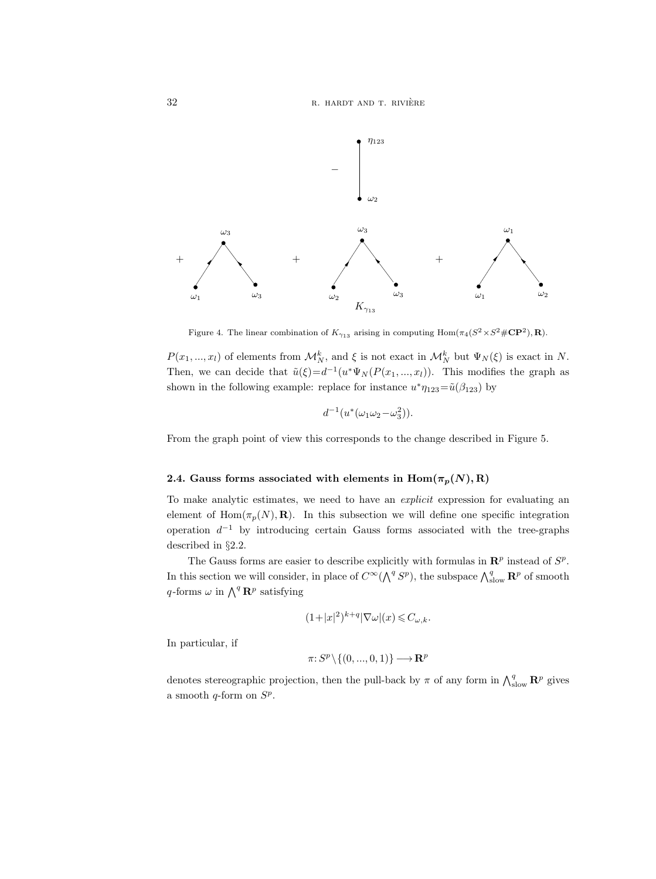32 R. HARDT AND T. RIVIÈRE



Figure 4. The linear combination of  $K_{\gamma_{13}}$  arising in computing  $\text{Hom}(\pi_4(S^2 \times S^2 \# \mathbb{CP}^2), \mathbb{R})$ .

 $P(x_1, ..., x_l)$  of elements from  $\mathcal{M}_N^k$ , and  $\xi$  is not exact in  $\mathcal{M}_N^k$  but  $\Psi_N(\xi)$  is exact in N. Then, we can decide that  $\tilde{u}(\xi) = d^{-1}(u^* \Psi_N(P(x_1, ..., x_l)).$  This modifies the graph as shown in the following example: replace for instance  $u^*\eta_{123} = \tilde{u}(\beta_{123})$  by

$$
d^{-1}(u^*(\omega_1\omega_2-\omega_3^2)).
$$

From the graph point of view this corresponds to the change described in Figure 5.

### 2.4. Gauss forms associated with elements in  $\text{Hom}(\pi_p(N), R)$

To make analytic estimates, we need to have an explicit expression for evaluating an element of Hom $(\pi_p(N), \mathbf{R})$ . In this subsection we will define one specific integration operation  $d^{-1}$  by introducing certain Gauss forms associated with the tree-graphs described in §2.2.

The Gauss forms are easier to describe explicitly with formulas in  $\mathbb{R}^p$  instead of  $S^p$ . In this section we will consider, in place of  $C^{\infty}(\bigwedge^{q} S^{p})$ , the subspace  $\bigwedge_{\text{slow}}^{q} \mathbb{R}^{p}$  of smooth q-forms  $\omega$  in  $\bigwedge^q \mathbf{R}^p$  satisfying

$$
(1+|x|^2)^{k+q}|\nabla\omega|(x)\leqslant C_{\omega,k}.
$$

In particular, if

$$
\pi\colon S^p\backslash\{(0,...,0,1)\}\longrightarrow\mathbf{R}^p
$$

denotes stereographic projection, then the pull-back by  $\pi$  of any form in  $\bigwedge_{s\geq 0}^q \mathbb{R}^p$  gives a smooth q-form on  $S^p$ .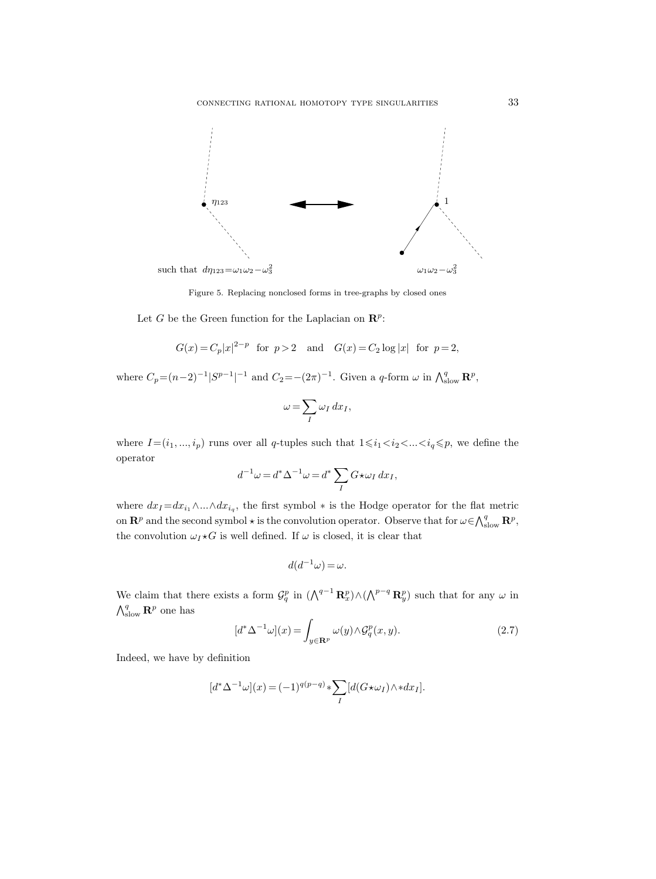

Figure 5. Replacing nonclosed forms in tree-graphs by closed ones

Let G be the Green function for the Laplacian on  $\mathbb{R}^p$ :

$$
G(x) = C_p |x|^{2-p}
$$
 for  $p > 2$  and  $G(x) = C_2 \log |x|$  for  $p = 2$ ,

where  $C_p = (n-2)^{-1} |S^{p-1}|^{-1}$  and  $C_2 = -(2\pi)^{-1}$ . Given a q-form  $\omega$  in  $\bigwedge_{\text{slow}}^q \mathbf{R}^p$ ,

$$
\omega = \sum_{I} \omega_I \, dx_I,
$$

where  $I\!=\!(i_1,...,i_p)$  runs over all q-tuples such that  $1\!\leqslant\!i_1\!<\!i_2\!<\!\dots\!<\!i_q\!\leqslant\!p,$  we define the operator

$$
d^{-1}\omega=d^*\Delta^{-1}\omega=d^*\sum_{I}G\star\omega_I\,dx_I,
$$

where  $dx_I = dx_{i_1} \wedge ... \wedge dx_{i_q}$ , the first symbol  $*$  is the Hodge operator for the flat metric on  $\mathbf{R}^p$  and the second symbol  $\star$  is the convolution operator. Observe that for  $\omega \in \bigwedge_{\text{slow}}^q \mathbf{R}^p$ , the convolution  $\omega_I \star G$  is well defined. If  $\omega$  is closed, it is clear that

$$
d(d^{-1}\omega) = \omega.
$$

We claim that there exists a form  $\mathcal{G}_q^p$  in  $(\bigwedge^{q-1} \mathbf{R}_x^p) \wedge (\bigwedge^{p-q} \mathbf{R}_y^p)$  such that for any  $\omega$  in  $\bigwedge_{\text{slow}}^q \mathbf{R}^p$  one has

$$
[d^*\Delta^{-1}\omega](x) = \int_{y \in \mathbf{R}^p} \omega(y) \wedge \mathcal{G}_q^p(x, y). \tag{2.7}
$$

Indeed, we have by definition

$$
[d^*\Delta^{-1}\omega](x) = (-1)^{q(p-q)} * \sum_{I} [d(G \star \omega_I) \wedge *dx_I].
$$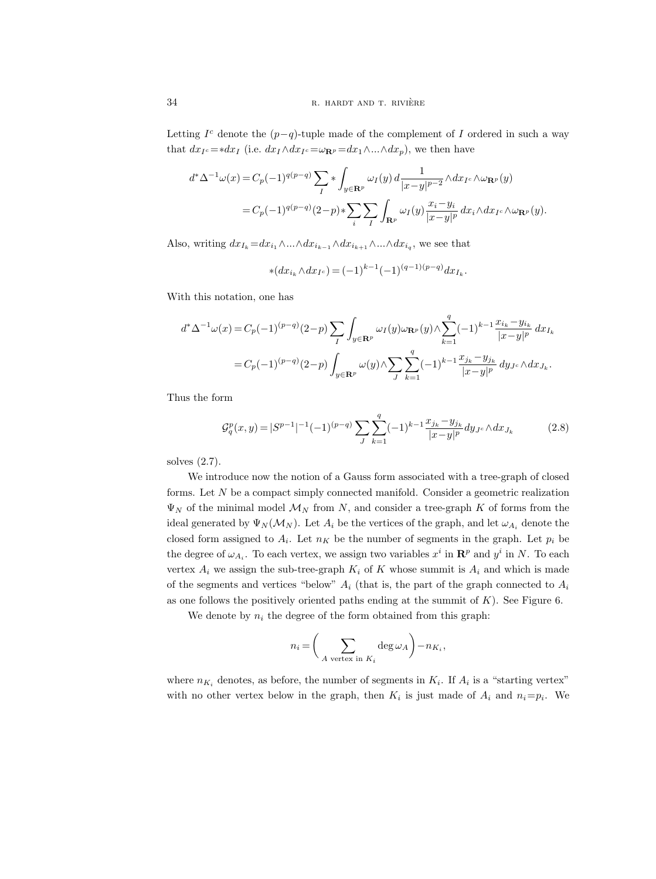Letting  $I<sup>c</sup>$  denote the  $(p-q)$ -tuple made of the complement of I ordered in such a way that  $dx_I = *dx_I$  (i.e.  $dx_I \wedge dx_I = \omega_{\mathbf{R}^p} = dx_1 \wedge ... \wedge dx_p$ ), we then have

$$
d^*\Delta^{-1}\omega(x) = C_p(-1)^{q(p-q)} \sum_I * \int_{y \in \mathbf{R}^p} \omega_I(y) d \frac{1}{|x-y|^{p-2}} \wedge dx_{I^c} \wedge \omega_{\mathbf{R}^p}(y)
$$
  
=  $C_p(-1)^{q(p-q)} (2-p) * \sum_i \sum_I \int_{\mathbf{R}^p} \omega_I(y) \frac{x_i - y_i}{|x-y|^p} dx_i \wedge dx_{I^c} \wedge \omega_{\mathbf{R}^p}(y).$ 

Also, writing  $dx_{I_k} = dx_{i_1} \wedge ... \wedge dx_{i_{k-1}} \wedge dx_{i_{k+1}} \wedge ... \wedge dx_{i_q}$ , we see that

$$
\ast(dx_{i_k} \wedge dx_{I^c}) = (-1)^{k-1} (-1)^{(q-1)(p-q)} dx_{I_k}.
$$

With this notation, one has

$$
\begin{aligned} d^*\Delta^{-1}\omega(x) & = C_p(-1)^{(p-q)}(2-p)\sum_{I}\int_{y\in{\bf R}^p}\omega_I(y)\omega_{{\bf R}^p}(y)\wedge \sum_{k=1}^q(-1)^{k-1}\frac{x_{i_k}-y_{i_k}}{|x-y|^p}\,dx_{I_k}\\ & = C_p(-1)^{(p-q)}(2-p)\int_{y\in{\bf R}^p}\omega(y)\wedge \sum_{J}\sum_{k=1}^q(-1)^{k-1}\frac{x_{j_k}-y_{j_k}}{|x-y|^p}\,dy_{J^c}\wedge dx_{J_k}. \end{aligned}
$$

Thus the form

$$
\mathcal{G}_q^p(x,y) = |S^{p-1}|^{-1}(-1)^{(p-q)} \sum_J \sum_{k=1}^q (-1)^{k-1} \frac{x_{j_k} - y_{j_k}}{|x-y|^p} dy_{J^c} \wedge dx_{J_k}
$$
(2.8)

solves (2.7).

We introduce now the notion of a Gauss form associated with a tree-graph of closed forms. Let  $N$  be a compact simply connected manifold. Consider a geometric realization  $\Psi_N$  of the minimal model  $\mathcal{M}_N$  from N, and consider a tree-graph K of forms from the ideal generated by  $\Psi_N(\mathcal{M}_N)$ . Let  $A_i$  be the vertices of the graph, and let  $\omega_{A_i}$  denote the closed form assigned to  $A_i$ . Let  $n_K$  be the number of segments in the graph. Let  $p_i$  be the degree of  $\omega_{A_i}$ . To each vertex, we assign two variables  $x^i$  in  $\mathbb{R}^p$  and  $y^i$  in N. To each vertex  $A_i$  we assign the sub-tree-graph  $K_i$  of K whose summit is  $A_i$  and which is made of the segments and vertices "below"  $A_i$  (that is, the part of the graph connected to  $A_i$ as one follows the positively oriented paths ending at the summit of  $K$ ). See Figure 6.

We denote by  $n_i$  the degree of the form obtained from this graph:

$$
n_i = \left(\sum_{A \text{ vertex in } K_i} \deg \omega_A\right) - n_{K_i},
$$

where  $n_{K_i}$  denotes, as before, the number of segments in  $K_i$ . If  $A_i$  is a "starting vertex" with no other vertex below in the graph, then  $K_i$  is just made of  $A_i$  and  $n_i=p_i$ . We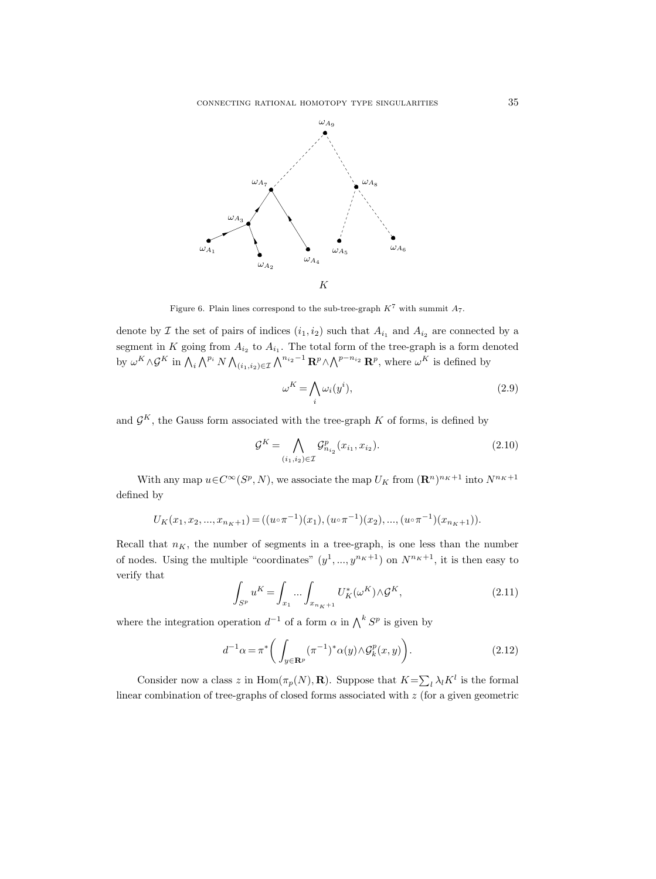connecting rational homotopy type singularities 35



Figure 6. Plain lines correspond to the sub-tree-graph  $K^7$  with summit  $A_7$ .

denote by  $\mathcal I$  the set of pairs of indices  $(i_1, i_2)$  such that  $A_{i_1}$  and  $A_{i_2}$  are connected by a segment in K going from  $A_{i_2}$  to  $A_{i_1}$ . The total form of the tree-graph is a form denoted by  $\omega^K \wedge \mathcal{G}^K$  in  $\bigwedge_i \bigwedge^{p_i} N \bigwedge_{(i_1,i_2)\in \mathcal{I}} \bigwedge^{n_{i_2}-1} \mathbf{R}^p \wedge \bigwedge^{p-n_{i_2}} \mathbf{R}^p$ , where  $\omega^K$  is defined by

$$
\omega^K = \bigwedge_i \omega_i(y^i),\tag{2.9}
$$

and  $\mathcal{G}^K$ , the Gauss form associated with the tree-graph K of forms, is defined by

$$
\mathcal{G}^K = \bigwedge_{(i_1, i_2) \in \mathcal{I}} \mathcal{G}^p_{n_{i_2}}(x_{i_1}, x_{i_2}).
$$
\n(2.10)

With any map  $u \in C^{\infty}(S^p, N)$ , we associate the map  $U_K$  from  $(\mathbb{R}^n)^{n_K+1}$  into  $N^{n_K+1}$ defined by

$$
U_K(x_1, x_2, ..., x_{n_K+1}) = ((u \circ \pi^{-1})(x_1), (u \circ \pi^{-1})(x_2), ..., (u \circ \pi^{-1})(x_{n_K+1})).
$$

Recall that  $n<sub>K</sub>$ , the number of segments in a tree-graph, is one less than the number of nodes. Using the multiple "coordinates"  $(y^1, ..., y^{n_K+1})$  on  $N^{n_K+1}$ , it is then easy to verify that

$$
\int_{S^p} u^K = \int_{x_1} \dots \int_{x_{n_K+1}} U_K^*(\omega^K) \wedge \mathcal{G}^K,
$$
\n(2.11)

where the integration operation  $d^{-1}$  of a form  $\alpha$  in  $\bigwedge^k S^p$  is given by

$$
d^{-1}\alpha = \pi^* \bigg( \int_{y \in \mathbf{R}^p} (\pi^{-1})^* \alpha(y) \wedge \mathcal{G}_k^p(x, y) \bigg). \tag{2.12}
$$

Consider now a class z in  $\text{Hom}(\pi_p(N), \mathbf{R})$ . Suppose that  $K = \sum_l \lambda_l K^l$  is the formal linear combination of tree-graphs of closed forms associated with z (for a given geometric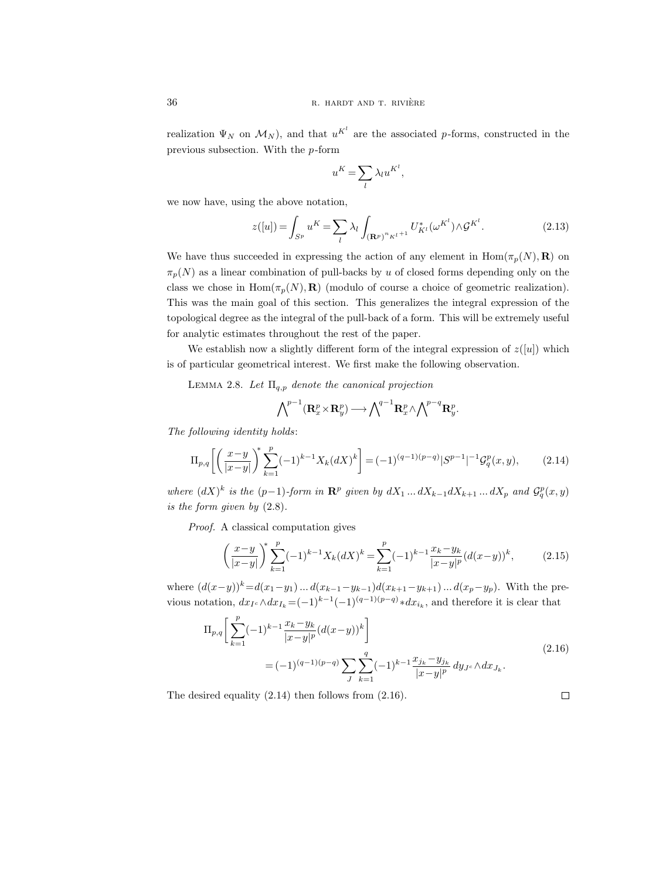realization  $\Psi_N$  on  $\mathcal{M}_N$ ), and that  $u^{K^l}$  are the associated p-forms, constructed in the previous subsection. With the p-form

$$
u^K = \sum_l \lambda_l u^{K^l},
$$

we now have, using the above notation,

$$
z([u]) = \int_{S^p} u^K = \sum_{l} \lambda_l \int_{(\mathbf{R}^p)^n K^{l+1}} U^*_{K^l}(\omega^{K^l}) \wedge \mathcal{G}^{K^l}.
$$
 (2.13)

We have thus succeeded in expressing the action of any element in  $\text{Hom}(\pi_p(N), \mathbf{R})$  on  $\pi_p(N)$  as a linear combination of pull-backs by u of closed forms depending only on the class we chose in  $\text{Hom}(\pi_p(N), \mathbf{R})$  (modulo of course a choice of geometric realization). This was the main goal of this section. This generalizes the integral expression of the topological degree as the integral of the pull-back of a form. This will be extremely useful for analytic estimates throughout the rest of the paper.

We establish now a slightly different form of the integral expression of  $z([u])$  which is of particular geometrical interest. We first make the following observation.

LEMMA 2.8. Let  $\Pi_{q,p}$  denote the canonical projection

$$
\bigwedge\nolimits^{p-1}(\mathbf{R}^p_x\times\mathbf{R}^p_y)\longrightarrow\bigwedge\nolimits^{q-1}\mathbf{R}^p_x\wedge\bigwedge\nolimits^{p-q}\mathbf{R}^p_y.
$$

The following identity holds:

$$
\Pi_{p,q}\left[\left(\frac{x-y}{|x-y|}\right)^{\ast}\sum_{k=1}^{p}(-1)^{k-1}X_k(dX)^k\right] = (-1)^{(q-1)(p-q)}|S^{p-1}|^{-1}\mathcal{G}_q^p(x,y),\tag{2.14}
$$

where  $(dX)^k$  is the  $(p-1)$ -form in  $\mathbb{R}^p$  given by  $dX_1 \dots dX_{k-1} dX_{k+1} \dots dX_p$  and  $\mathcal{G}_q^p(x, y)$ is the form given by (2.8).

Proof. A classical computation gives

$$
\left(\frac{x-y}{|x-y|}\right)^{\ast}\sum_{k=1}^{p}(-1)^{k-1}X_k(dX)^k = \sum_{k=1}^{p}(-1)^{k-1}\frac{x_k-y_k}{|x-y|^p}(d(x-y))^k,\tag{2.15}
$$

where  $(d(x-y))^k=d(x_1-y_1)...d(x_{k-1}-y_{k-1})d(x_{k+1}-y_{k+1})...d(x_p-y_p)$ . With the previous notation,  $dx_{I_c} \wedge dx_{I_k} = (-1)^{k-1} (-1)^{(q-1)(p-q)} * dx_{i_k}$ , and therefore it is clear that

$$
\Pi_{p,q}\left[\sum_{k=1}^{p}(-1)^{k-1}\frac{x_k-y_k}{|x-y|^p}(d(x-y))^k\right]
$$
\n
$$
=(-1)^{(q-1)(p-q)}\sum_{J}\sum_{k=1}^{q}(-1)^{k-1}\frac{x_{j_k}-y_{j_k}}{|x-y|^p}dy_{J^c}\wedge dx_{J_k}.
$$
\n(2.16)

The desired equality (2.14) then follows from (2.16).

 $\hfill\square$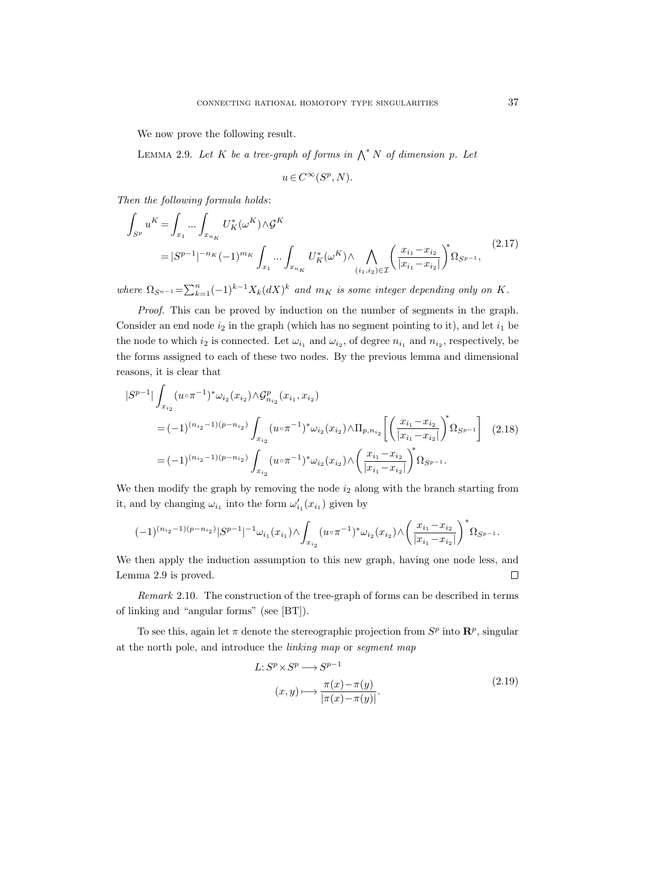We now prove the following result.

LEMMA 2.9. Let K be a tree-graph of forms in  $\bigwedge^* N$  of dimension p. Let

$$
u \in C^{\infty}(S^p, N).
$$

Then the following formula holds:

$$
\int_{S^p} u^K = \int_{x_1} \dots \int_{x_{n_K}} U_K^*(\omega^K) \wedge \mathcal{G}^K
$$
\n
$$
= |S^{p-1}|^{-n_K} (-1)^{m_K} \int_{x_1} \dots \int_{x_{n_K}} U_K^*(\omega^K) \wedge \bigwedge_{(i_1, i_2) \in \mathcal{I}} \left( \frac{x_{i_1} - x_{i_2}}{|x_{i_1} - x_{i_2}|} \right)^* \Omega_{S^{p-1}},
$$
\n(2.17)

where  $\Omega_{S^{n-1}} = \sum_{k=1}^{n} (-1)^{k-1} X_k (dX)^k$  and  $m_K$  is some integer depending only on K.

Proof. This can be proved by induction on the number of segments in the graph. Consider an end node  $i_2$  in the graph (which has no segment pointing to it), and let  $i_1$  be the node to which  $i_2$  is connected. Let  $\omega_{i_1}$  and  $\omega_{i_2}$ , of degree  $n_{i_1}$  and  $n_{i_2}$ , respectively, be the forms assigned to each of these two nodes. By the previous lemma and dimensional reasons, it is clear that

$$
|S^{p-1}| \int_{x_{i_2}} (u \circ \pi^{-1})^* \omega_{i_2}(x_{i_2}) \wedge \mathcal{G}_{n_{i_2}}^p(x_{i_1}, x_{i_2})
$$
  
=  $(-1)^{(n_{i_2}-1)(p-n_{i_2})} \int_{x_{i_2}} (u \circ \pi^{-1})^* \omega_{i_2}(x_{i_2}) \wedge \Pi_{p, n_{i_2}} \left[ \left( \frac{x_{i_1} - x_{i_2}}{|x_{i_1} - x_{i_2}|} \right)^* \Omega_{S^{p-1}} \right] (2.18)$   
=  $(-1)^{(n_{i_2}-1)(p-n_{i_2})} \int_{x_{i_2}} (u \circ \pi^{-1})^* \omega_{i_2}(x_{i_2}) \wedge \left( \frac{x_{i_1} - x_{i_2}}{|x_{i_1} - x_{i_2}|} \right)^* \Omega_{S^{p-1}}.$ 

We then modify the graph by removing the node  $i_2$  along with the branch starting from it, and by changing  $\omega_{i_1}$  into the form  $\omega'_{i_1}(x_{i_1})$  given by

$$
(-1)^{(n_{i_2}-1)(p-n_{i_2})}|S^{p-1}|^{-1}\omega_{i_1}(x_{i_1})\wedge\int_{x_{i_2}}(u\circ\pi^{-1})^*\omega_{i_2}(x_{i_2})\wedge\left(\frac{x_{i_1}-x_{i_2}}{|x_{i_1}-x_{i_2}|}\right)^*\Omega_{S^{p-1}}.
$$

We then apply the induction assumption to this new graph, having one node less, and Lemma 2.9 is proved.  $\Box$ 

Remark 2.10. The construction of the tree-graph of forms can be described in terms of linking and "angular forms" (see [BT]).

To see this, again let  $\pi$  denote the stereographic projection from  $S^p$  into  $\mathbb{R}^p$ , singular at the north pole, and introduce the linking map or segment map

$$
L: S^{p} \times S^{p} \longrightarrow S^{p-1}
$$
  
\n
$$
(x, y) \longmapsto \frac{\pi(x) - \pi(y)}{|\pi(x) - \pi(y)|}.
$$
\n(2.19)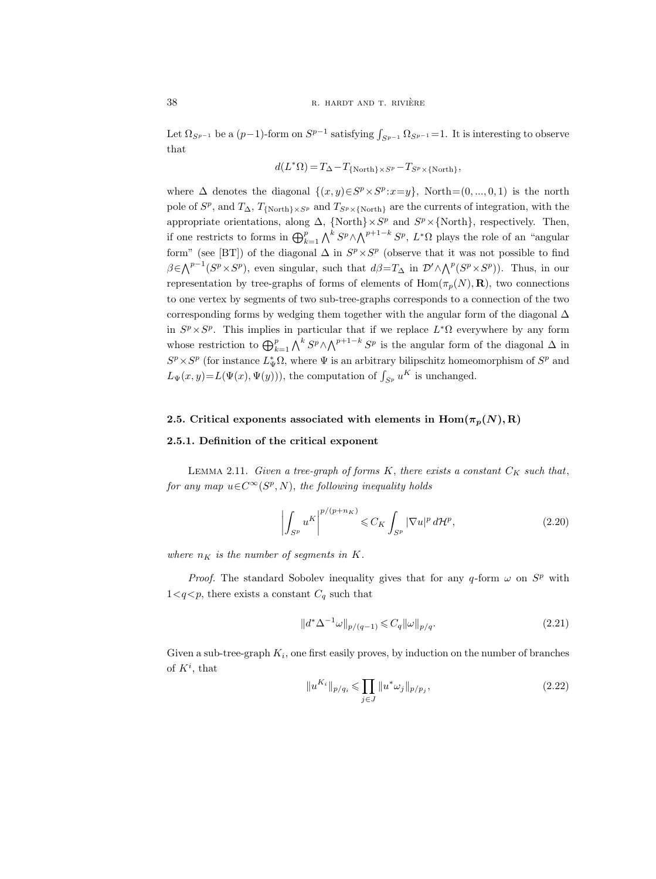Let  $\Omega_{S^{p-1}}$  be a  $(p-1)$ -form on  $S^{p-1}$  satisfying  $\int_{S^{p-1}} \Omega_{S^{p-1}} = 1$ . It is interesting to observe that

$$
d(L^*\Omega)\,{=}\,T_\Delta\!-\!T_{\{\text{North}\}\times S^p}\!-\!T_{S^p\times\{\text{North}\}},
$$

where  $\Delta$  denotes the diagonal  $\{(x, y) \in S^p \times S^p : x = y\}$ , North= $(0, ..., 0, 1)$  is the north pole of  $S^p$ , and  $T_{\Delta}$ ,  $T_{\text{{North}}\times S^p}$  and  $T_{S^p\times{\text{North}}}$  are the currents of integration, with the appropriate orientations, along  $\Delta$ , {North} ×  $S^p$  and  $S^p$  × {North}, respectively. Then, if one restricts to forms in  $\bigoplus_{k=1}^p \bigwedge^k S^p \wedge \bigwedge^{p+1-k} S^p$ ,  $L^*\Omega$  plays the role of an "angular" form" (see [BT]) of the diagonal  $\Delta$  in  $S^p \times S^p$  (observe that it was not possible to find  $\beta \in \bigwedge^{p-1}(S^p \times S^p)$ , even singular, such that  $d\beta = T_\Delta$  in  $\mathcal{D}' \wedge \bigwedge^p(S^p \times S^p)$ ). Thus, in our representation by tree-graphs of forms of elements of  $\text{Hom}(\pi_p(N), \mathbf{R})$ , two connections to one vertex by segments of two sub-tree-graphs corresponds to a connection of the two corresponding forms by wedging them together with the angular form of the diagonal  $\Delta$ in  $S^p \times S^p$ . This implies in particular that if we replace  $L^*\Omega$  everywhere by any form whose restriction to  $\bigoplus_{k=1}^p \bigwedge^k S^p \wedge \bigwedge^{p+1-k} S^p$  is the angular form of the diagonal  $\Delta$  in  $S^p \times S^p$  (for instance  $L^*_{\Psi} \Omega$ , where  $\Psi$  is an arbitrary bilipschitz homeomorphism of  $S^p$  and  $L_{\Psi}(x, y) = L(\Psi(x), \Psi(y))),$  the computation of  $\int_{S^p} u^K$  is unchanged.

### 2.5. Critical exponents associated with elements in  $\text{Hom}(\pi_n(N), R)$

### 2.5.1. Definition of the critical exponent

LEMMA 2.11. Given a tree-graph of forms K, there exists a constant  $C_K$  such that, for any map  $u \in C^{\infty}(S^p, N)$ , the following inequality holds

$$
\left| \int_{S^p} u^K \right|^{p/(p+n_K)} \leqslant C_K \int_{S^p} |\nabla u|^p d\mathcal{H}^p,\tag{2.20}
$$

where  $n_K$  is the number of segments in K.

*Proof.* The standard Sobolev inequality gives that for any q-form  $\omega$  on  $S^p$  with  $1 \lt q \lt p$ , there exists a constant  $C_q$  such that

$$
||d^* \Delta^{-1} \omega||_{p/(q-1)} \leq C_q ||\omega||_{p/q}.
$$
\n(2.21)

Given a sub-tree-graph  $K_i$ , one first easily proves, by induction on the number of branches of  $K^i$ , that

$$
||u^{K_i}||_{p/q_i} \leq \prod_{j \in J} ||u^* \omega_j||_{p/p_j},
$$
\n(2.22)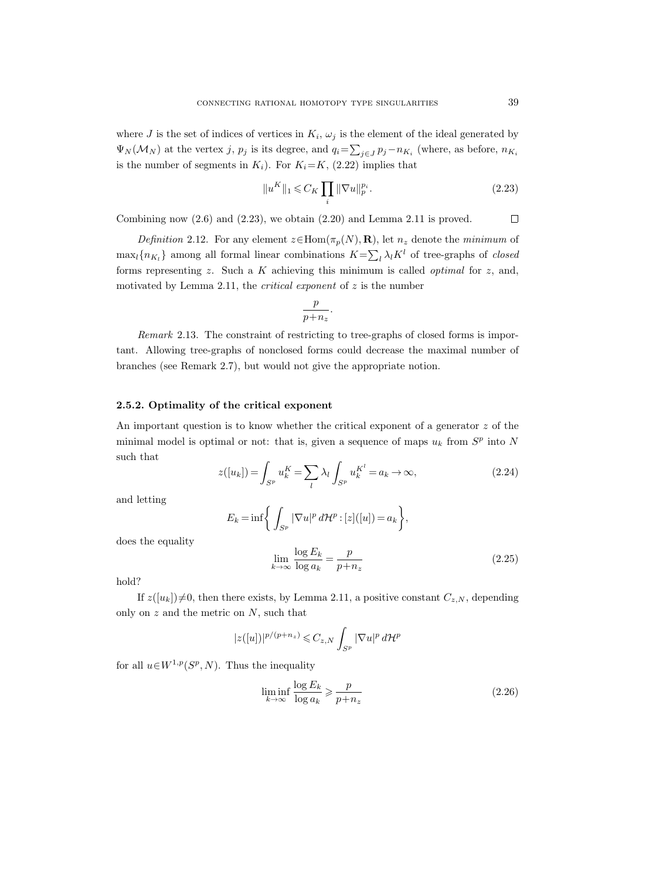where J is the set of indices of vertices in  $K_i$ ,  $\omega_j$  is the element of the ideal generated by  $\Psi_N(\mathcal{M}_N)$  at the vertex j,  $p_j$  is its degree, and  $q_i = \sum_{j \in J} p_j - n_{K_i}$  (where, as before,  $n_{K_i}$ is the number of segments in  $K_i$ ). For  $K_i=K$ , (2.22) implies that

$$
||u^K||_1 \leqslant C_K \prod_i ||\nabla u||_p^{p_i}.
$$
\n(2.23)

Combining now  $(2.6)$  and  $(2.23)$ , we obtain  $(2.20)$  and Lemma 2.11 is proved.  $\Box$ 

Definition 2.12. For any element  $z \in \text{Hom}(\pi_p(N), \mathbf{R})$ , let  $n_z$  denote the minimum of  $\max_{l} \{n_{K_l}\}\$ among all formal linear combinations  $K = \sum_l \lambda_l K^l$  of tree-graphs of *closed* forms representing  $z$ . Such a  $K$  achieving this minimum is called *optimal* for  $z$ , and, motivated by Lemma 2.11, the *critical exponent* of  $z$  is the number

$$
\frac{p}{p+n_z}.
$$

Remark 2.13. The constraint of restricting to tree-graphs of closed forms is important. Allowing tree-graphs of nonclosed forms could decrease the maximal number of branches (see Remark 2.7), but would not give the appropriate notion.

#### 2.5.2. Optimality of the critical exponent

An important question is to know whether the critical exponent of a generator  $z$  of the minimal model is optimal or not: that is, given a sequence of maps  $u_k$  from  $S^p$  into N such that

$$
z([u_k]) = \int_{S^p} u_k^K = \sum_l \lambda_l \int_{S^p} u_k^{K^l} = a_k \to \infty,
$$
\n(2.24)

and letting

$$
E_k = \inf \bigg\{ \int_{S^p} |\nabla u|^p d\mathcal{H}^p : [z]([u]) = a_k \bigg\},\
$$

does the equality

$$
\lim_{k \to \infty} \frac{\log E_k}{\log a_k} = \frac{p}{p + n_z} \tag{2.25}
$$

hold?

If  $z([u_k])\neq 0$ , then there exists, by Lemma 2.11, a positive constant  $C_{z,N}$ , depending only on  $z$  and the metric on  $N$ , such that

$$
|z([u])|^{p/(p+n_z)} \leqslant C_{z,N} \int_{S^p} |\nabla u|^p d\mathcal{H}^p
$$

for all  $u \in W^{1,p}(S^p, N)$ . Thus the inequality

$$
\liminf_{k \to \infty} \frac{\log E_k}{\log a_k} \geqslant \frac{p}{p + n_z} \tag{2.26}
$$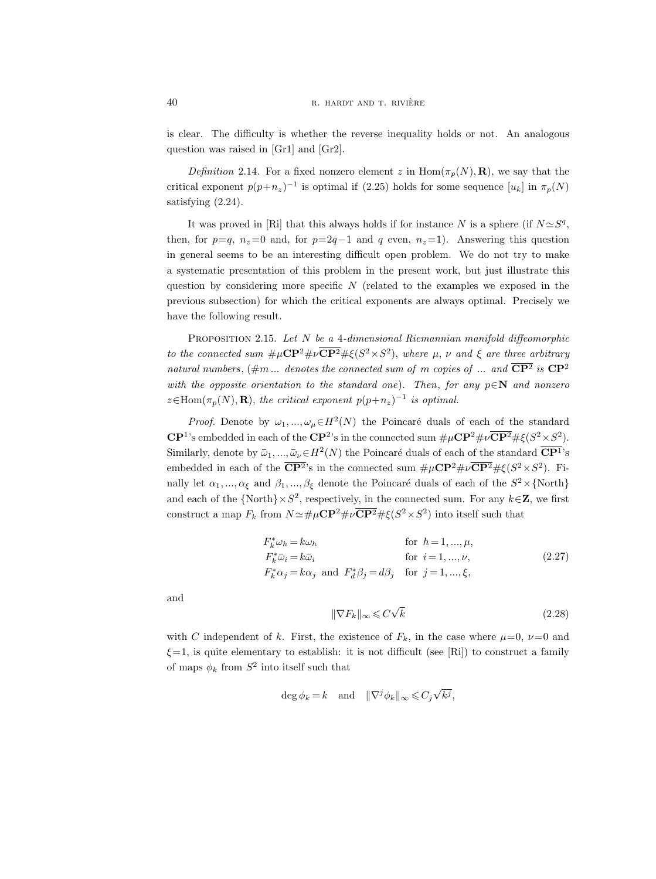is clear. The difficulty is whether the reverse inequality holds or not. An analogous question was raised in [Gr1] and [Gr2].

Definition 2.14. For a fixed nonzero element z in  $\text{Hom}(\pi_p(N), \mathbf{R})$ , we say that the critical exponent  $p(p+n_z)^{-1}$  is optimal if (2.25) holds for some sequence  $[u_k]$  in  $\pi_p(N)$ satisfying  $(2.24)$ .

It was proved in [Ri] that this always holds if for instance N is a sphere (if  $N \simeq S^q$ , then, for  $p=q$ ,  $n_z=0$  and, for  $p=2q-1$  and q even,  $n_z=1$ ). Answering this question in general seems to be an interesting difficult open problem. We do not try to make a systematic presentation of this problem in the present work, but just illustrate this question by considering more specific  $N$  (related to the examples we exposed in the previous subsection) for which the critical exponents are always optimal. Precisely we have the following result.

PROPOSITION 2.15. Let  $N$  be a 4-dimensional Riemannian manifold diffeomorphic to the connected sum  $\#\mu\mathbf{CP}^2\#\nu\overline{\mathbf{CP}^2\#\xi}(S^2\times S^2)$ , where  $\mu$ ,  $\nu$  and  $\xi$  are three arbitrary natural numbers,  $(\#m \dots$  denotes the connected sum of m copies of  $\dots$  and  $\overline{\mathbb{C}\mathbb{P}^2}$  is  $\mathbb{C}\mathbb{P}^2$ with the opposite orientation to the standard one). Then, for any  $p \in \mathbb{N}$  and nonzero  $z \in \text{Hom}(\pi_p(N), \mathbf{R})$ , the critical exponent  $p(p+n_z)^{-1}$  is optimal.

*Proof.* Denote by  $\omega_1, ..., \omega_\mu \in H^2(N)$  the Poincaré duals of each of the standard  $\mathbb{CP}^1$ 's embedded in each of the  $\mathbb{CP}^2$ 's in the connected sum  $\#\mu\mathbb{CP}^2\#\nu\overline{\mathbb{CP}^2}\#\xi(S^2\times S^2)$ . Similarly, denote by  $\bar{\omega}_1, ..., \bar{\omega}_{\nu} \in H^2(N)$  the Poincaré duals of each of the standard  $\overline{\mathbf{C}\mathbf{P}^1}$ 's embedded in each of the  $\overline{\mathbf{CP}^2}$ 's in the connected sum  $\#\mu\mathbf{CP}^2\#\nu\overline{\mathbf{CP}^2}\#\xi(S^2\times S^2)$ . Finally let  $\alpha_1, ..., \alpha_\xi$  and  $\beta_1, ..., \beta_\xi$  denote the Poincaré duals of each of the  $S^2 \times \{ \text{North} \}$ and each of the  $\{North\} \times S^2$ , respectively, in the connected sum. For any  $k \in \mathbb{Z}$ , we first construct a map  $F_k$  from  $N \simeq \# \mu \mathbb{CP}^2 \# \nu \overline{\mathbb{CP}^2} \# \xi(S^2 \times S^2)$  into itself such that

$$
F_k^* \omega_h = k \omega_h \qquad \text{for } h = 1, ..., \mu,
$$
  
\n
$$
F_k^* \bar{\omega}_i = k \bar{\omega}_i \qquad \text{for } i = 1, ..., \nu,
$$
  
\n
$$
F_k^* \alpha_j = k \alpha_j \text{ and } F_d^* \beta_j = d \beta_j \qquad \text{for } j = 1, ..., \xi,
$$
\n(2.27)

and

$$
\|\nabla F_k\|_{\infty} \leqslant C\sqrt{k} \tag{2.28}
$$

with C independent of k. First, the existence of  $F_k$ , in the case where  $\mu=0$ ,  $\nu=0$  and  $\xi=1$ , is quite elementary to establish: it is not difficult (see [Ri]) to construct a family of maps  $\phi_k$  from  $S^2$  into itself such that

$$
\deg \phi_k = k \quad \text{and} \quad \|\nabla^j \phi_k\|_{\infty} \leqslant C_j \sqrt{k^j},
$$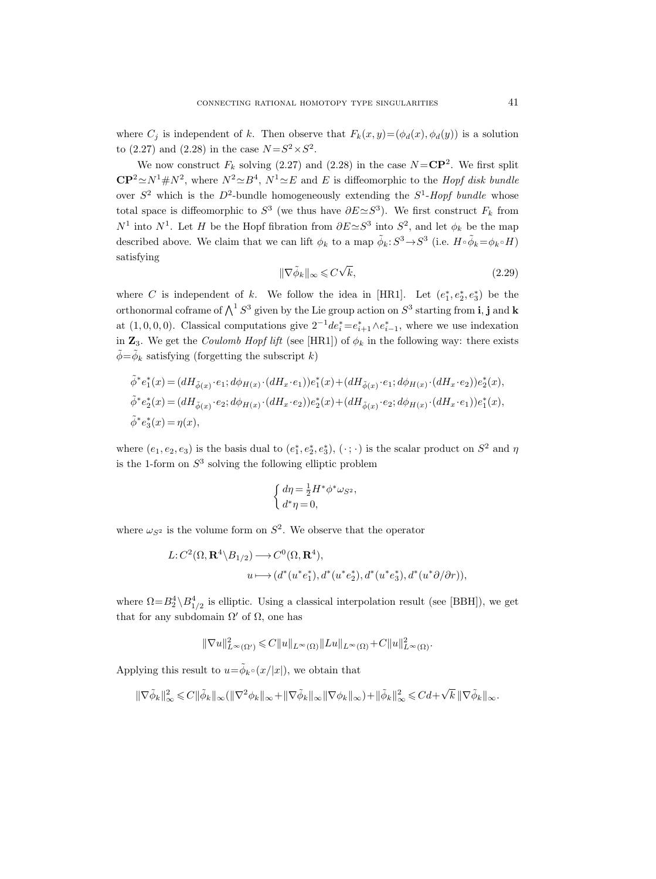where  $C_j$  is independent of k. Then observe that  $F_k(x, y) = (\phi_d(x), \phi_d(y))$  is a solution to  $(2.27)$  and  $(2.28)$  in the case  $N = S^2 \times S^2$ .

We now construct  $F_k$  solving (2.27) and (2.28) in the case  $N = \mathbb{CP}^2$ . We first split  $\mathbb{CP}^2 \simeq N^1 \# N^2$ , where  $N^2 \simeq B^4$ ,  $N^1 \simeq E$  and E is diffeomorphic to the *Hopf disk bundle* over  $S^2$  which is the  $D^2$ -bundle homogeneously extending the  $S^1$ -Hopf bundle whose total space is diffeomorphic to  $S^3$  (we thus have  $\partial E \simeq S^3$ ). We first construct  $F_k$  from  $N^1$  into  $N^1$ . Let H be the Hopf fibration from  $\partial E \simeq S^3$  into  $S^2$ , and let  $\phi_k$  be the map described above. We claim that we can lift  $\phi_k$  to a map  $\tilde{\phi}_k$ :  $S^3 \to S^3$  (i.e.  $H \circ \tilde{\phi}_k = \phi_k \circ H$ ) satisfying √

$$
\|\nabla \tilde{\phi}_k\|_{\infty} \leqslant C\sqrt{k},\tag{2.29}
$$

where C is independent of k. We follow the idea in [HR1]. Let  $(e_1^*, e_2^*, e_3^*)$  be the orthonormal coframe of  $\bigwedge^1 S^3$  given by the Lie group action on  $S^3$  starting from **i**, **j** and **k** at  $(1, 0, 0, 0)$ . Classical computations give  $2^{-1}de_i^* = e_{i+1}^* \wedge e_{i-1}^*$ , where we use indexation in  $\mathbb{Z}_3$ . We get the *Coulomb Hopf lift* (see [HR1]) of  $\phi_k$  in the following way: there exists  $\tilde{\phi} = \tilde{\phi}_k$  satisfying (forgetting the subscript k)

$$
\tilde{\phi}^* e_1^*(x) = (dH_{\tilde{\phi}(x)} \cdot e_1; d\phi_{H(x)} \cdot (dH_x \cdot e_1))e_1^*(x) + (dH_{\tilde{\phi}(x)} \cdot e_1; d\phi_{H(x)} \cdot (dH_x \cdot e_2))e_2^*(x),
$$
  
\n
$$
\tilde{\phi}^* e_2^*(x) = (dH_{\tilde{\phi}(x)} \cdot e_2; d\phi_{H(x)} \cdot (dH_x \cdot e_2))e_2^*(x) + (dH_{\tilde{\phi}(x)} \cdot e_2; d\phi_{H(x)} \cdot (dH_x \cdot e_1))e_1^*(x),
$$
  
\n
$$
\tilde{\phi}^* e_3^*(x) = \eta(x),
$$

where  $(e_1, e_2, e_3)$  is the basis dual to  $(e_1^*, e_2^*, e_3^*)$ ,  $(\cdot; \cdot)$  is the scalar product on  $S^2$  and  $\eta$ is the 1-form on  $S^3$  solving the following elliptic problem

$$
\begin{cases} d\eta = \frac{1}{2}H^*\phi^*\omega_{S^2}, \\ d^*\eta = 0, \end{cases}
$$

where  $\omega_{S^2}$  is the volume form on  $S^2$ . We observe that the operator

$$
L:C^{2}(\Omega,\mathbf{R}^{4}\backslash B_{1/2})\longrightarrow C^{0}(\Omega,\mathbf{R}^{4}),
$$
  

$$
u\longmapsto (d^{*}(u^{*}e_{1}^{*}),d^{*}(u^{*}e_{2}^{*}),d^{*}(u^{*}e_{3}^{*}),d^{*}(u^{*}\partial/\partial r)),
$$

where  $\Omega = B_2^4 \setminus B_{1/2}^4$  is elliptic. Using a classical interpolation result (see [BBH]), we get that for any subdomain  $\Omega'$  of  $\Omega$ , one has

$$
\|\nabla u\|_{L^\infty(\Omega')}^2\leqslant C\|u\|_{L^\infty(\Omega)}\|Lu\|_{L^\infty(\Omega)}+C\|u\|_{L^\infty(\Omega)}^2.
$$

Applying this result to  $u = \tilde{\phi}_{k} \circ (x/|x|)$ , we obtain that

$$
\|\nabla \widetilde{\phi}_{k}\|_{\infty}^{2} \leqslant C\|\widetilde{\phi}_{k}\|_{\infty}(\|\nabla^{2} \phi_{k}\|_{\infty} + \|\nabla \widetilde{\phi}_{k}\|_{\infty}\|\nabla \phi_{k}\|_{\infty}) + \|\widetilde{\phi}_{k}\|_{\infty}^{2} \leqslant C d + \sqrt{k} \|\nabla \widetilde{\phi}_{k}\|_{\infty}.
$$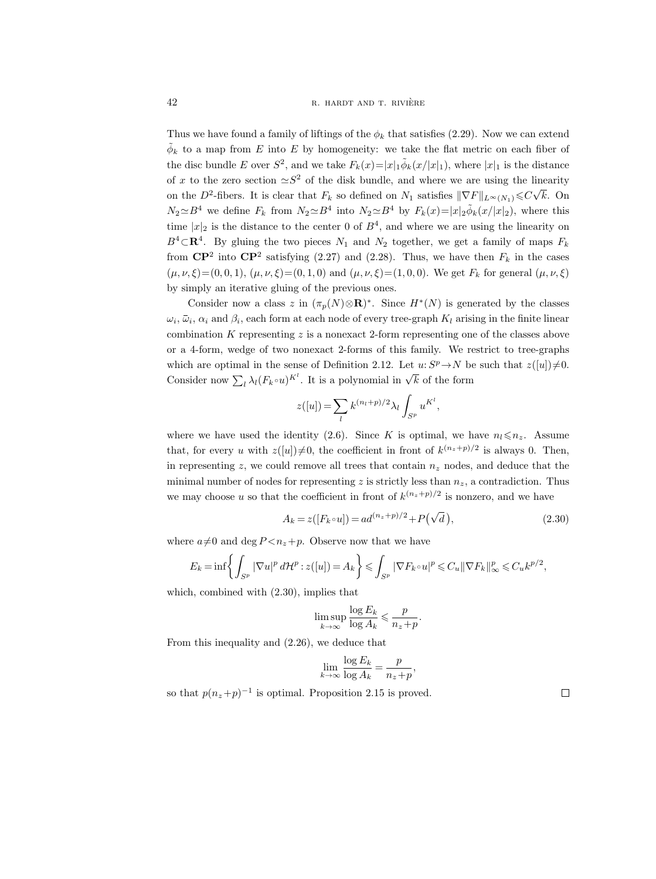Thus we have found a family of liftings of the  $\phi_k$  that satisfies (2.29). Now we can extend  $\tilde{\phi}_k$  to a map from E into E by homogeneity: we take the flat metric on each fiber of the disc bundle E over  $S^2$ , and we take  $F_k(x)=|x|_1\tilde{\phi}_k(x/|x|_1)$ , where  $|x|_1$  is the distance of x to the zero section  $\approx S^2$  of the disk bundle, and where we are using the linearity on the D<sup>2</sup>-fibers. It is clear that  $F_k$  so defined on  $N_1$  satisfies  $\|\nabla F\|_{L^\infty(N_1)} \leq C\sqrt{N_1}$ k. On  $N_2 \simeq B^4$  we define  $F_k$  from  $N_2 \simeq B^4$  into  $N_2 \simeq B^4$  by  $F_k(x) = |x|_2 \tilde{\phi}_k(x/|x|_2)$ , where this time  $|x|_2$  is the distance to the center 0 of  $B^4$ , and where we are using the linearity on  $B<sup>4</sup>$  CR<sup>4</sup>. By gluing the two pieces  $N_1$  and  $N_2$  together, we get a family of maps  $F_k$ from  $\mathbb{CP}^2$  into  $\mathbb{CP}^2$  satisfying (2.27) and (2.28). Thus, we have then  $F_k$  in the cases  $(\mu, \nu, \xi) = (0, 0, 1), (\mu, \nu, \xi) = (0, 1, 0)$  and  $(\mu, \nu, \xi) = (1, 0, 0)$ . We get  $F_k$  for general  $(\mu, \nu, \xi)$ by simply an iterative gluing of the previous ones.

Consider now a class z in  $(\pi_p(N)\otimes \mathbf{R})^*$ . Since  $H^*(N)$  is generated by the classes  $\omega_i$ ,  $\bar{\omega}_i$ ,  $\alpha_i$  and  $\beta_i$ , each form at each node of every tree-graph  $K_l$  arising in the finite linear combination  $K$  representing  $z$  is a nonexact 2-form representing one of the classes above or a 4-form, wedge of two nonexact 2-forms of this family. We restrict to tree-graphs which are optimal in the sense of Definition 2.12. Let  $u: S^p \to N$  be such that  $z([u]) \neq 0$ . Consider now  $\sum_l \lambda_l (F_k \circ u)^{K^l}$ . It is a polynomial in  $\sqrt{k}$  of the form

$$
z([u]) = \sum_{l} k^{(n_l+p)/2} \lambda_l \int_{S^p} u^{K^l},
$$

where we have used the identity (2.6). Since K is optimal, we have  $n_l \leq n_z$ . Assume that, for every u with  $z([u])\neq 0$ , the coefficient in front of  $k^{(n_z+p)/2}$  is always 0. Then, in representing z, we could remove all trees that contain  $n_z$  nodes, and deduce that the minimal number of nodes for representing z is strictly less than  $n_z$ , a contradiction. Thus we may choose u so that the coefficient in front of  $k^{(n_z+p)/2}$  is nonzero, and we have

$$
A_k = z([F_k \circ u]) = ad^{(n_z + p)/2} + P(\sqrt{d}), \qquad (2.30)
$$

where  $a\neq 0$  and deg  $P \leq n_z+p$ . Observe now that we have

$$
E_k = \inf \left\{ \int_{S^p} |\nabla u|^p d\mathcal{H}^p : z([u]) = A_k \right\} \leq \int_{S^p} |\nabla F_k \circ u|^p \leq C_u ||\nabla F_k||_\infty^p \leq C_u k^{p/2},
$$

which, combined with (2.30), implies that

$$
\limsup_{k \to \infty} \frac{\log E_k}{\log A_k} \leqslant \frac{p}{n_z + p}.
$$

From this inequality and (2.26), we deduce that

$$
\lim_{k \to \infty} \frac{\log E_k}{\log A_k} = \frac{p}{n_z + p},
$$

so that  $p(n_z+p)^{-1}$  is optimal. Proposition 2.15 is proved.

 $\Box$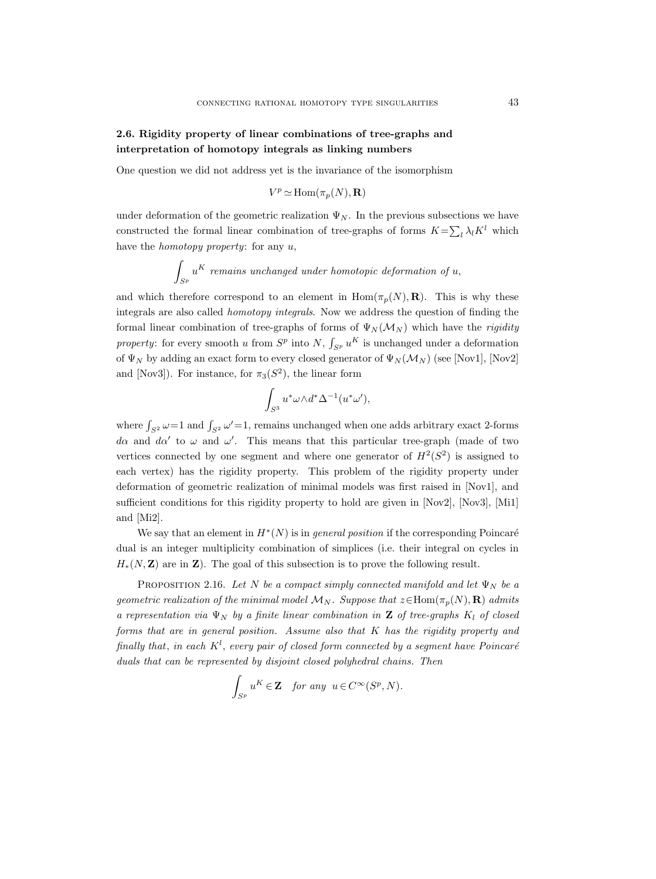# 2.6. Rigidity property of linear combinations of tree-graphs and interpretation of homotopy integrals as linking numbers

One question we did not address yet is the invariance of the isomorphism

$$
V^p\simeq \mathrm{Hom}(\pi_p(N),{\mathbf R})
$$

under deformation of the geometric realization  $\Psi_N$ . In the previous subsections we have constructed the formal linear combination of tree-graphs of forms  $K = \sum_l \lambda_l K^l$  which have the homotopy property: for any u,

$$
\int_{S^p} u^K \text{ remains unchanged under homotopic deformation of } u,
$$

and which therefore correspond to an element in  $\text{Hom}(\pi_p(N), \mathbf{R})$ . This is why these integrals are also called homotopy integrals. Now we address the question of finding the formal linear combination of tree-graphs of forms of  $\Psi_N(\mathcal{M}_N)$  which have the rigidity property: for every smooth u from  $S^p$  into  $N$ ,  $\int_{S^p} u^K$  is unchanged under a deformation of  $\Psi_N$  by adding an exact form to every closed generator of  $\Psi_N(\mathcal{M}_N)$  (see [Nov1], [Nov2] and [Nov3]). For instance, for  $\pi_3(S^2)$ , the linear form

$$
\int_{S^3} u^* \omega \wedge d^* \Delta^{-1} (u^* \omega'),
$$

where  $\int_{S^2} \omega = 1$  and  $\int_{S^2} \omega' = 1$ , remains unchanged when one adds arbitrary exact 2-forms da and da' to  $\omega$  and  $\omega'$ . This means that this particular tree-graph (made of two vertices connected by one segment and where one generator of  $H^2(S^2)$  is assigned to each vertex) has the rigidity property. This problem of the rigidity property under deformation of geometric realization of minimal models was first raised in [Nov1], and sufficient conditions for this rigidity property to hold are given in [Nov2], [Nov3], [Mi1] and [Mi2].

We say that an element in  $H^*(N)$  is in *general position* if the corresponding Poincaré dual is an integer multiplicity combination of simplices (i.e. their integral on cycles in  $H_*(N, \mathbf{Z})$  are in  $\mathbf{Z}$ ). The goal of this subsection is to prove the following result.

PROPOSITION 2.16. Let N be a compact simply connected manifold and let  $\Psi_N$  be a geometric realization of the minimal model  $\mathcal{M}_N$ . Suppose that  $z \in \text{Hom}(\pi_n(N), \mathbf{R})$  admits a representation via  $\Psi_N$  by a finite linear combination in **Z** of tree-graphs  $K_l$  of closed forms that are in general position. Assume also that K has the rigidity property and finally that, in each  $K^l$ , every pair of closed form connected by a segment have Poincaré duals that can be represented by disjoint closed polyhedral chains. Then

$$
\int_{S^p} u^K \in \mathbf{Z} \quad \text{for any } u \in C^\infty(S^p, N).
$$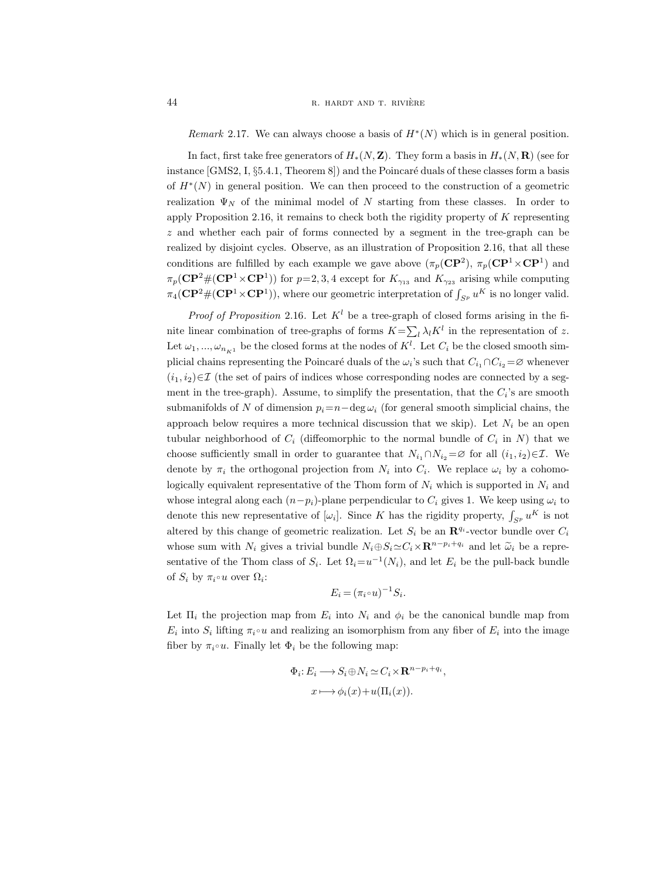Remark 2.17. We can always choose a basis of  $H^*(N)$  which is in general position.

In fact, first take free generators of  $H_*(N, \mathbf{Z})$ . They form a basis in  $H_*(N, \mathbf{R})$  (see for instance  $[GMS2, I, §5.4.1, Theorem 8]$  and the Poincaré duals of these classes form a basis of H<sup>∗</sup> (N) in general position. We can then proceed to the construction of a geometric realization  $\Psi_N$  of the minimal model of N starting from these classes. In order to apply Proposition 2.16, it remains to check both the rigidity property of K representing z and whether each pair of forms connected by a segment in the tree-graph can be realized by disjoint cycles. Observe, as an illustration of Proposition 2.16, that all these conditions are fulfilled by each example we gave above  $(\pi_p(\mathbf{CP}^2), \pi_p(\mathbf{CP}^1 \times \mathbf{CP}^1)$  and  $\pi_p(\mathbf{CP}^2 \# (\mathbf{CP}^1 \times \mathbf{CP}^1))$  for  $p=2,3,4$  except for  $K_{\gamma_{13}}$  and  $K_{\gamma_{23}}$  arising while computing  $\pi_4(\mathbf{CP}^2 \# (\mathbf{CP}^1 \times \mathbf{CP}^1)),$  where our geometric interpretation of  $\int_{S^p} u^K$  is no longer valid.

*Proof of Proposition* 2.16. Let  $K^l$  be a tree-graph of closed forms arising in the finite linear combination of tree-graphs of forms  $K = \sum_l \lambda_l K^l$  in the representation of z. Let  $\omega_1, ..., \omega_{n_{K^1}}$  be the closed forms at the nodes of  $K^l$ . Let  $C_i$  be the closed smooth simplicial chains representing the Poincaré duals of the  $\omega_i$ 's such that  $C_{i_1} \cap C_{i_2} = \varnothing$  whenever  $(i_1, i_2) \in \mathcal{I}$  (the set of pairs of indices whose corresponding nodes are connected by a segment in the tree-graph). Assume, to simplify the presentation, that the  $C_i$ 's are smooth submanifolds of N of dimension  $p_i = n-\deg \omega_i$  (for general smooth simplicial chains, the approach below requires a more technical discussion that we skip). Let  $N_i$  be an open tubular neighborhood of  $C_i$  (diffeomorphic to the normal bundle of  $C_i$  in N) that we choose sufficiently small in order to guarantee that  $N_{i_1} \cap N_{i_2} = \emptyset$  for all  $(i_1, i_2) \in \mathcal{I}$ . We denote by  $\pi_i$  the orthogonal projection from  $N_i$  into  $C_i$ . We replace  $\omega_i$  by a cohomologically equivalent representative of the Thom form of  $N_i$  which is supported in  $N_i$  and whose integral along each  $(n-p_i)$ -plane perpendicular to  $C_i$  gives 1. We keep using  $\omega_i$  to denote this new representative of  $[\omega_i]$ . Since K has the rigidity property,  $\int_{S^p} u^K$  is not altered by this change of geometric realization. Let  $S_i$  be an  $\mathbb{R}^{q_i}$ -vector bundle over  $C_i$ whose sum with  $N_i$  gives a trivial bundle  $N_i \oplus S_i \simeq C_i \times \mathbb{R}^{n-p_i+q_i}$  and let  $\widetilde{\omega}_i$  be a representative of the Thom class of  $S_i$ . Let  $\Omega_i = u^{-1}(N_i)$ , and let  $E_i$  be the pull-back bundle of  $S_i$  by  $\pi_i \circ u$  over  $\Omega_i$ :

$$
E_i = (\pi_i \circ u)^{-1} S_i.
$$

Let  $\Pi_i$  the projection map from  $E_i$  into  $N_i$  and  $\phi_i$  be the canonical bundle map from  $E_i$  into  $S_i$  lifting  $\pi_i \circ u$  and realizing an isomorphism from any fiber of  $E_i$  into the image fiber by  $\pi_i \circ u$ . Finally let  $\Phi_i$  be the following map:

$$
\Phi_i: E_i \longrightarrow S_i \oplus N_i \simeq C_i \times \mathbf{R}^{n-p_i+q_i},
$$

$$
x \longmapsto \phi_i(x) + u(\Pi_i(x)).
$$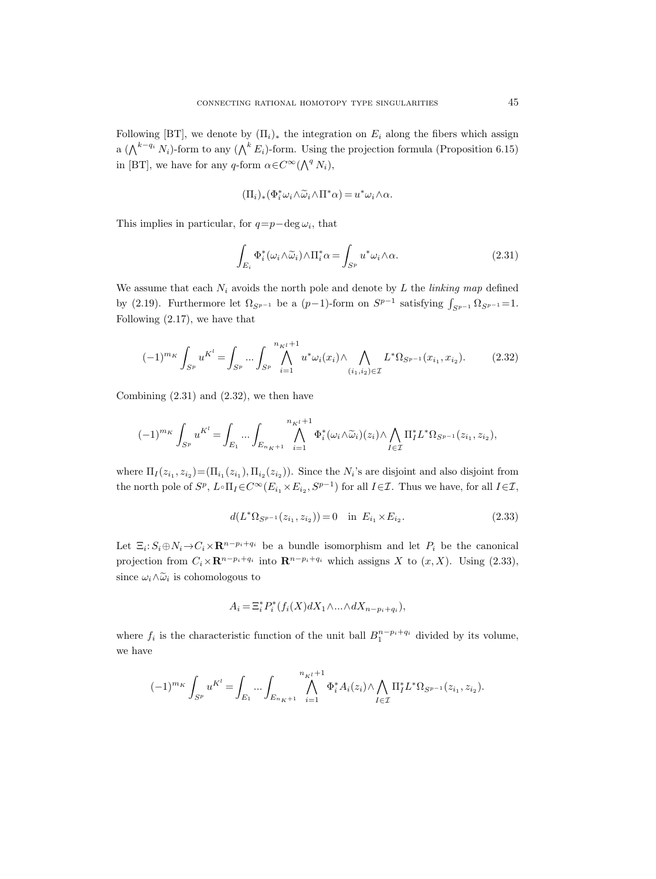Following [BT], we denote by  $(\Pi_i)_*$  the integration on  $E_i$  along the fibers which assign a ( $\bigwedge^{k-q_i} N_i$ )-form to any ( $\bigwedge^k E_i$ )-form. Using the projection formula (Proposition 6.15) in [BT], we have for any q-form  $\alpha \in C^{\infty}(\bigwedge^{q} N_{i}),$ 

$$
(\Pi_i)_*(\Phi_i^* \omega_i \wedge \widetilde{\omega}_i \wedge \Pi^* \alpha) = u^* \omega_i \wedge \alpha.
$$

This implies in particular, for  $q=p-\deg\omega_i$ , that

l,

$$
\int_{E_i} \Phi_i^*(\omega_i \wedge \widetilde{\omega}_i) \wedge \Pi_i^* \alpha = \int_{S^p} u^* \omega_i \wedge \alpha.
$$
\n(2.31)

We assume that each  $N_i$  avoids the north pole and denote by L the linking map defined by (2.19). Furthermore let  $\Omega_{S^{p-1}}$  be a  $(p-1)$ -form on  $S^{p-1}$  satisfying  $\int_{S^{p-1}} \Omega_{S^{p-1}} = 1$ . Following (2.17), we have that

$$
(-1)^{m_K} \int_{S^p} u^{K^l} = \int_{S^p} \cdots \int_{S^p} \bigwedge_{i=1}^{n_{K^l}+1} u^* \omega_i(x_i) \wedge \bigwedge_{(i_1, i_2) \in \mathcal{I}} L^* \Omega_{S^{p-1}}(x_{i_1}, x_{i_2}).
$$
 (2.32)

Combining  $(2.31)$  and  $(2.32)$ , we then have

$$
(-1)^{m_K} \int_{S^p} u^{K^l} = \int_{E_1} \dots \int_{E_{n_K+1}} \bigwedge_{i=1}^{n_{K^l}+1} \Phi_i^*(\omega_i \wedge \widetilde{\omega}_i)(z_i) \wedge \bigwedge_{I \in \mathcal{I}} \Pi_I^* L^* \Omega_{S^{p-1}}(z_{i_1}, z_{i_2}),
$$

where  $\Pi_I(z_{i_1}, z_{i_2}) = (\Pi_{i_1}(z_{i_1}), \Pi_{i_2}(z_{i_2}))$ . Since the  $N_i$ 's are disjoint and also disjoint from the north pole of  $S^p$ ,  $L \circ \Pi_I \in C^\infty(E_{i_1} \times E_{i_2}, S^{p-1})$  for all  $I \in \mathcal{I}$ . Thus we have, for all  $I \in \mathcal{I}$ ,

$$
d(L^*\Omega_{S^{p-1}}(z_{i_1}, z_{i_2})) = 0 \quad \text{in } E_{i_1} \times E_{i_2}.
$$
 (2.33)

Let  $\Xi_i: S_i \oplus N_i \to C_i \times \mathbf{R}^{n-p_i+q_i}$  be a bundle isomorphism and let  $P_i$  be the canonical projection from  $C_i \times \mathbf{R}^{n-p_i+q_i}$  into  $\mathbf{R}^{n-p_i+q_i}$  which assigns X to  $(x, X)$ . Using  $(2.33)$ , since  $\omega_i \wedge \widetilde{\omega}_i$  is cohomologous to

$$
A_i = \Xi_i^* P_i^* (f_i(X)dX_1 \wedge \ldots \wedge dX_{n-p_i+q_i}),
$$

where  $f_i$  is the characteristic function of the unit ball  $B_1^{n-p_i+q_i}$  divided by its volume, we have

$$
(-1)^{m_K} \int_{S^p} u^{K^l} = \int_{E_1} \dots \int_{E_{n_K+1}} \bigwedge_{i=1}^{n_{K^l}+1} \Phi_i^* A_i(z_i) \wedge \bigwedge_{I \in \mathcal{I}} \Pi_I^* L^* \Omega_{S^{p-1}}(z_{i_1}, z_{i_2}).
$$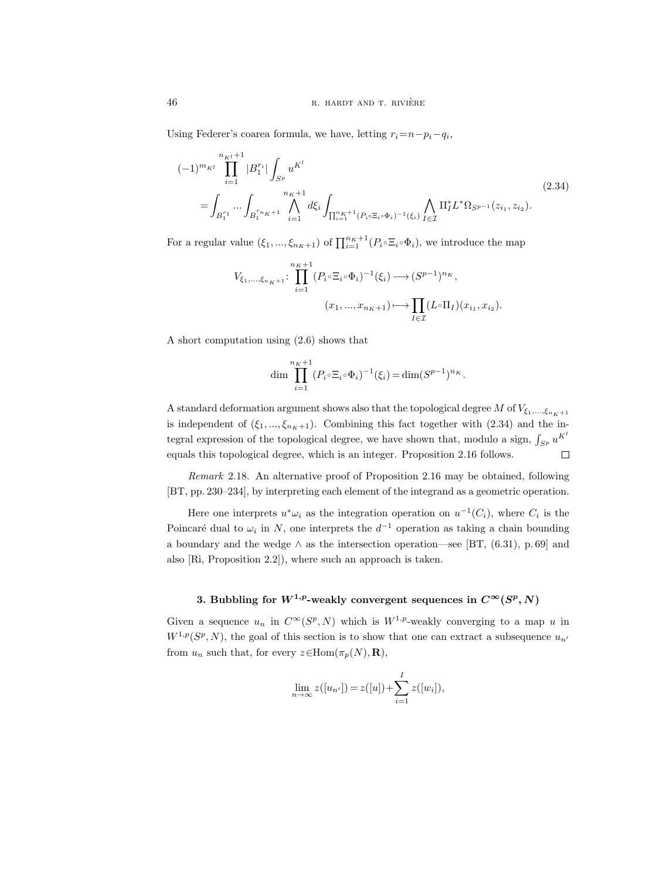Using Federer's coarea formula, we have, letting  $r_i = n - p_i - q_i$ ,

$$
(-1)^{m_{K}i} \prod_{i=1}^{n_{K}i+1} |B_{1}^{r_{i}}| \int_{S^{p}} u^{K^{l}} \n\int_{\prod_{i=1}^{n_{K}+1} \bigwedge_{i=1}^{n_{K}+1} d\xi_{i} \int_{\prod_{i=1}^{n_{K}+1} (P_{i} \circ \Xi_{i} \circ \Phi_{i})^{-1}(\xi_{i})} \bigwedge_{I \in \mathcal{I}} \Pi_{I}^{*} L^{*} \Omega_{S^{p-1}}(z_{i_{1}}, z_{i_{2}}).
$$
\n
$$
(2.34)
$$

For a regular value  $(\xi_1, ..., \xi_{nK+1})$  of  $\prod_{i=1}^{n_K+1} (P_i \circ \Xi_i \circ \Phi_i)$ , we introduce the map

$$
V_{\xi_1,\ldots,\xi_{n_K+1}}: \prod_{i=1}^{n_K+1} (P_i \circ \Xi_i \circ \Phi_i)^{-1}(\xi_i) \longrightarrow (S^{p-1})^{n_K},
$$

$$
(x_1,\ldots,x_{n_K+1}) \longmapsto \prod_{I \in \mathcal{I}} (L \circ \Pi_I)(x_{i_1},x_{i_2}).
$$

A short computation using (2.6) shows that

$$
\dim \prod_{i=1}^{n_K+1} (P_i \circ \Xi_i \circ \Phi_i)^{-1} (\xi_i) = \dim (S^{p-1})^{n_K}.
$$

A standard deformation argument shows also that the topological degree M of  $V_{\xi_1,\dots,\xi_{n_K+1}}$ is independent of  $(\xi_1, ..., \xi_{n_K+1})$ . Combining this fact together with (2.34) and the integral expression of the topological degree, we have shown that, modulo a sign,  $\int_{S^p} u^{K^l}$ equals this topological degree, which is an integer. Proposition 2.16 follows.  $\Box$ 

Remark 2.18. An alternative proof of Proposition 2.16 may be obtained, following [BT, pp. 230–234], by interpreting each element of the integrand as a geometric operation.

Here one interprets  $u^*\omega_i$  as the integration operation on  $u^{-1}(C_i)$ , where  $C_i$  is the Poincaré dual to  $\omega_i$  in N, one interprets the  $d^{-1}$  operation as taking a chain bounding a boundary and the wedge  $\wedge$  as the intersection operation—see [BT, (6.31), p. 69] and also [Ri, Proposition 2.2]), where such an approach is taken.

## 3. Bubbling for  $W^{1,p}$ -weakly convergent sequences in  $C^{\infty}(S^p, N)$

Given a sequence  $u_n$  in  $C^{\infty}(S^p, N)$  which is  $W^{1,p}$ -weakly converging to a map u in  $W^{1,p}(S^p, N)$ , the goal of this section is to show that one can extract a subsequence  $u_n$ from  $u_n$  such that, for every  $z \in \text{Hom}(\pi_p(N), \mathbf{R}),$ 

$$
\lim_{n \to \infty} z([u_{n'}]) = z([u]) + \sum_{i=1}^{I} z([w_i]),
$$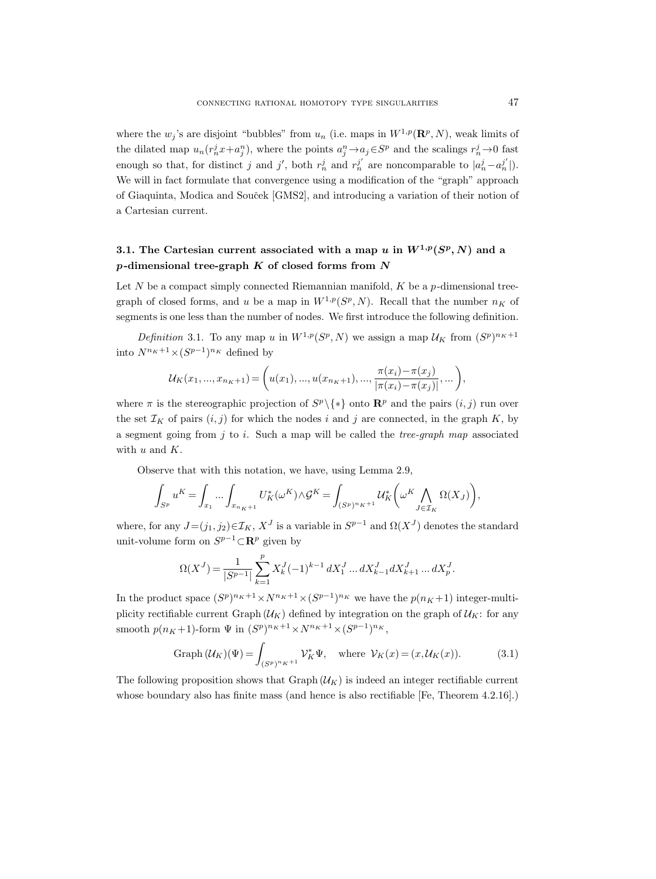where the  $w_j$ 's are disjoint "bubbles" from  $u_n$  (i.e. maps in  $W^{1,p}(\mathbf{R}^p, N)$ , weak limits of the dilated map  $u_n(r_n^j x + a_j^n)$ , where the points  $a_j^n \to a_j \in S^p$  and the scalings  $r_n^j \to 0$  fast enough so that, for distinct j and j', both  $r_n^j$  and  $r_n^{j'}$  are noncomparable to  $|a_n^j - a_n^{j'}|$ . We will in fact formulate that convergence using a modification of the "graph" approach of Giaquinta, Modica and Souček [GMS2], and introducing a variation of their notion of a Cartesian current.

# 3.1. The Cartesian current associated with a map u in  $W^{1,p}(S^p,N)$  and a  $p$ -dimensional tree-graph  $K$  of closed forms from  $N$

Let N be a compact simply connected Riemannian manifold,  $K$  be a p-dimensional treegraph of closed forms, and u be a map in  $W^{1,p}(S^p, N)$ . Recall that the number  $n_K$  of segments is one less than the number of nodes. We first introduce the following definition.

Definition 3.1. To any map u in  $W^{1,p}(S^p, N)$  we assign a map  $\mathcal{U}_K$  from  $(S^p)^{n_K+1}$ into  $N^{n_K+1} \times (S^{p-1})^{n_K}$  defined by

$$
\mathcal{U}_K(x_1, ..., x_{n_K+1}) = \left(u(x_1), ..., u(x_{n_K+1}), ..., \frac{\pi(x_i) - \pi(x_j)}{|\pi(x_i) - \pi(x_j)|}, ...\right),
$$

where  $\pi$  is the stereographic projection of  $S^p \backslash \{*\}$  onto  $\mathbb{R}^p$  and the pairs  $(i, j)$  run over the set  $\mathcal{I}_K$  of pairs  $(i, j)$  for which the nodes i and j are connected, in the graph K, by a segment going from  $j$  to i. Such a map will be called the *tree-graph map* associated with  $u$  and  $K$ .

Observe that with this notation, we have, using Lemma 2.9,

$$
\int_{S^p} u^K = \int_{x_1} \dots \int_{x_{n_K+1}} U_K^*(\omega^K) \wedge \mathcal{G}^K = \int_{(S^p)^{n_K+1}} \mathcal{U}_K^* \left( \omega^K \bigwedge_{J \in \mathcal{I}_K} \Omega(X_J) \right),
$$

where, for any  $J=(j_1, j_2) \in \mathcal{I}_K$ ,  $X^J$  is a variable in  $S^{p-1}$  and  $\Omega(X^J)$  denotes the standard unit-volume form on  $S^{p-1}$   $\subset$   $\mathbb{R}^p$  given by

$$
\Omega(X^J)=\frac{1}{|S^{p-1}|}\sum_{k=1}^pX^J_k(-1)^{k-1}\,dX^J_1\dots dX^J_{k-1}dX^J_{k+1}\dots dX^J_p.
$$

In the product space  $(S^p)^{n_K+1} \times N^{n_K+1} \times (S^{p-1})^{n_K}$  we have the  $p(n_K+1)$  integer-multiplicity rectifiable current Graph  $(\mathcal{U}_K)$  defined by integration on the graph of  $\mathcal{U}_K$ : for any smooth  $p(n_K+1)$ -form  $\Psi$  in  $(S^p)^{n_K+1} \times N^{n_K+1} \times (S^{p-1})^{n_K}$ ,

Graph 
$$
(\mathcal{U}_K)(\Psi) = \int_{(S^p)^n K^{+1}} \mathcal{V}_K^* \Psi
$$
, where  $\mathcal{V}_K(x) = (x, \mathcal{U}_K(x))$ . (3.1)

The following proposition shows that Graph  $(\mathcal{U}_K)$  is indeed an integer rectifiable current whose boundary also has finite mass (and hence is also rectifiable [Fe, Theorem 4.2.16].)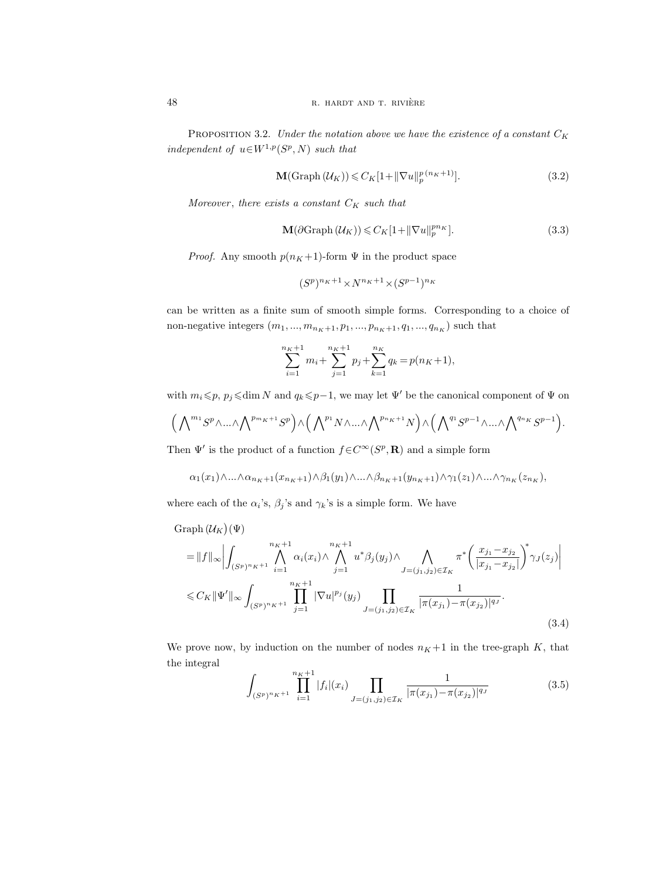PROPOSITION 3.2. Under the notation above we have the existence of a constant  $C_K$ independent of  $u \in W^{1,p}(S^p, N)$  such that

$$
\mathbf{M}(\text{Graph}(\mathcal{U}_K)) \leqslant C_K[1 + ||\nabla u||_p^{p(n_K+1)}].\tag{3.2}
$$

Moreover, there exists a constant  $C_K$  such that

$$
\mathbf{M}(\partial\text{Graph}\left(\mathcal{U}_K\right)) \leqslant C_K[1 + \|\nabla u\|_p^{pn_K}].\tag{3.3}
$$

*Proof.* Any smooth  $p(n_K+1)$ -form  $\Psi$  in the product space

$$
(S^p)^{n_K+1} \times N^{n_K+1} \times (S^{p-1})^{n_K}
$$

can be written as a finite sum of smooth simple forms. Corresponding to a choice of non-negative integers  $(m_1, ..., m_{n_K+1}, p_1, ..., p_{n_K+1}, q_1, ..., q_{n_K})$  such that

$$
\sum_{i=1}^{n_K+1} m_i + \sum_{j=1}^{n_K+1} p_j + \sum_{k=1}^{n_K} q_k = p(n_K+1),
$$

with  $m_i \leqslant p$ ,  $p_j \leqslant \dim N$  and  $q_k \leqslant p-1$ , we may let  $\Psi'$  be the canonical component of  $\Psi$  on

$$
\Big(\bigwedge\nolimits^{m_1} S^p\wedge...\wedge\bigwedge\nolimits^{p_{m_K+1}} S^p\Big) \wedge \Big(\bigwedge\nolimits^{p_1} N\wedge...\wedge\bigwedge\nolimits^{p_{n_K+1}} N\Big) \wedge \Big(\bigwedge\nolimits^{q_1} S^{p-1}\wedge...\wedge\bigwedge\nolimits^{q_{n_K}} S^{p-1}\Big).
$$

Then  $\Psi'$  is the product of a function  $f \in C^{\infty}(S^p, \mathbf{R})$  and a simple form

$$
\alpha_1(x_1)\wedge\ldots\wedge\alpha_{n_K+1}(x_{n_K+1})\wedge\beta_1(y_1)\wedge\ldots\wedge\beta_{n_K+1}(y_{n_K+1})\wedge\gamma_1(z_1)\wedge\ldots\wedge\gamma_{n_K}(z_{n_K}),
$$

where each of the  $\alpha_i$ 's,  $\beta_j$ 's and  $\gamma_k$ 's is a simple form. We have

 $\mathrm{Graph}\left(\mathcal{U}_K\right)(\Psi)$ 

$$
= ||f||_{\infty} \Big| \int_{(S^{p})^{n} K^{+1}} \bigwedge_{i=1}^{n_{K}+1} \alpha_{i}(x_{i}) \wedge \bigwedge_{j=1}^{n_{K}+1} u^{*} \beta_{j}(y_{j}) \wedge \bigwedge_{J=(j_{1},j_{2}) \in \mathcal{I}_{K}} \pi^{*} \bigg( \frac{x_{j_{1}} - x_{j_{2}}}{|x_{j_{1}} - x_{j_{2}}|} \bigg)^{*} \gamma_{J}(z_{j}) \Big|
$$
  

$$
\leq C_{K} \|\Psi'\|_{\infty} \int_{(S^{p})^{n_{K}+1}} \prod_{j=1}^{n_{K}+1} |\nabla u|^{p_{j}}(y_{j}) \prod_{J=(j_{1},j_{2}) \in \mathcal{I}_{K}} \frac{1}{|\pi(x_{j_{1}}) - \pi(x_{j_{2}})|^{q_{J}}}.
$$
(3.4)

We prove now, by induction on the number of nodes  $n<sub>K</sub>+1$  in the tree-graph K, that the integral

$$
\int_{(S^p)^n K^{+1}} \prod_{i=1}^{n_K+1} |f_i|(x_i) \prod_{J=(j_1,j_2)\in \mathcal{I}_K} \frac{1}{|\pi(x_{j_1}) - \pi(x_{j_2})|^{q_J}}
$$
(3.5)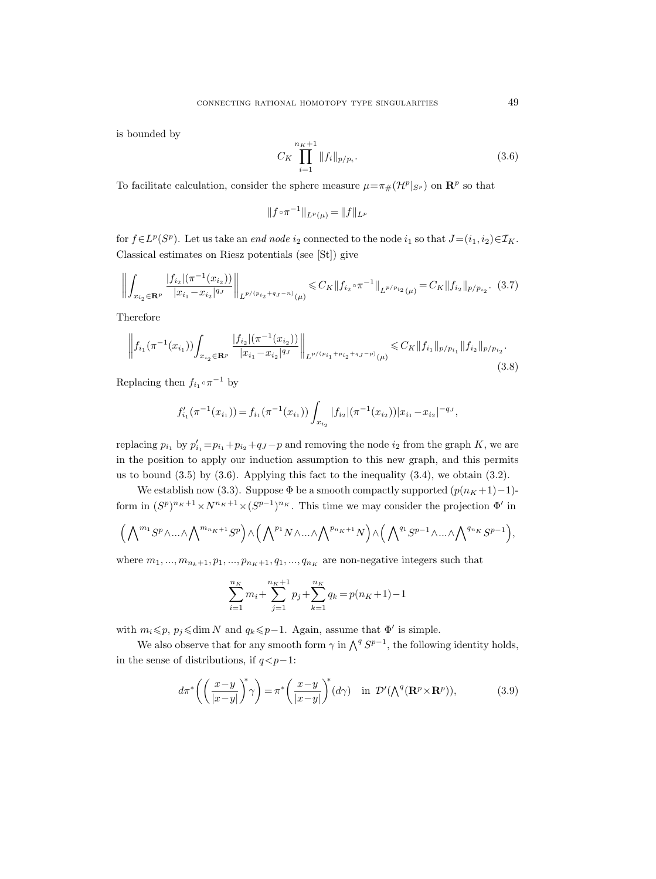is bounded by

$$
C_K \prod_{i=1}^{n_K+1} \|f_i\|_{p/p_i}.
$$
\n(3.6)

To facilitate calculation, consider the sphere measure  $\mu = \pi_{\#}(\mathcal{H}^p|_{S^p})$  on  $\mathbb{R}^p$  so that

$$
||f \circ \pi^{-1}||_{L^p(\mu)} = ||f||_{L^p}
$$

for  $f \in L^p(S^p)$ . Let us take an *end node*  $i_2$  connected to the node  $i_1$  so that  $J=(i_1, i_2) \in \mathcal{I}_K$ . Classical estimates on Riesz potentials (see [St]) give

$$
\left\| \int_{x_{i_2} \in \mathbf{R}^p} \frac{|f_{i_2}| (\pi^{-1}(x_{i_2}))}{|x_{i_1} - x_{i_2}|^{q_J}} \right\|_{L^{p/(p_{i_2} + q_J - n)}(\mu)} \leq C_K \|f_{i_2} \circ \pi^{-1}\|_{L^{p/p_{i_2}}(\mu)} = C_K \|f_{i_2}\|_{p/p_{i_2}}. (3.7)
$$

Therefore

$$
\left\| f_{i_1}(\pi^{-1}(x_{i_1})) \int_{x_{i_2} \in \mathbf{R}^p} \frac{|f_{i_2}|(\pi^{-1}(x_{i_2}))}{|x_{i_1} - x_{i_2}|^{q_J}} \right\|_{L^{p/(p_{i_1} + p_{i_2} + q_J - p)}(\mu)} \leqslant C_K \|f_{i_1}\|_{p/p_{i_1}} \|f_{i_2}\|_{p/p_{i_2}}.
$$
\n(3.8)

Replacing then  $f_{i_1} \circ \pi^{-1}$  by

$$
f'_{i_1}(\pi^{-1}(x_{i_1})) = f_{i_1}(\pi^{-1}(x_{i_1})) \int_{x_{i_2}} |f_{i_2}|(\pi^{-1}(x_{i_2})) |x_{i_1} - x_{i_2}|^{-q_{J}},
$$

replacing  $p_{i_1}$  by  $p'_{i_1} = p_{i_1} + p_{i_2} + q_J - p$  and removing the node  $i_2$  from the graph K, we are in the position to apply our induction assumption to this new graph, and this permits us to bound  $(3.5)$  by  $(3.6)$ . Applying this fact to the inequality  $(3.4)$ , we obtain  $(3.2)$ .

We establish now (3.3). Suppose  $\Phi$  be a smooth compactly supported  $(p(n_K +1)-1)$ form in  $(S^p)^{n_K+1} \times N^{n_K+1} \times (S^{p-1})^{n_K}$ . This time we may consider the projection  $\Phi'$  in

$$
\left(\bigwedge\nolimits^{m_1} S^p\wedge\ldots\wedge\bigwedge\nolimits^{m_{n_K+1}} S^p\right)\wedge\left(\bigwedge\nolimits^{p_1} N\wedge\ldots\wedge\bigwedge\nolimits^{p_{n_K+1}} N\right)\wedge\left(\bigwedge\nolimits^{q_1} S^{p-1}\wedge\ldots\wedge\bigwedge\nolimits^{q_{n_K}} S^{p-1}\right),
$$

where  $m_1, ..., m_{n_k+1}, p_1, ..., p_{n_K+1}, q_1, ..., q_{n_K}$  are non-negative integers such that

$$
\sum_{i=1}^{n_K} m_i + \sum_{j=1}^{n_K+1} p_j + \sum_{k=1}^{n_K} q_k = p(n_K+1) - 1
$$

with  $m_i \leqslant p$ ,  $p_j \leqslant \dim N$  and  $q_k \leqslant p-1$ . Again, assume that  $\Phi'$  is simple.

We also observe that for any smooth form  $\gamma$  in  $\bigwedge^q S^{p-1}$ , the following identity holds, in the sense of distributions, if  $q < p-1$ :

$$
d\pi^* \left( \left( \frac{x-y}{|x-y|} \right)^* \gamma \right) = \pi^* \left( \frac{x-y}{|x-y|} \right)^* (d\gamma) \quad \text{in } \mathcal{D}' (\bigwedge^q (\mathbf{R}^p \times \mathbf{R}^p)), \tag{3.9}
$$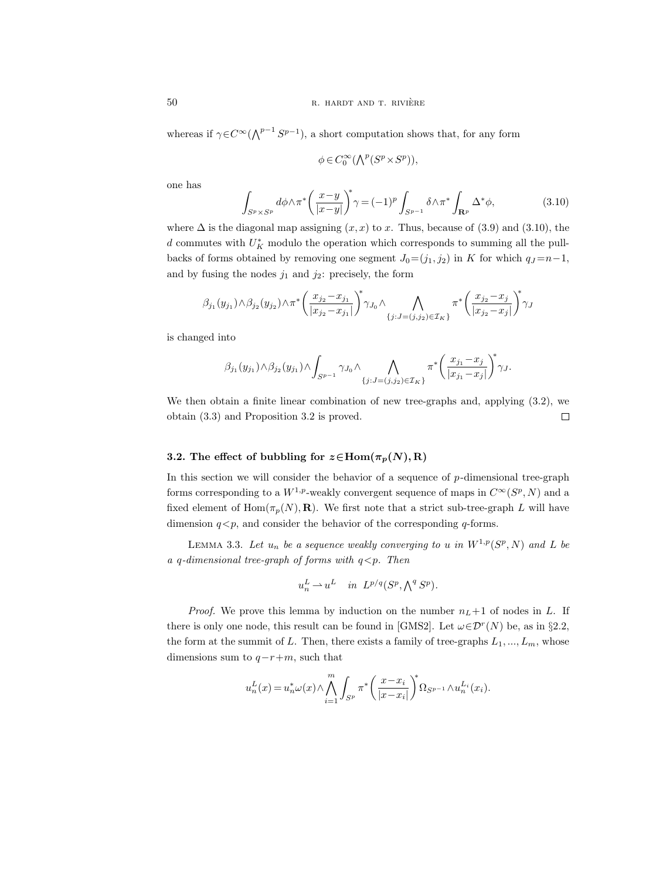whereas if  $\gamma \in C^{\infty}(\bigwedge^{p-1} S^{p-1})$ , a short computation shows that, for any form

$$
\phi\in C_0^\infty(\textstyle{\bigwedge}^p(S^p\times S^p)),
$$

one has

$$
\int_{S^p \times S^p} d\phi \wedge \pi^* \left(\frac{x-y}{|x-y|}\right)^* \gamma = (-1)^p \int_{S^{p-1}} \delta \wedge \pi^* \int_{\mathbf{R}^p} \Delta^* \phi,
$$
\n(3.10)

where  $\Delta$  is the diagonal map assigning  $(x, x)$  to x. Thus, because of (3.9) and (3.10), the d commutes with  $U_K^*$  modulo the operation which corresponds to summing all the pullbacks of forms obtained by removing one segment  $J_0=(j_1, j_2)$  in K for which  $q_J = n-1$ , and by fusing the nodes  $j_1$  and  $j_2$ : precisely, the form

$$
\beta_{j_1}(y_{j_1}) \wedge \beta_{j_2}(y_{j_2}) \wedge \pi^* \bigg( \frac{x_{j_2} - x_{j_1}}{|x_{j_2} - x_{j_1}|} \bigg)^* \gamma_{J_0} \wedge \bigwedge_{\{j: J = (j, j_2) \in \mathcal{I}_K\}} \pi^* \bigg( \frac{x_{j_2} - x_j}{|x_{j_2} - x_j|} \bigg)^* \gamma_{J_0} \wedge \bigwedge_{\{j: J = (j, j_2) \in \mathcal{I}_K\}} \pi^* \bigg( \frac{x_{j_2} - x_j}{|x_{j_2} - x_j|} \bigg)^* \gamma_{J_0} \wedge \bigwedge_{\{j: J = (j, j_2) \in \mathcal{I}_K\}} \pi^* \bigg( \frac{x_{j_2} - x_j}{|x_{j_2} - x_j|} \bigg)^* \gamma_{J_0} \wedge \pi^* \bigg( \frac{x_{j_2} - x_j}{|x_{j_2} - x_j|} \bigg)^* \gamma_{J_0} \wedge \pi^* \bigg( \frac{x_{j_2} - x_j}{|x_{j_2} - x_j|} \bigg)^* \gamma_{J_0} \wedge \pi^* \bigg( \frac{x_{j_2} - x_j}{|x_{j_2} - x_j|} \bigg)^* \gamma_{J_0} \wedge \pi^* \bigg( \frac{x_{j_2} - x_j}{|x_{j_2} - x_j|} \bigg)^* \gamma_{J_0} \wedge \pi^* \bigg( \frac{x_{j_2} - x_j}{|x_{j_2} - x_j|} \bigg)^* \gamma_{J_0} \wedge \pi^* \bigg( \frac{x_{j_2} - x_j}{|x_{j_2} - x_j|} \bigg)^* \gamma_{J_0} \wedge \pi^* \bigg( \frac{x_{j_2} - x_j}{|x_{j_2} - x_j|} \bigg)^* \gamma_{J_0} \wedge \pi^* \bigg( \frac{x_{j_2} - x_j}{|x_{j_2} - x_j|} \bigg)^* \gamma_{J_0} \wedge \pi^* \bigg( \frac{x_{j_2} - x_j}{|x_{j_2} - x_j|} \bigg)^* \gamma_{J_0} \wedge \pi^* \bigg( \frac{x_{j_2} - x_j}{|x_{j
$$

is changed into

$$
\beta_{j_1}(y_{j_1})\wedge \beta_{j_2}(y_{j_1})\wedge \int_{S^{p-1}}\gamma_{J_0}\wedge \bigwedge_{\{j: J=(j,j_2)\in \mathcal{I}_K\}}\pi^*\bigg(\frac{x_{j_1}-x_j}{|x_{j_1}-x_j|}\bigg)^*\gamma_J.
$$

We then obtain a finite linear combination of new tree-graphs and, applying (3.2), we obtain (3.3) and Proposition 3.2 is proved.  $\Box$ 

# 3.2. The effect of bubbling for  $z \in \text{Hom}(\pi_p(N), R)$

In this section we will consider the behavior of a sequence of  $p$ -dimensional tree-graph forms corresponding to a  $W^{1,p}$ -weakly convergent sequence of maps in  $C^{\infty}(S^p, N)$  and a fixed element of  $\text{Hom}(\pi_p(N), \mathbf{R})$ . We first note that a strict sub-tree-graph L will have dimension  $q < p$ , and consider the behavior of the corresponding q-forms.

LEMMA 3.3. Let  $u_n$  be a sequence weakly converging to u in  $W^{1,p}(S^p, N)$  and L be a q-dimensional tree-graph of forms with  $q < p$ . Then

$$
u_n^L\rightharpoonup u^L\quad\text{in}\ \ L^{p/q}(S^p, \textstyle\bigwedge^q S^p).
$$

*Proof.* We prove this lemma by induction on the number  $n_L+1$  of nodes in L. If there is only one node, this result can be found in [GMS2]. Let  $\omega \in \mathcal{D}^r(N)$  be, as in §2.2, the form at the summit of L. Then, there exists a family of tree-graphs  $L_1, ..., L_m$ , whose dimensions sum to  $q-r+m$ , such that

$$
u_n^L(x)=u_n^*\omega(x)\wedge \bigwedge_{i=1}^m \int_{S^p} \pi^*\bigg(\frac{x-x_i}{|x-x_i|}\bigg)^*\Omega_{S^{p-1}}\wedge u_n^{L_i}(x_i).
$$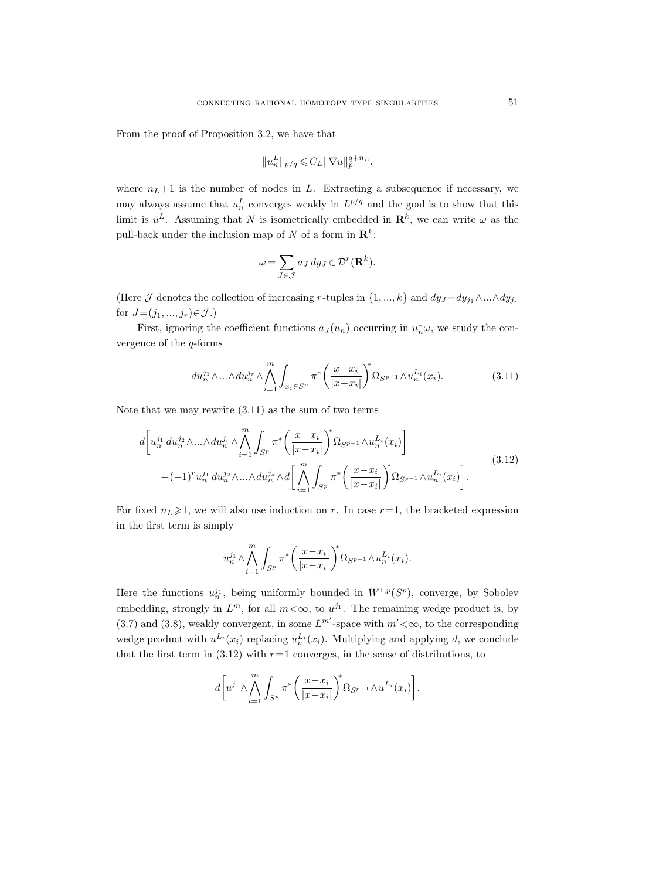From the proof of Proposition 3.2, we have that

$$
||u_n^L||_{p/q} \leqslant C_L ||\nabla u||_p^{q+n_L},
$$

where  $n_L+1$  is the number of nodes in L. Extracting a subsequence if necessary, we may always assume that  $u_n^L$  converges weakly in  $L^{p/q}$  and the goal is to show that this limit is  $u^L$ . Assuming that N is isometrically embedded in  $\mathbf{R}^k$ , we can write  $\omega$  as the pull-back under the inclusion map of N of a form in  $\mathbb{R}^k$ :

$$
\omega = \sum_{J \in \mathcal{J}} a_J \, dy_J \in \mathcal{D}^r(\mathbf{R}^k).
$$

(Here  $\mathcal J$  denotes the collection of increasing r-tuples in  $\{1, ..., k\}$  and  $dy_J = dy_{j_1} \wedge ... \wedge dy_{j_r}$ for  $J=(j_1, ..., j_r) \in \mathcal{J}$ .)

First, ignoring the coefficient functions  $a_J(u_n)$  occurring in  $u_n^*\omega$ , we study the convergence of the  $q$ -forms

$$
du_n^{j_1} \wedge \ldots \wedge du_n^{j_r} \wedge \bigwedge_{i=1}^m \int_{x_i \in S^p} \pi^* \bigg( \frac{x - x_i}{|x - x_i|} \bigg)^* \Omega_{S^{p-1}} \wedge u_n^{L_i}(x_i). \tag{3.11}
$$

Note that we may rewrite (3.11) as the sum of two terms

$$
d\left[u_n^{j_1} du_n^{j_2} \wedge \ldots \wedge du_n^{j_r} \wedge \bigwedge_{i=1}^m \int_{S^p} \pi^* \left(\frac{x - x_i}{|x - x_i|}\right)^* \Omega_{S^{p-1}} \wedge u_n^{L_i}(x_i)\right] + (-1)^r u_n^{j_1} du_n^{j_2} \wedge \ldots \wedge du_n^{j_d} \wedge d\left[\bigwedge_{i=1}^m \int_{S^p} \pi^* \left(\frac{x - x_i}{|x - x_i|}\right)^* \Omega_{S^{p-1}} \wedge u_n^{L_i}(x_i)\right].
$$
\n(3.12)

For fixed  $n<sub>L</sub> \ge 1$ , we will also use induction on r. In case r=1, the bracketed expression in the first term is simply

$$
u_n^{j_1}\wedge\bigwedge_{i=1}^{m}\int_{S^p}\pi^*\bigg(\frac{x-x_i}{|x-x_i|}\bigg)^*\Omega_{S^{p-1}}\wedge u_n^{L_i}(x_i).
$$

Here the functions  $u_n^{j_1}$ , being uniformly bounded in  $W^{1,p}(S^p)$ , converge, by Sobolev embedding, strongly in  $L^m$ , for all  $m < \infty$ , to  $u^{j_1}$ . The remaining wedge product is, by (3.7) and (3.8), weakly convergent, in some  $L^{m'}$ -space with  $m' < \infty$ , to the corresponding wedge product with  $u^{L_i}(x_i)$  replacing  $u^{L_i}(x_i)$ . Multiplying and applying d, we conclude that the first term in  $(3.12)$  with  $r=1$  converges, in the sense of distributions, to

$$
d\bigg[u^{j_1}\wedge\bigwedge_{i=1}^{m}\int_{S^p}\pi^*\bigg(\frac{x-x_i}{|x-x_i|}\bigg)^{\!\!s}\Omega_{S^{p-1}}\wedge u^{L_i}(x_i)\bigg].
$$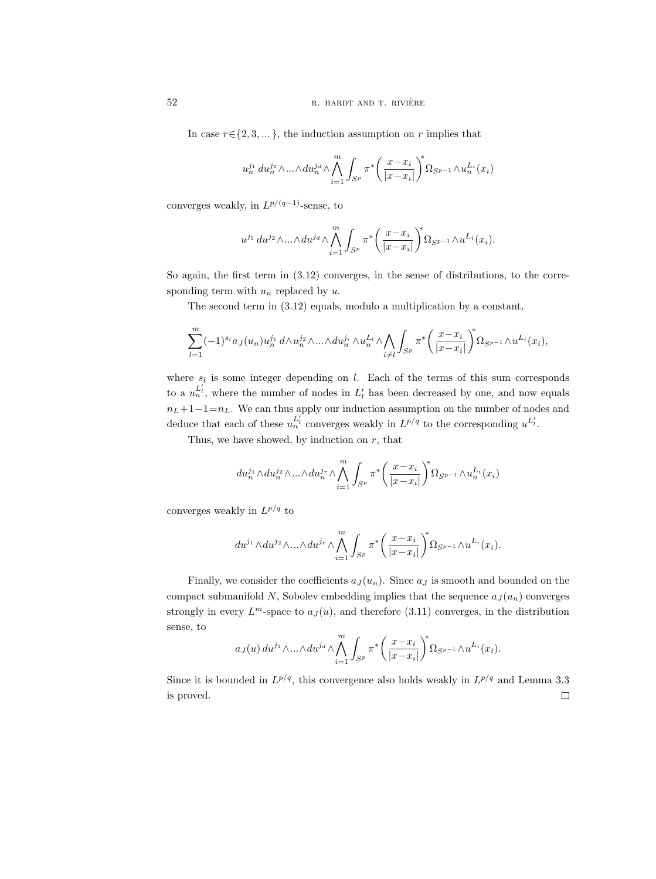In case  $r \in \{2, 3, \dots\}$ , the induction assumption on r implies that

$$
u_n^{j_1} du_n^{j_2} \wedge ... \wedge du_n^{j_d} \wedge \bigwedge_{i=1}^m \int_{S^p} \pi^* \bigg( \frac{x - x_i}{|x - x_i|} \bigg)^* \Omega_{S^{p-1}} \wedge u_n^{L_i}(x_i)
$$

converges weakly, in  $L^{p/(q-1)}$ -sense, to

$$
u^{j_1} du^{j_2} \wedge ... \wedge du^{j_d} \wedge \bigwedge_{i=1}^m \int_{S^p} \pi^* \bigg( \frac{x - x_i}{|x - x_i|} \bigg)^* \Omega_{S^{p-1}} \wedge u^{L_i}(x_i).
$$

So again, the first term in (3.12) converges, in the sense of distributions, to the corresponding term with  $u_n$  replaced by  $u$ .

The second term in (3.12) equals, modulo a multiplication by a constant,

$$
\sum_{l=1}^m (-1)^{s_l} a_J(u_n) u_n^{j_1} d \wedge u_n^{j_2} \wedge \ldots \wedge du_n^{j_r} \wedge u_n^{L_l} \wedge \bigwedge_{i \neq l} \int_{S^p} \pi^* \bigg( \frac{x - x_i}{|x - x_i|} \bigg)^* \Omega_{S^{p-1}} \wedge u^{L_i}(x_i),
$$

where  $s_l$  is some integer depending on l. Each of the terms of this sum corresponds to a  $u_n^{L'_l}$ , where the number of nodes in  $L'_l$  has been decreased by one, and now equals  $n_L+1-1=n_L$ . We can thus apply our induction assumption on the number of nodes and deduce that each of these  $u_n^{L'_l}$  converges weakly in  $L^{p/q}$  to the corresponding  $u^{L'_l}$ .

Thus, we have showed, by induction on  $r$ , that

$$
du_n^{j_1}\wedge du_n^{j_2}\wedge...\wedge du_n^{j_r}\wedge \bigwedge_{i=1}^m \int_{S^p}\pi^*\bigg(\frac{x-x_i}{|x-x_i|}\bigg)^*\Omega_{S^{p-1}}\wedge u_n^{L_i}(x_i)
$$

converges weakly in  $L^{p/q}$  to

$$
du^{j_1}\wedge du^{j_2}\wedge...\wedge du^{j_r}\wedge \bigwedge_{i=1}^m \int_{S^p}\pi^*\bigg(\frac{x-x_i}{|x-x_i|}\bigg)^*\Omega_{S^{p-1}}\wedge u^{L_i}(x_i).
$$

Finally, we consider the coefficients  $a_J(u_n)$ . Since  $a_J$  is smooth and bounded on the compact submanifold N, Sobolev embedding implies that the sequence  $a_J(u_n)$  converges strongly in every  $L^m$ -space to  $a_J(u)$ , and therefore (3.11) converges, in the distribution sense, to

$$
a_J(u) du^{j_1} \wedge ... \wedge du^{j_d} \wedge \bigwedge_{i=1}^m \int_{S^p} \pi^* \bigg( \frac{x - x_i}{|x - x_i|} \bigg)^* \Omega_{S^{p-1}} \wedge u^{L_i}(x_i).
$$

Since it is bounded in  $L^{p/q}$ , this convergence also holds weakly in  $L^{p/q}$  and Lemma 3.3  $\Box$ is proved.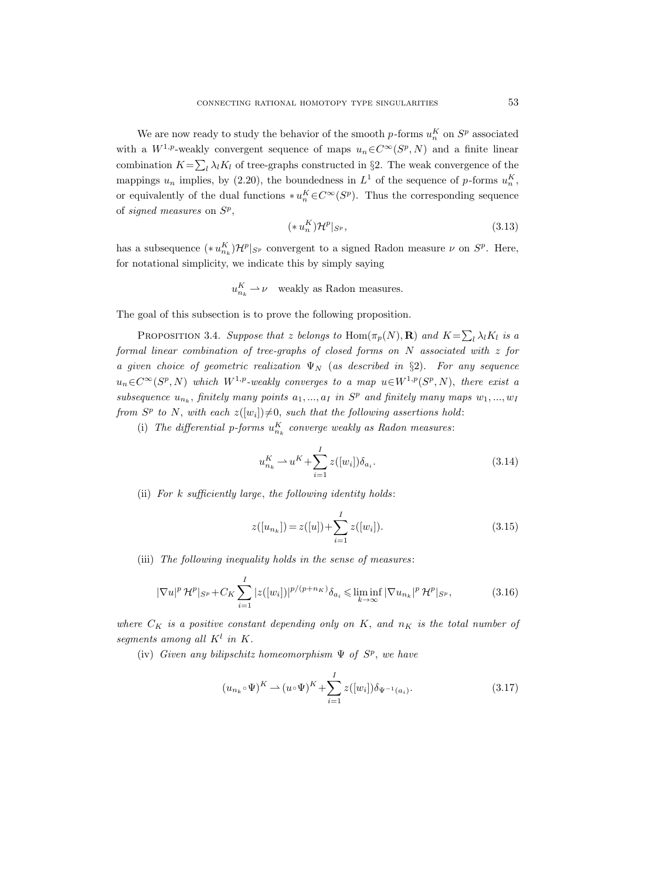We are now ready to study the behavior of the smooth  $p$ -forms  $u_n^K$  on  $S^p$  associated with a  $W^{1,p}$ -weakly convergent sequence of maps  $u_n \in C^{\infty}(S^p, N)$  and a finite linear combination  $K = \sum_l \lambda_l K_l$  of tree-graphs constructed in §2. The weak convergence of the mappings  $u_n$  implies, by (2.20), the boundedness in  $L^1$  of the sequence of p-forms  $u_n^K$ , or equivalently of the dual functions  $\ast u_n^K \in C^\infty(S^p)$ . Thus the corresponding sequence of signed measures on  $S^p$ ,

$$
(*u_n^K)\mathcal{H}^p|_{S^p},\tag{3.13}
$$

has a subsequence  $(*u_{n_k}^K)\mathcal{H}^p|_{S^p}$  convergent to a signed Radon measure  $\nu$  on  $S^p$ . Here, for notational simplicity, we indicate this by simply saying

$$
u_{n_k}^K \rightharpoonup \nu
$$
 weakly as Radon measures.

The goal of this subsection is to prove the following proposition.

PROPOSITION 3.4. Suppose that z belongs to  $\text{Hom}(\pi_p(N), \mathbf{R})$  and  $K = \sum_l \lambda_l K_l$  is a formal linear combination of tree-graphs of closed forms on N associated with z for a given choice of geometric realization  $\Psi_N$  (as described in §2). For any sequence  $u_n \in C^{\infty}(S^p, N)$  which  $W^{1,p}$ -weakly converges to a map  $u \in W^{1,p}(S^p, N)$ , there exist a subsequence  $u_{n_k}$ , finitely many points  $a_1, ..., a_I$  in  $S^p$  and finitely many maps  $w_1, ..., w_I$ from  $S^p$  to N, with each  $z([w_i])\neq 0$ , such that the following assertions hold:

(i) The differential p-forms  $u_{n_k}^K$  converge weakly as Radon measures:

$$
u_{n_k}^K \rightharpoonup u^K + \sum_{i=1}^I z([w_i]) \delta_{a_i}.
$$
\n(3.14)

(ii) For  $k$  sufficiently large, the following identity holds:

$$
z([u_{n_k}]) = z([u]) + \sum_{i=1}^{I} z([w_i]).
$$
\n(3.15)

(iii) The following inequality holds in the sense of measures:

$$
|\nabla u|^p \mathcal{H}^p|_{S^p} + C_K \sum_{i=1}^I |z([w_i])|^{p/(p+n_K)} \delta_{a_i} \leq \liminf_{k \to \infty} |\nabla u_{n_k}|^p \mathcal{H}^p|_{S^p},
$$
(3.16)

where  $C_K$  is a positive constant depending only on K, and  $n_K$  is the total number of segments among all  $K^l$  in  $K$ .

(iv) Given any bilipschitz homeomorphism  $\Psi$  of  $S^p$ , we have

$$
(u_{n_k} \circ \Psi)^K \to (u \circ \Psi)^K + \sum_{i=1}^I z([w_i]) \delta_{\Psi^{-1}(a_i)}.
$$
\n(3.17)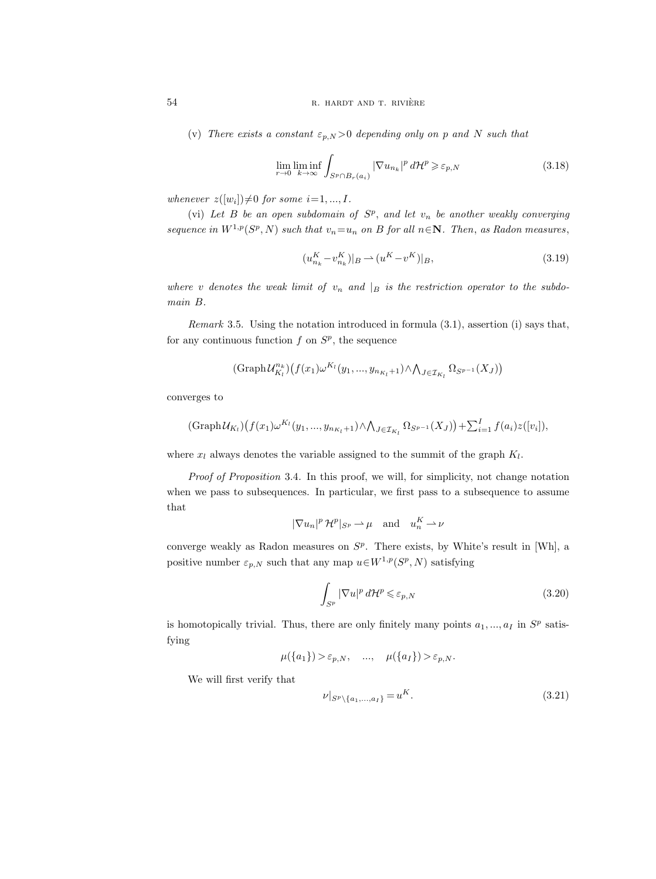(v) There exists a constant  $\varepsilon_{p,N} > 0$  depending only on p and N such that

$$
\lim_{r \to 0} \liminf_{k \to \infty} \int_{S^p \cap B_r(a_i)} |\nabla u_{n_k}|^p \, d\mathcal{H}^p \geq \varepsilon_{p,N} \tag{3.18}
$$

whenever  $z([w_i])\neq 0$  for some  $i=1, ..., I$ .

(vi) Let  $B$  be an open subdomain of  $S^p$ , and let  $v_n$  be another weakly converging sequence in  $W^{1,p}(S^p, N)$  such that  $v_n = u_n$  on B for all  $n \in \mathbb{N}$ . Then, as Radon measures,

$$
(u_{n_k}^K - v_{n_k}^K)|_B \rightharpoonup (u^K - v^K)|_B,\tag{3.19}
$$

where v denotes the weak limit of  $v_n$  and  $|_B$  is the restriction operator to the subdomain B.

Remark 3.5. Using the notation introduced in formula (3.1), assertion (i) says that, for any continuous function  $f$  on  $S^p$ , the sequence

$$
(\mathrm{Graph}\,\mathcal{U}_{K_l}^{n_k})\big(f(x_1)\omega^{K_l}(y_1,...,y_{n_{K_l}+1})\wedge \bigwedge_{J\in\mathcal{I}_{K_l}}\Omega_{S^{p-1}}(X_J)\big)
$$

converges to

$$
(\text{Graph}\mathcal{U}_{K_l})(f(x_1)\omega^{K_l}(y_1,...,y_{n_{K_l}+1})\wedge \bigwedge_{J\in\mathcal{I}_{K_l}}\Omega_{S^{p-1}}(X_J)\big)+\sum_{i=1}^I f(a_i)z([v_i]),
$$

where  $x_l$  always denotes the variable assigned to the summit of the graph  $K_l$ .

Proof of Proposition 3.4. In this proof, we will, for simplicity, not change notation when we pass to subsequences. In particular, we first pass to a subsequence to assume that

$$
|\nabla u_n|^p \, \mathcal{H}^p|_{S^p} \rightharpoonup \mu \quad \text{and} \quad u_n^K \rightharpoonup \nu
$$

converge weakly as Radon measures on  $S<sup>p</sup>$ . There exists, by White's result in [Wh], a positive number  $\varepsilon_{p,N}$  such that any map  $u \in W^{1,p}(S^p, N)$  satisfying

$$
\int_{S^p} |\nabla u|^p \, d\mathcal{H}^p \leqslant \varepsilon_{p,N} \tag{3.20}
$$

is homotopically trivial. Thus, there are only finitely many points  $a_1, ..., a_I$  in  $S^p$  satisfying

$$
\mu({a_1}) > \varepsilon_{p,N}, \quad \dots, \quad \mu({a_I}) > \varepsilon_{p,N}.
$$

We will first verify that

$$
\nu|_{S^p\setminus\{a_1,\ldots,a_I\}} = u^K.\tag{3.21}
$$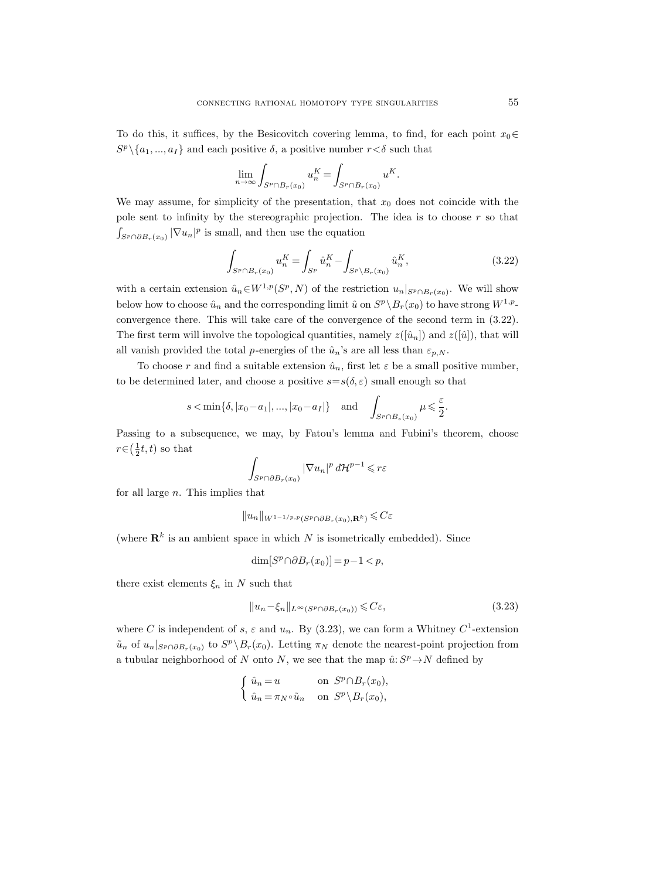To do this, it suffices, by the Besicovitch covering lemma, to find, for each point  $x_0 \in$  $S^p \setminus \{a_1, ..., a_I\}$  and each positive  $\delta$ , a positive number  $r < \delta$  such that

$$
\lim_{n \to \infty} \int_{S^p \cap B_r(x_0)} u_n^K = \int_{S^p \cap B_r(x_0)} u^K.
$$

We may assume, for simplicity of the presentation, that  $x_0$  does not coincide with the pole sent to infinity by the stereographic projection. The idea is to choose  $r$  so that  $\int_{S^p \cap \partial B_r(x_0)} |\nabla u_n|^p$  is small, and then use the equation

$$
\int_{S^p \cap B_r(x_0)} u_n^K = \int_{S^p} \hat{u}_n^K - \int_{S^p \backslash B_r(x_0)} \hat{u}_n^K,
$$
\n(3.22)

with a certain extension  $\hat{u}_n \in W^{1,p}(S^p, N)$  of the restriction  $u_n|_{S^p \cap B_r(x_0)}$ . We will show below how to choose  $\hat{u}_n$  and the corresponding limit  $\hat{u}$  on  $S^p \setminus B_r(x_0)$  to have strong  $W^{1,p}$ convergence there. This will take care of the convergence of the second term in (3.22). The first term will involve the topological quantities, namely  $z([ $\hat{u}_n$ ])$  and  $z([ $\hat{u}$ ]), that will$ all vanish provided the total p-energies of the  $\hat{u}_n$ 's are all less than  $\varepsilon_{p,N}$ .

To choose r and find a suitable extension  $\hat{u}_n$ , first let  $\varepsilon$  be a small positive number, to be determined later, and choose a positive  $s=s(\delta, \varepsilon)$  small enough so that

$$
s < \min{\delta, |x_0 - a_1|, ..., |x_0 - a_I|}
$$
 and  $\int_{S^p \cap B_s(x_0)} \mu \leq \frac{\varepsilon}{2}$ .

Passing to a subsequence, we may, by Fatou's lemma and Fubini's theorem, choose  $r \in (\frac{1}{2}t, t)$  so that

$$
\int_{S^p \cap \partial B_r(x_0)} |\nabla u_n|^p \, d\mathcal{H}^{p-1} \leqslant r\varepsilon
$$

for all large  $n$ . This implies that

$$
||u_n||_{W^{1-1/p,p}(S^p \cap \partial B_r(x_0), \mathbf{R}^k)} \leqslant C \varepsilon
$$

(where  $\mathbf{R}^k$  is an ambient space in which N is isometrically embedded). Since

$$
\dim[S^p \cap \partial B_r(x_0)] = p - 1 < p,
$$

there exist elements  $\xi_n$  in N such that

$$
||u_n - \xi_n||_{L^{\infty}(S^p \cap \partial B_r(x_0))} \leqslant C\varepsilon,
$$
\n(3.23)

where C is independent of s,  $\varepsilon$  and  $u_n$ . By (3.23), we can form a Whitney C<sup>1</sup>-extension  $\tilde{u}_n$  of  $u_n|_{S^p \cap \partial B_r(x_0)}$  to  $S^p \backslash B_r(x_0)$ . Letting  $\pi_N$  denote the nearest-point projection from a tubular neighborhood of N onto N, we see that the map  $\hat{u}: S^p \to N$  defined by

$$
\begin{cases} \n\hat{u}_n = u & \text{on } S^p \cap B_r(x_0), \\ \n\hat{u}_n = \pi_N \circ \tilde{u}_n & \text{on } S^p \setminus B_r(x_0), \n\end{cases}
$$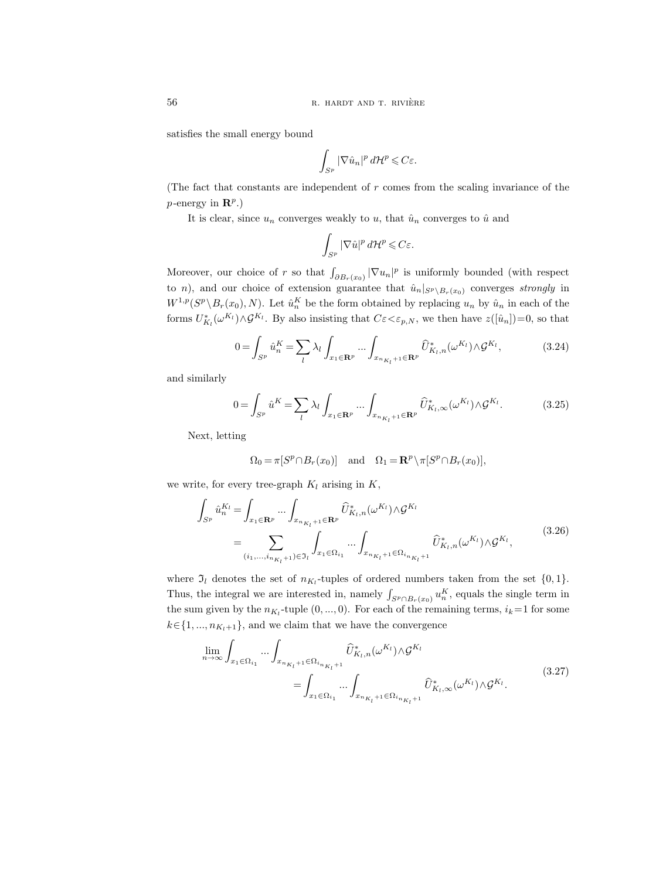satisfies the small energy bound

$$
\int_{S^p} |\nabla \hat{u}_n|^p \, d\mathcal{H}^p \leqslant C\varepsilon.
$$

(The fact that constants are independent of r comes from the scaling invariance of the *p*-energy in  $\mathbb{R}^p$ .)

It is clear, since  $u_n$  converges weakly to  $u$ , that  $\hat{u}_n$  converges to  $\hat{u}$  and

$$
\int_{S^p} |\nabla \hat{u}|^p d\mathcal{H}^p \leqslant C\varepsilon.
$$

Moreover, our choice of r so that  $\int_{\partial B_r(x_0)} |\nabla u_n|^p$  is uniformly bounded (with respect to n), and our choice of extension guarantee that  $\hat{u}_n|_{S^p\setminus B_r(x_0)}$  converges strongly in  $W^{1,p}(S^p \setminus B_r(x_0), N)$ . Let  $\hat{u}_n^K$  be the form obtained by replacing  $u_n$  by  $\hat{u}_n$  in each of the forms  $U_{K_l}^*(\omega^{K_l}) \wedge \mathcal{G}^{K_l}$ . By also insisting that  $C\varepsilon < \varepsilon_{p,N}$ , we then have  $z([\hat{u}_n])=0$ , so that

$$
0 = \int_{S^p} \hat{u}_n^K = \sum_l \lambda_l \int_{x_1 \in \mathbf{R}^p} \dots \int_{x_{n_{K_l}+1} \in \mathbf{R}^p} \widehat{U}_{K_l, n}^*(\omega^{K_l}) \wedge \mathcal{G}^{K_l}, \tag{3.24}
$$

and similarly

$$
0 = \int_{S^p} \hat{u}^K = \sum_l \lambda_l \int_{x_1 \in \mathbf{R}^p} \dots \int_{x_{n_{K_l}+1} \in \mathbf{R}^p} \widehat{U}^*_{K_l, \infty}(\omega^{K_l}) \wedge \mathcal{G}^{K_l}.
$$
 (3.25)

Next, letting

$$
\Omega_0 = \pi[S^p \cap B_r(x_0)] \quad \text{and} \quad \Omega_1 = \mathbf{R}^p \setminus \pi[S^p \cap B_r(x_0)],
$$

we write, for every tree-graph  $K_l$  arising in  $K$ ,

$$
\int_{S^p} \hat{u}_n^{K_l} = \int_{x_1 \in \mathbf{R}^p} \dots \int_{x_{n_{K_l}+1} \in \mathbf{R}^p} \hat{U}_{K_l, n}^*(\omega^{K_l}) \wedge \mathcal{G}^{K_l}
$$
\n
$$
= \sum_{(i_1, \dots, i_{n_{K_l}+1}) \in \mathfrak{I}_l} \int_{x_1 \in \Omega_{i_1}} \dots \int_{x_{n_{K_l}+1} \in \Omega_{i_{n_{K_l}+1}}} \hat{U}_{K_l, n}^*(\omega^{K_l}) \wedge \mathcal{G}^{K_l},
$$
\n(3.26)

where  $\mathfrak{I}_l$  denotes the set of  $n_{K_l}$ -tuples of ordered numbers taken from the set  $\{0,1\}$ . Thus, the integral we are interested in, namely  $\int_{S^p \cap B_r(x_0)} u_n^K$ , equals the single term in the sum given by the  $n_{K_l}$ -tuple  $(0, ..., 0)$ . For each of the remaining terms,  $i_k=1$  for some  $k \in \{1, ..., n_{K_l+1}\},$  and we claim that we have the convergence

$$
\lim_{n \to \infty} \int_{x_1 \in \Omega_{i_1}} \cdots \int_{x_{n_{K_l}+1} \in \Omega_{i_{n_{K_l}+1}}} \widehat{U}^*_{K_l, n}(\omega^{K_l}) \wedge \mathcal{G}^{K_l}
$$
\n
$$
= \int_{x_1 \in \Omega_{i_1}} \cdots \int_{x_{n_{K_l}+1} \in \Omega_{i_{n_{K_l}+1}}} \widehat{U}^*_{K_l, \infty}(\omega^{K_l}) \wedge \mathcal{G}^{K_l}.
$$
\n(3.27)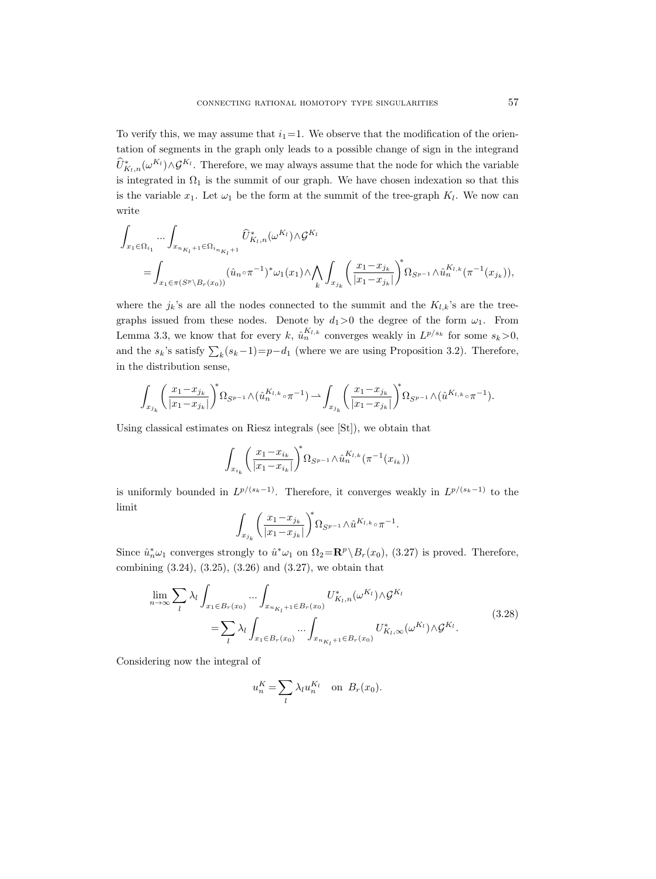To verify this, we may assume that  $i_1=1$ . We observe that the modification of the orientation of segments in the graph only leads to a possible change of sign in the integrand  $\hat{U}_{K_l,n}^*(\omega^{K_l}) \wedge \mathcal{G}^{K_l}$ . Therefore, we may always assume that the node for which the variable is integrated in  $\Omega_1$  is the summit of our graph. We have chosen indexation so that this is the variable  $x_1$ . Let  $\omega_1$  be the form at the summit of the tree-graph  $K_l$ . We now can write

$$
\int_{x_1 \in \Omega_{i_1}} \cdots \int_{x_{n_{K_l}+1} \in \Omega_{i_{n_{K_l}+1}}} \hat{U}_{K_l, n}^*(\omega^{K_l}) \wedge \mathcal{G}^{K_l}
$$
\n
$$
= \int_{x_1 \in \pi(S^p \setminus B_r(x_0))} (\hat{u}_n \circ \pi^{-1})^* \omega_1(x_1) \wedge \bigwedge_k \int_{x_{j_k}} \left(\frac{x_1 - x_{j_k}}{|x_1 - x_{j_k}|}\right)^* \Omega_{S^{p-1}} \wedge \hat{u}_n^{K_l, k} (\pi^{-1}(x_{j_k})),
$$

where the  $j_k$ 's are all the nodes connected to the summit and the  $K_{l,k}$ 's are the treegraphs issued from these nodes. Denote by  $d_1>0$  the degree of the form  $\omega_1$ . From Lemma 3.3, we know that for every k,  $\hat{u}_n^{K_{l,k}}$  converges weakly in  $L^{p/s_k}$  for some  $s_k > 0$ , and the  $s_k$ 's satisfy  $\sum_k (s_k-1)=p-d_1$  (where we are using Proposition 3.2). Therefore, in the distribution sense,

$$
\int_{x_{j_k}} \bigg( \frac{x_1 - x_{j_k}}{|x_1 - x_{j_k}|} \bigg)^{\!\! s} \Omega_{S^{p-1}} \wedge \big( \hat{u}_n^{K_{l,k}} \circ \pi^{-1} \big) \rightharpoonup \int_{x_{j_k}} \bigg( \frac{x_1 - x_{j_k}}{|x_1 - x_{j_k}|} \bigg)^{\!\! s} \Omega_{S^{p-1}} \wedge \big( \hat{u}^{K_{l,k}} \circ \pi^{-1} \big).
$$

Using classical estimates on Riesz integrals (see [St]), we obtain that

$$
\int_{x_{i_k}} \left( \frac{x_1 - x_{i_k}}{|x_1 - x_{i_k}|} \right)^* \Omega_{S^{p-1}} \wedge \hat{u}_n^{K_{l,k}}(\pi^{-1}(x_{i_k}))
$$

is uniformly bounded in  $L^{p/(s_k-1)}$ . Therefore, it converges weakly in  $L^{p/(s_k-1)}$  to the limit

$$
\int_{x_{j_k}} \bigg(\frac{x_1-x_{j_k}}{|x_1-x_{j_k}|}\bigg)^{\!\!s} \Omega_{S^{p-1}} \wedge \hat{u}^{K_{l,k}}\!\circ\!\pi^{-1}.
$$

Since  $\hat{u}_n^*\omega_1$  converges strongly to  $\hat{u}^*\omega_1$  on  $\Omega_2 = \mathbf{R}^p \setminus B_r(x_0)$ , (3.27) is proved. Therefore, combining (3.24), (3.25), (3.26) and (3.27), we obtain that

$$
\lim_{n \to \infty} \sum_{l} \lambda_l \int_{x_1 \in B_r(x_0)} \cdots \int_{x_{n_{K_l}+1} \in B_r(x_0)} U^*_{K_l, n}(\omega^{K_l}) \wedge \mathcal{G}^{K_l}
$$
\n
$$
= \sum_{l} \lambda_l \int_{x_1 \in B_r(x_0)} \cdots \int_{x_{n_{K_l}+1} \in B_r(x_0)} U^*_{K_l, \infty}(\omega^{K_l}) \wedge \mathcal{G}^{K_l}.
$$
\n(3.28)

Considering now the integral of

$$
u_n^K = \sum_l \lambda_l u_n^{K_l} \quad \text{on } B_r(x_0).
$$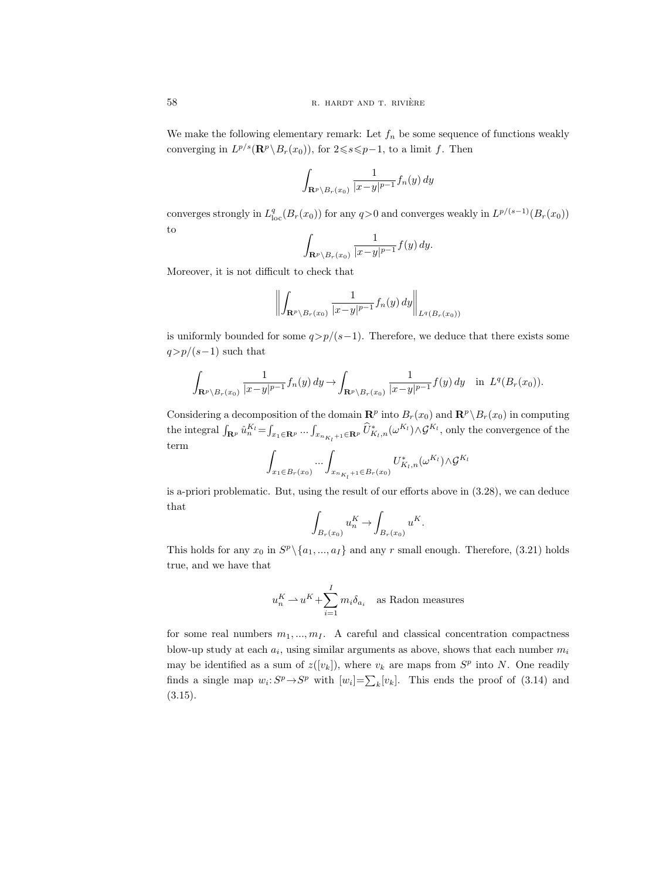We make the following elementary remark: Let  $f_n$  be some sequence of functions weakly converging in  $L^{p/s}(\mathbf{R}^p \setminus B_r(x_0))$ , for  $2 \leq s \leq p-1$ , to a limit f. Then

$$
\int_{\mathbf{R}^p \setminus B_r(x_0)} \frac{1}{|x-y|^{p-1}} f_n(y) \, dy
$$

converges strongly in  $L^q_{loc}(B_r(x_0))$  for any  $q>0$  and converges weakly in  $L^{p/(s-1)}(B_r(x_0))$ to

$$
\int_{\mathbf{R}^p \setminus B_r(x_0)} \frac{1}{|x-y|^{p-1}} f(y) \, dy.
$$

Moreover, it is not difficult to check that

$$
\left\| \int_{\mathbf{R}^p \setminus B_r(x_0)} \frac{1}{|x - y|^{p - 1}} f_n(y) \, dy \right\|_{L^q(B_r(x_0))}
$$

is uniformly bounded for some  $q > p/(s-1)$ . Therefore, we deduce that there exists some  $q > p/(s-1)$  such that

$$
\int_{\mathbf{R}^p \setminus B_r(x_0)} \frac{1}{|x-y|^{p-1}} f_n(y) dy \to \int_{\mathbf{R}^p \setminus B_r(x_0)} \frac{1}{|x-y|^{p-1}} f(y) dy \quad \text{in } L^q(B_r(x_0)).
$$

Considering a decomposition of the domain  $\mathbb{R}^p$  into  $B_r(x_0)$  and  $\mathbb{R}^p \setminus B_r(x_0)$  in computing the integral  $\int_{\mathbf{R}^p} \hat{u}_n^{K_l} = \int_{x_1 \in \mathbf{R}^p} \cdots \int_{x_{n_{K_l}+1} \in \mathbf{R}^p} \hat{U}_{K_l,n}^* (\omega^{K_l}) \wedge \mathcal{G}^{K_l}$ , only the convergence of the term

$$
\int_{x_1 \in B_r(x_0)} \dots \int_{x_{n_{K_l}+1} \in B_r(x_0)} U_{K_l,n}^*(\omega^{K_l}) \wedge \mathcal{G}^{K_l}
$$

is a-priori problematic. But, using the result of our efforts above in (3.28), we can deduce that

$$
\int_{B_r(x_0)} u_n^K \to \int_{B_r(x_0)} u^K.
$$

This holds for any  $x_0$  in  $S^p \setminus \{a_1, ..., a_I\}$  and any r small enough. Therefore, (3.21) holds true, and we have that

$$
u_n^K \rightharpoonup u^K + \sum_{i=1}^I m_i \delta_{a_i}
$$
 as Radon measures

for some real numbers  $m_1, ..., m_I$ . A careful and classical concentration compactness blow-up study at each  $a_i$ , using similar arguments as above, shows that each number  $m_i$ may be identified as a sum of  $z([v_k])$ , where  $v_k$  are maps from  $S^p$  into N. One readily finds a single map  $w_i: S^p \to S^p$  with  $[w_i] = \sum_k [v_k]$ . This ends the proof of (3.14) and (3.15).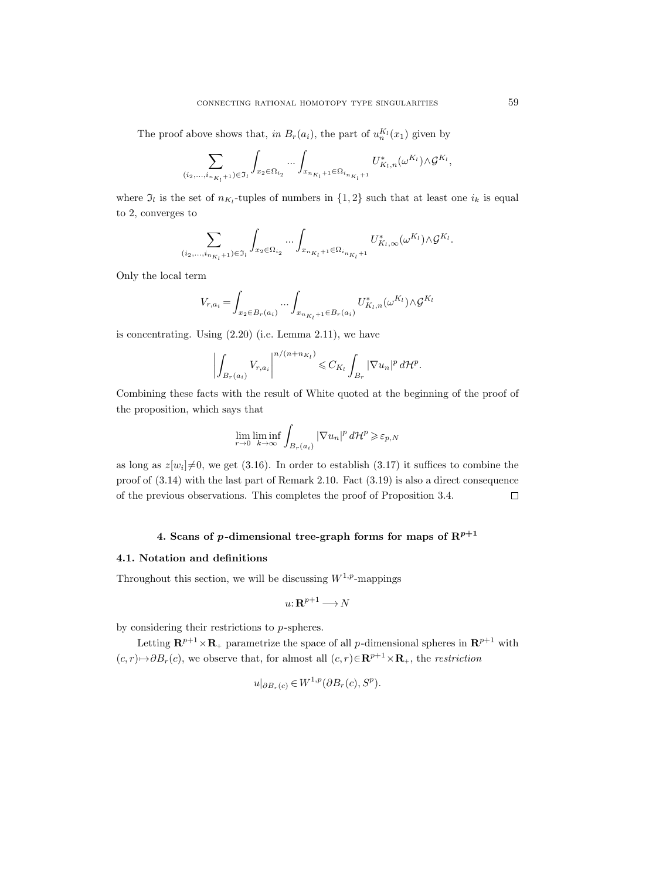The proof above shows that, in  $B_r(a_i)$ , the part of  $u_n^{K_l}(x_1)$  given by

$$
\sum_{(i_2,...,i_{n_{K_l}+1})\in \mathfrak{I}_l}\int_{x_2\in \Omega_{i_2}}...\int_{x_{n_{K_l}+1}\in \Omega_{i_{n_{K_l}+1}}}U_{K_l,n}^*(\omega^{K_l})\wedge \mathcal{G}^{K_l},
$$

where  $\mathfrak{I}_l$  is the set of  $n_{K_l}$ -tuples of numbers in  $\{1,2\}$  such that at least one  $i_k$  is equal to 2, converges to

$$
\sum_{(i_2,...,i_{n_{K_l}+1})\in \mathfrak{I}_l}\int_{x_2\in \Omega_{i_2}}...\int_{x_{n_{K_l}+1}\in \Omega_{i_{n_{K_l}+1}}}U^*_{K_l,\infty}(\omega^{K_l})\wedge \mathcal{G}^{K_l}.
$$

Only the local term

$$
V_{r,a_i} = \int_{x_2 \in B_r(a_i)} \dots \int_{x_{n_{K_l}+1} \in B_r(a_i)} U_{K_l,n}^*(\omega^{K_l}) \wedge \mathcal{G}^{K_l}
$$

is concentrating. Using (2.20) (i.e. Lemma 2.11), we have

$$
\left|\int_{B_r(a_i)} V_{r,a_i}\right|^{n/(n+n_{K_l})} \leqslant C_{K_l} \int_{B_r} |\nabla u_n|^p d\mathcal{H}^p.
$$

Combining these facts with the result of White quoted at the beginning of the proof of the proposition, which says that

$$
\lim_{r \to 0} \liminf_{k \to \infty} \int_{B_r(a_i)} |\nabla u_n|^p \, d\mathcal{H}^p \geq \varepsilon_{p,N}
$$

as long as  $z[w_i] \neq 0$ , we get (3.16). In order to establish (3.17) it suffices to combine the proof of (3.14) with the last part of Remark 2.10. Fact (3.19) is also a direct consequence of the previous observations. This completes the proof of Proposition 3.4.  $\Box$ 

# 4. Scans of p-dimensional tree-graph forms for maps of  $\mathbb{R}^{p+1}$

### 4.1. Notation and definitions

Throughout this section, we will be discussing  $W^{1,p}$ -mappings

$$
u\colon \mathbf{R}^{p+1}\longrightarrow N
$$

by considering their restrictions to p-spheres.

Letting  $\mathbf{R}^{p+1}\times\mathbf{R}_{+}$  parametrize the space of all p-dimensional spheres in  $\mathbf{R}^{p+1}$  with  $(c, r) \rightarrow \partial B_r(c)$ , we observe that, for almost all  $(c, r) \in \mathbb{R}^{p+1} \times \mathbb{R}_+$ , the restriction

$$
u|_{\partial B_r(c)} \in W^{1,p}(\partial B_r(c), S^p).
$$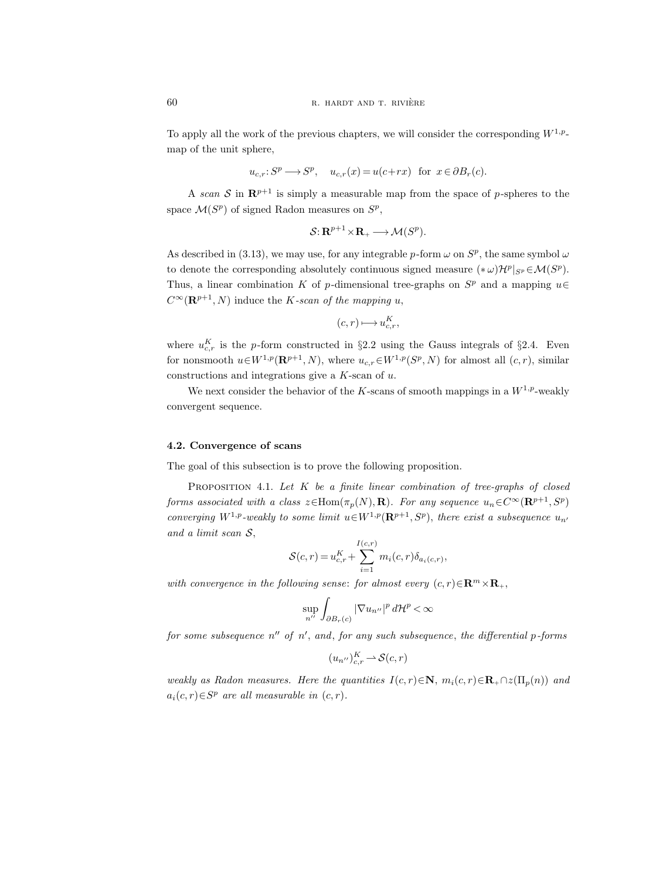To apply all the work of the previous chapters, we will consider the corresponding  $W^{1,p}$ map of the unit sphere,

$$
u_{c,r}: S^p \longrightarrow S^p
$$
,  $u_{c,r}(x) = u(c+rx)$  for  $x \in \partial B_r(c)$ .

A scan S in  $\mathbb{R}^{p+1}$  is simply a measurable map from the space of p-spheres to the space  $\mathcal{M}(S^p)$  of signed Radon measures on  $S^p$ ,

$$
\mathcal{S}: \mathbf{R}^{p+1} \times \mathbf{R}_{+} \longrightarrow \mathcal{M}(S^{p}).
$$

As described in (3.13), we may use, for any integrable p-form  $\omega$  on  $S^p$ , the same symbol  $\omega$ to denote the corresponding absolutely continuous signed measure  $(*\omega) \mathcal{H}^p|_{S^p} \in \mathcal{M}(S^p)$ . Thus, a linear combination K of p-dimensional tree-graphs on  $S<sup>p</sup>$  and a mapping  $u \in$  $C^{\infty}(\mathbf{R}^{p+1}, N)$  induce the *K*-scan of the mapping u,

$$
(c,r)\longmapsto u_{c,r}^K,
$$

where  $u_{c,r}^K$  is the p-form constructed in §2.2 using the Gauss integrals of §2.4. Even for nonsmooth  $u \in W^{1,p}(\mathbf{R}^{p+1}, N)$ , where  $u_{c,r} \in W^{1,p}(S^p, N)$  for almost all  $(c, r)$ , similar constructions and integrations give a  $K$ -scan of  $u$ .

We next consider the behavior of the K-scans of smooth mappings in a  $W^{1,p}$ -weakly convergent sequence.

#### 4.2. Convergence of scans

The goal of this subsection is to prove the following proposition.

PROPOSITION 4.1. Let  $K$  be a finite linear combination of tree-graphs of closed forms associated with a class  $z \in \text{Hom}(\pi_p(N), \mathbf{R})$ . For any sequence  $u_n \in C^{\infty}(\mathbf{R}^{p+1}, S^p)$ converging  $W^{1,p}$ -weakly to some limit  $u \in W^{1,p}(\mathbf{R}^{p+1}, S^p)$ , there exist a subsequence  $u_{n'}$ and a limit scan S,

$$
S(c,r) = u_{c,r}^K + \sum_{i=1}^{I(c,r)} m_i(c,r) \delta_{a_i(c,r)},
$$

with convergence in the following sense: for almost every  $(c, r) \in \mathbb{R}^m \times \mathbb{R}_+$ ,

$$
\sup_{n''}\int_{\partial B_r(c)}|\nabla u_{n''}|^p\,d\mathcal{H}^p<\infty
$$

for some subsequence  $n''$  of  $n'$ , and, for any such subsequence, the differential p-forms

$$
(u_{n''})_{c,r}^K \to \mathcal{S}(c,r)
$$

weakly as Radon measures. Here the quantities  $I(c, r) \in \mathbb{N}$ ,  $m_i(c, r) \in \mathbb{R}_+ \cap z(\Pi_n(n))$  and  $a_i(c,r) \in S^p$  are all measurable in  $(c, r)$ .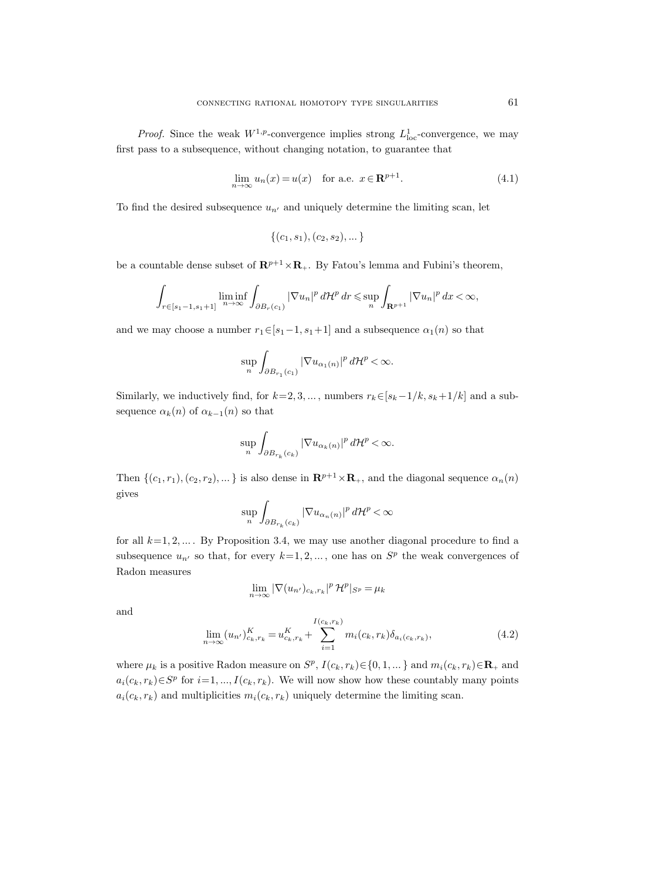*Proof.* Since the weak  $W^{1,p}$ -convergence implies strong  $L^1_{loc}$ -convergence, we may first pass to a subsequence, without changing notation, to guarantee that

$$
\lim_{n \to \infty} u_n(x) = u(x) \quad \text{for a.e. } x \in \mathbf{R}^{p+1}.
$$
 (4.1)

To find the desired subsequence  $u_{n'}$  and uniquely determine the limiting scan, let

$$
\{(c_1, s_1), (c_2, s_2), \dots\}
$$

be a countable dense subset of  $\mathbb{R}^{p+1} \times \mathbb{R}_+$ . By Fatou's lemma and Fubini's theorem,

$$
\int_{r\in [s_1-1,s_1+1]} \liminf_{n\to\infty} \int_{\partial B_r(c_1)} |\nabla u_n|^p \, d\mathcal{H}^p \, dr \leqslant \sup_n \int_{\mathbf{R}^{p+1}} |\nabla u_n|^p \, dx < \infty,
$$

and we may choose a number  $r_1 \in [s_1-1, s_1+1]$  and a subsequence  $\alpha_1(n)$  so that

$$
\sup_{n}\int_{\partial B_{r_1}(c_1)}|\nabla u_{\alpha_1(n)}|^p d\mathcal{H}^p<\infty.
$$

Similarly, we inductively find, for  $k=2, 3, ...$ , numbers  $r_k \in [s_k-1/k, s_k+1/k]$  and a subsequence  $\alpha_k(n)$  of  $\alpha_{k-1}(n)$  so that

$$
\sup_{n}\int_{\partial B_{r_k}(c_k)}|\nabla u_{\alpha_k(n)}|^p d\mathcal{H}^p<\infty.
$$

Then  $\{(c_1, r_1), (c_2, r_2), ...\}$  is also dense in  $\mathbb{R}^{p+1} \times \mathbb{R}_+$ , and the diagonal sequence  $\alpha_n(n)$ gives

$$
\sup_{n}\int_{\partial B_{r_k}(c_k)}|\nabla u_{\alpha_n(n)}|^p\,d\mathcal{H}^p<\infty
$$

for all  $k=1, 2, \ldots$ . By Proposition 3.4, we may use another diagonal procedure to find a subsequence  $u_{n'}$  so that, for every  $k=1, 2, \ldots$ , one has on  $S<sup>p</sup>$  the weak convergences of Radon measures

$$
\lim_{n \to \infty} |\nabla(u_{n'})_{c_k, r_k}|^p \mathcal{H}^p|_{S^p} = \mu_k
$$

and

$$
\lim_{n \to \infty} (u_{n'})_{c_k, r_k}^K = u_{c_k, r_k}^K + \sum_{i=1}^{I(c_k, r_k)} m_i(c_k, r_k) \delta_{a_i(c_k, r_k)},
$$
\n(4.2)

where  $\mu_k$  is a positive Radon measure on  $S^p$ ,  $I(c_k, r_k) \in \{0, 1, \dots\}$  and  $m_i(c_k, r_k) \in \mathbf{R}_+$  and  $a_i(c_k, r_k) \in S^p$  for  $i=1, ..., I(c_k, r_k)$ . We will now show how these countably many points  $a_i(c_k, r_k)$  and multiplicities  $m_i(c_k, r_k)$  uniquely determine the limiting scan.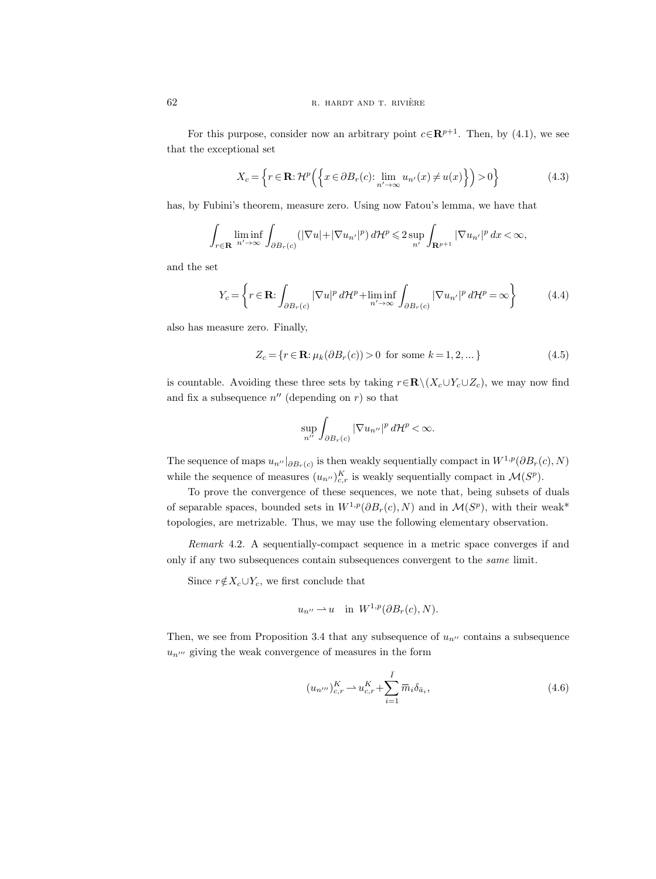For this purpose, consider now an arbitrary point  $c \in \mathbb{R}^{p+1}$ . Then, by (4.1), we see that the exceptional set

$$
X_c = \left\{ r \in \mathbf{R} : \mathcal{H}^p \left( \left\{ x \in \partial B_r(c) : \lim_{n' \to \infty} u_{n'}(x) \neq u(x) \right\} \right) > 0 \right\}
$$
(4.3)

has, by Fubini's theorem, measure zero. Using now Fatou's lemma, we have that

$$
\int_{r\in\mathbf{R}}\liminf_{n'\to\infty}\int_{\partial B_r(c)}(|\nabla u|+|\nabla u_{n'}|^p)\,d\mathcal{H}^p\leqslant 2\sup_{n'}\int_{\mathbf{R}^{p+1}}|\nabla u_{n'}|^p\,dx<\infty,
$$

and the set

$$
Y_c = \left\{ r \in \mathbf{R} : \int_{\partial B_r(c)} |\nabla u|^p d\mathcal{H}^p + \liminf_{n' \to \infty} \int_{\partial B_r(c)} |\nabla u_{n'}|^p d\mathcal{H}^p = \infty \right\}
$$
(4.4)

also has measure zero. Finally,

$$
Z_c = \{r \in \mathbf{R} : \mu_k(\partial B_r(c)) > 0 \text{ for some } k = 1, 2, \dots\}
$$
 (4.5)

is countable. Avoiding these three sets by taking  $r \in \mathbb{R} \setminus (X_c \cup Y_c \cup Z_c)$ , we may now find and fix a subsequence  $n''$  (depending on r) so that

$$
\sup_{n^{\prime\prime}}\int_{\partial B_r(c)}|\nabla u_{n^{\prime\prime}}|^p\,d\mathcal{H}^p<\infty.
$$

The sequence of maps  $u_{n''}|_{\partial B_r(c)}$  is then weakly sequentially compact in  $W^{1,p}(\partial B_r(c), N)$ while the sequence of measures  $(u_{n''})_{c,r}^K$  is weakly sequentially compact in  $\mathcal{M}(S^p)$ .

To prove the convergence of these sequences, we note that, being subsets of duals of separable spaces, bounded sets in  $W^{1,p}(\partial B_r(c), N)$  and in  $\mathcal{M}(S^p)$ , with their weak<sup>\*</sup> topologies, are metrizable. Thus, we may use the following elementary observation.

Remark 4.2. A sequentially-compact sequence in a metric space converges if and only if any two subsequences contain subsequences convergent to the same limit.

Since  $r \notin X_c \cup Y_c$ , we first conclude that

$$
u_{n''} \rightharpoonup u
$$
 in  $W^{1,p}(\partial B_r(c), N)$ .

Then, we see from Proposition 3.4 that any subsequence of  $u_{n^{\prime\prime}}$  contains a subsequence  $u_{n^{\prime\prime\prime}}$  giving the weak convergence of measures in the form

$$
(u_{n''})_{c,r}^K \rightharpoonup u_{c,r}^K + \sum_{i=1}^{\bar{I}} \overline{m}_i \delta_{\bar{a}_i},
$$
\n(4.6)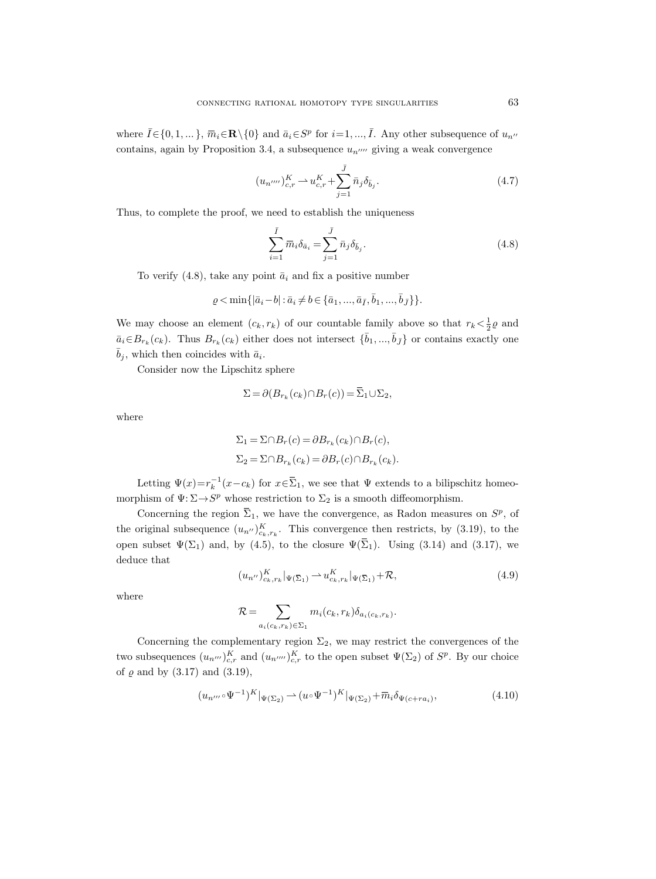where  $\bar{I} \in \{0, 1, \dots\}$ ,  $\bar{m}_i \in \mathbb{R} \setminus \{0\}$  and  $\bar{a}_i \in S^p$  for  $i = 1, ..., \bar{I}$ . Any other subsequence of  $u_{n''}$ contains, again by Proposition 3.4, a subsequence  $u_{n^{\prime\prime\prime\prime}}$  giving a weak convergence

$$
(u_{n''''})_{c,r}^{K} \rightharpoonup u_{c,r}^{K} + \sum_{j=1}^{\bar{J}} \bar{n}_{j} \delta_{\bar{b}_{j}}.
$$
\n(4.7)

Thus, to complete the proof, we need to establish the uniqueness

$$
\sum_{i=1}^{\bar{I}} \overline{m}_i \delta_{\bar{a}_i} = \sum_{j=1}^{\bar{J}} \overline{n}_j \delta_{\bar{b}_j}.
$$
\n(4.8)

To verify (4.8), take any point  $\bar{a}_i$  and fix a positive number

$$
\varrho < \min\{|\bar{a}_i - b| : \bar{a}_i \neq b \in \{\bar{a}_1, ..., \bar{a}_{\bar{I}}, \bar{b}_1, ..., \bar{b}_{\bar{J}}\}\}.
$$

We may choose an element  $(c_k, r_k)$  of our countable family above so that  $r_k < \frac{1}{2}\varrho$  and  $\bar{a}_i \in B_{r_k}(c_k)$ . Thus  $B_{r_k}(c_k)$  either does not intersect  $\{\bar{b}_1, ..., \bar{b}_{\bar{J}}\}$  or contains exactly one  $\bar{b}_j$ , which then coincides with  $\bar{a}_i$ .

Consider now the Lipschitz sphere

$$
\Sigma = \partial (B_{r_k}(c_k) \cap B_r(c)) = \overline{\Sigma}_1 \cup \Sigma_2,
$$

where

$$
\Sigma_1 = \Sigma \cap B_r(c) = \partial B_{r_k}(c_k) \cap B_r(c),
$$
  
\n
$$
\Sigma_2 = \Sigma \cap B_{r_k}(c_k) = \partial B_r(c) \cap B_{r_k}(c_k).
$$

Letting  $\Psi(x) = r_k^{-1}(x - c_k)$  for  $x \in \overline{\Sigma}_1$ , we see that  $\Psi$  extends to a bilipschitz homeomorphism of  $\Psi: \Sigma \to S^p$  whose restriction to  $\Sigma_2$  is a smooth diffeomorphism.

Concerning the region  $\overline{\Sigma}_1$ , we have the convergence, as Radon measures on  $S^p$ , of the original subsequence  $(u_{n''})_{c_k,r_k}^K$ . This convergence then restricts, by (3.19), to the open subset  $\Psi(\Sigma_1)$  and, by (4.5), to the closure  $\Psi(\overline{\Sigma}_1)$ . Using (3.14) and (3.17), we deduce that

$$
(u_{n''})_{c_k, r_k}^K |_{\Psi(\overline{\Sigma}_1)} \rightharpoonup u_{c_k, r_k}^K |_{\Psi(\overline{\Sigma}_1)} + \mathcal{R}, \tag{4.9}
$$

where

$$
\mathcal{R} = \sum_{a_i(c_k, r_k) \in \Sigma_1} m_i(c_k, r_k) \delta_{a_i(c_k, r_k)}.
$$

Concerning the complementary region  $\Sigma_2$ , we may restrict the convergences of the two subsequences  $(u_{n''})_{c,r}^K$  and  $(u_{n''''})_{c,r}^K$  to the open subset  $\Psi(\Sigma_2)$  of  $S^p$ . By our choice of  $\varrho$  and by  $(3.17)$  and  $(3.19)$ ,

$$
(u_{n^{\prime\prime\prime}} \circ \Psi^{-1})^K|_{\Psi(\Sigma_2)} \to (u \circ \Psi^{-1})^K|_{\Psi(\Sigma_2)} + \overline{m}_i \delta_{\Psi(c+ra_i)},
$$
\n(4.10)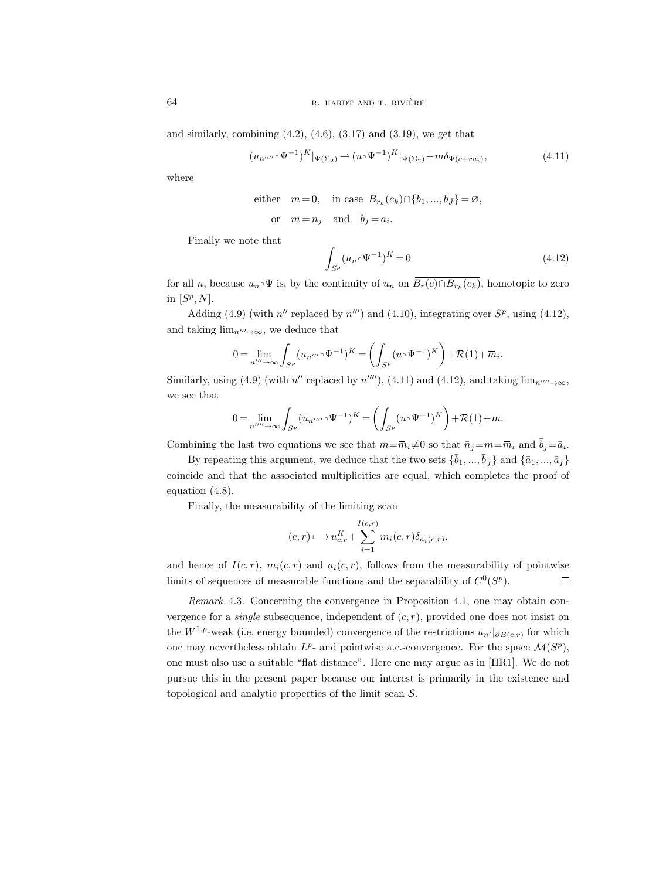and similarly, combining  $(4.2)$ ,  $(4.6)$ ,  $(3.17)$  and  $(3.19)$ , we get that

$$
(u_{n''''}\circ\Psi^{-1})^K|_{\Psi(\Sigma_2)}\rightharpoonup (u\circ\Psi^{-1})^K|_{\Psi(\Sigma_2)}+m\delta_{\Psi(c+ra_i)},\tag{4.11}
$$

where

either 
$$
m=0
$$
, in case  $B_{r_k}(c_k) \cap {\bar{b}_1, ..., \bar{b}_{\bar{J}}}= \emptyset$ ,  
or  $m = \bar{n}_j$  and  $\bar{b}_j = \bar{a}_i$ .

Finally we note that

$$
\int_{S^p} (u_n \circ \Psi^{-1})^K = 0 \tag{4.12}
$$

for all n, because  $u_n \circ \Psi$  is, by the continuity of  $u_n$  on  $\overline{B_r(c) \cap B_{r_k}(c_k)}$ , homotopic to zero in  $[S^p, N]$ .

Adding (4.9) (with n'' replaced by n''') and (4.10), integrating over  $S^p$ , using (4.12), and taking  $\lim_{n\to\infty}$ , we deduce that

$$
0 = \lim_{n'' \to \infty} \int_{S^p} (u_{n'''} \circ \Psi^{-1})^K = \left( \int_{S^p} (u \circ \Psi^{-1})^K \right) + \mathcal{R}(1) + \overline{m}_i.
$$

Similarly, using (4.9) (with  $n''$  replaced by  $n''''$ ), (4.11) and (4.12), and taking  $\lim_{n'' \to \infty}$ , we see that

$$
0 = \lim_{n'''' \to \infty} \int_{S^p} (u_{n''''} \circ \Psi^{-1})^K = \left( \int_{S^p} (u \circ \Psi^{-1})^K \right) + \mathcal{R}(1) + m.
$$

Combining the last two equations we see that  $m = \overline{m}_i \neq 0$  so that  $\overline{n}_j = m = \overline{m}_i$  and  $\overline{b}_j = \overline{a}_i$ .

By repeating this argument, we deduce that the two sets  $\{\bar{b}_1,...,\bar{b}_{\bar{J}}\}$  and  $\{\bar{a}_1,...,\bar{a}_{\bar{I}}\}$ coincide and that the associated multiplicities are equal, which completes the proof of equation (4.8).

Finally, the measurability of the limiting scan

$$
(c,r)\longmapsto u_{c,r}^K+\sum_{i=1}^{I(c,r)}m_i(c,r)\delta_{a_i(c,r)},
$$

and hence of  $I(c, r)$ ,  $m_i(c, r)$  and  $a_i(c, r)$ , follows from the measurability of pointwise limits of sequences of measurable functions and the separability of  $C^0(S^p)$ .  $\Box$ 

Remark 4.3. Concerning the convergence in Proposition 4.1, one may obtain convergence for a *single* subsequence, independent of  $(c, r)$ , provided one does not insist on the  $W^{1,p}$ -weak (i.e. energy bounded) convergence of the restrictions  $u_{n'}|_{\partial B(c,r)}$  for which one may nevertheless obtain  $L^p$ - and pointwise a.e.-convergence. For the space  $\mathcal{M}(S^p)$ , one must also use a suitable "flat distance". Here one may argue as in [HR1]. We do not pursue this in the present paper because our interest is primarily in the existence and topological and analytic properties of the limit scan  $S$ .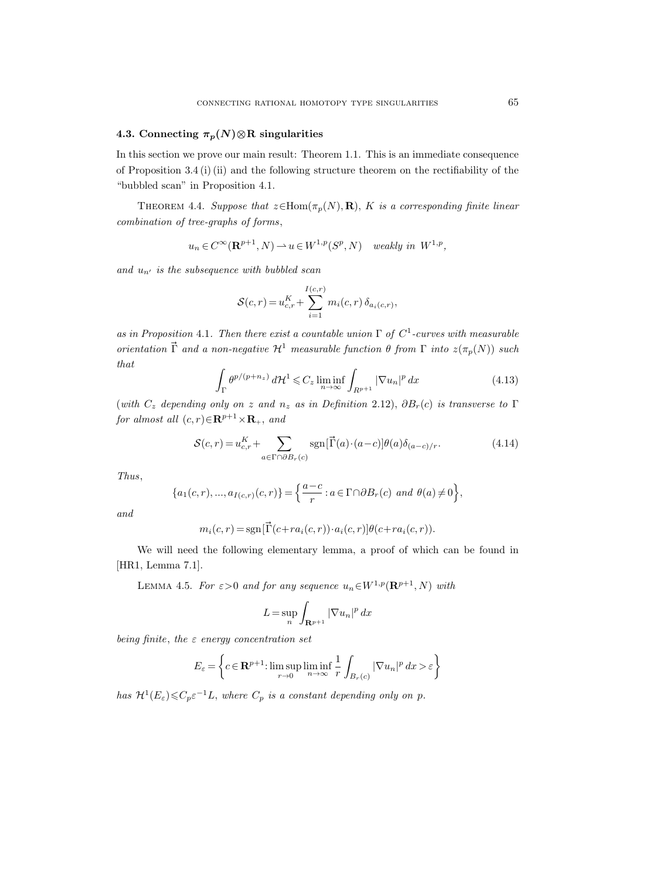## 4.3. Connecting  $\pi_p(N) \otimes R$  singularities

In this section we prove our main result: Theorem 1.1. This is an immediate consequence of Proposition 3.4 (i) (ii) and the following structure theorem on the rectifiability of the "bubbled scan" in Proposition 4.1.

THEOREM 4.4. Suppose that  $z \in Hom(\pi_p(N), R)$ , K is a corresponding finite linear combination of tree-graphs of forms,

$$
u_n \in C^{\infty}(\mathbf{R}^{p+1}, N) \to u \in W^{1,p}(S^p, N) \quad weakly \ in \ W^{1,p},
$$

and  $u_{n'}$  is the subsequence with bubbled scan

$$
S(c,r) = u_{c,r}^K + \sum_{i=1}^{I(c,r)} m_i(c,r) \, \delta_{a_i(c,r)},
$$

as in Proposition 4.1. Then there exist a countable union  $\Gamma$  of  $C^1$ -curves with measurable orientation  $\vec{\Gamma}$  and a non-negative  $\mathcal{H}^1$  measurable function  $\theta$  from  $\Gamma$  into  $z(\pi_p(N))$  such that

$$
\int_{\Gamma} \theta^{p/(p+n_z)} d\mathcal{H}^1 \leqslant C_z \liminf_{n \to \infty} \int_{R^{p+1}} |\nabla u_n|^p dx \tag{4.13}
$$

(with  $C_z$  depending only on z and  $n_z$  as in Definition 2.12),  $\partial B_r(c)$  is transverse to  $\Gamma$ for almost all  $(c, r) \in \mathbb{R}^{p+1} \times \mathbb{R}_+$ , and

$$
S(c,r) = u_{c,r}^K + \sum_{a \in \Gamma \cap \partial B_r(c)} \text{sgn}[\vec{\Gamma}(a) \cdot (a-c)] \theta(a) \delta_{(a-c)/r}.
$$
 (4.14)

Thus,

$$
\{a_1(c,r),...,a_{I(c,r)}(c,r)\} = \left\{\frac{a-c}{r} : a \in \Gamma \cap \partial B_r(c) \text{ and } \theta(a) \neq 0\right\},\
$$

and

$$
m_i(c,r) = \operatorname{sgn}[\vec{\Gamma}(c + ra_i(c,r)) \cdot a_i(c,r)] \theta(c + ra_i(c,r)).
$$

We will need the following elementary lemma, a proof of which can be found in [HR1, Lemma 7.1].

LEMMA 4.5. For  $\varepsilon > 0$  and for any sequence  $u_n \in W^{1,p}(\mathbf{R}^{p+1}, N)$  with

$$
L = \sup_n \int_{\mathbf{R}^{p+1}} |\nabla u_n|^p \, dx
$$

being finite, the  $\varepsilon$  energy concentration set

$$
E_{\varepsilon} = \left\{ c \in \mathbf{R}^{p+1}: \limsup_{r \to 0} \liminf_{n \to \infty} \frac{1}{r} \int_{B_r(c)} |\nabla u_n|^p \, dx > \varepsilon \right\}
$$

has  $\mathcal{H}^1(E_\varepsilon) \leqslant C_p \varepsilon^{-1} L$ , where  $C_p$  is a constant depending only on p.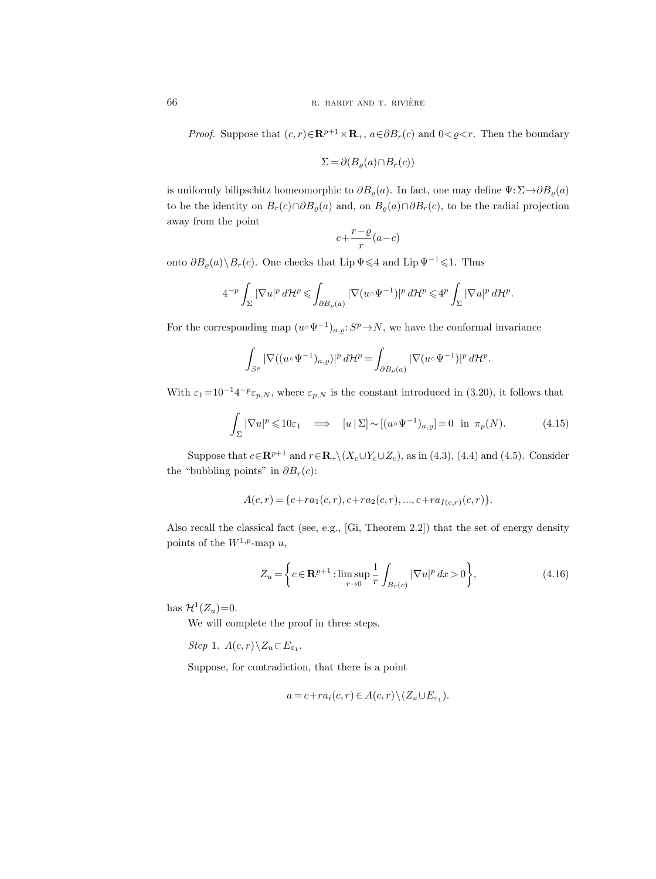*Proof.* Suppose that  $(c, r) \in \mathbb{R}^{p+1} \times \mathbb{R}_+$ ,  $a \in \partial B_r(c)$  and  $0 < \rho < r$ . Then the boundary

$$
\Sigma = \partial (B_{\varrho}(a) \cap B_r(c))
$$

is uniformly bilipschitz homeomorphic to  $\partial B_{\rho}(a)$ . In fact, one may define  $\Psi: \Sigma \to \partial B_{\rho}(a)$ to be the identity on  $B_r(c) \cap \partial B_\varrho(a)$  and, on  $B_\varrho(a) \cap \partial B_r(c)$ , to be the radial projection away from the point

$$
c + \frac{r - \varrho}{r}(a - c)
$$

onto  $\partial B_{\rho}(a)\backslash B_r(c)$ . One checks that Lip  $\Psi\leq 4$  and Lip  $\Psi^{-1}\leq 1$ . Thus

$$
4^{-p}\int_{\Sigma}|\nabla u|^p\,d\mathcal{H}^p\leqslant \int_{\partial B_\varrho(a)}|\nabla (u\circ \Psi^{-1})|^p\,d\mathcal{H}^p\leqslant 4^p\int_{\Sigma}|\nabla u|^p\,d\mathcal{H}^p.
$$

For the corresponding map  $(u \cdot \Psi^{-1})_{a,\varrho}: S^p \to N$ , we have the conformal invariance

$$
\int_{S^p} |\nabla((u \circ \Psi^{-1})_{a,\varrho})|^p d\mathcal{H}^p = \int_{\partial B_{\varrho}(a)} |\nabla(u \circ \Psi^{-1})|^p d\mathcal{H}^p.
$$

With  $\varepsilon_1=10^{-1}4^{-p}\varepsilon_{p,N}$ , where  $\varepsilon_{p,N}$  is the constant introduced in (3.20), it follows that

$$
\int_{\Sigma} |\nabla u|^p \leq 10\varepsilon_1 \quad \Longrightarrow \quad [u \,|\, \Sigma] \sim [(u \circ \Psi^{-1})_{a,\varrho}] = 0 \quad \text{in} \quad \pi_p(N). \tag{4.15}
$$

Suppose that  $c \in \mathbb{R}^{p+1}$  and  $r \in \mathbb{R}_+ \setminus (X_c \cup Y_c \cup Z_c)$ , as in (4.3), (4.4) and (4.5). Consider the "bubbling points" in  $\partial B_r(c)$ :

$$
A(c,r) = \{c + ra_1(c,r), c + ra_2(c,r), ..., c + ra_{I(c,r)}(c,r)\}.
$$

Also recall the classical fact (see, e.g., [Gi, Theorem 2.2]) that the set of energy density points of the  $W^{1,p}$ -map u,

$$
Z_u = \left\{ c \in \mathbf{R}^{p+1} : \limsup_{r \to 0} \frac{1}{r} \int_{B_r(c)} |\nabla u|^p \, dx > 0 \right\},\tag{4.16}
$$

has  $\mathcal{H}^1(Z_u)=0$ .

We will complete the proof in three steps.

Step 1.  $A(c,r)\, \n\setminus Z_u \subset E_{\varepsilon_1}.$ 

Suppose, for contradiction, that there is a point

$$
a = c + ra_i(c, r) \in A(c, r) \setminus (Z_u \cup E_{\varepsilon_1}).
$$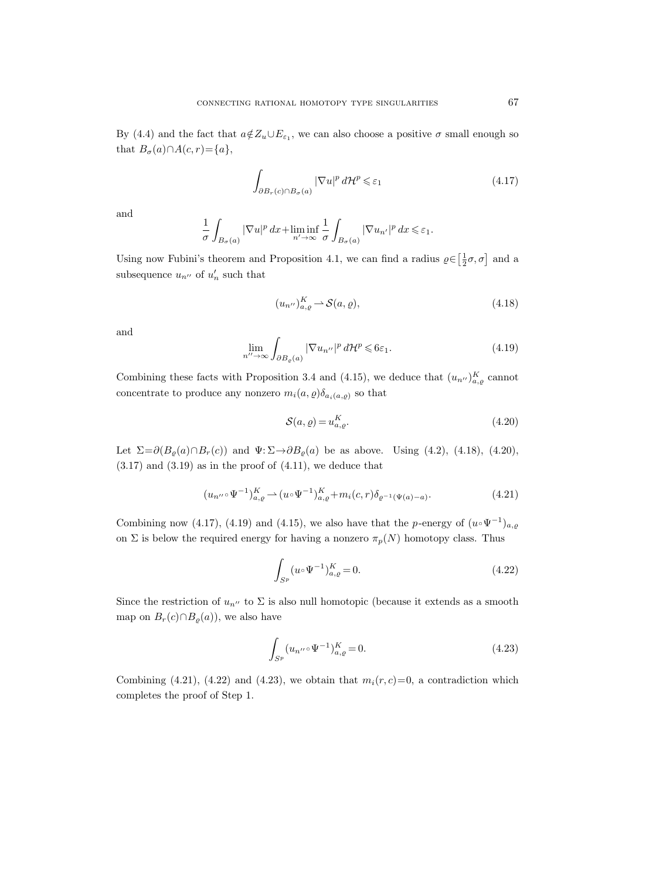By (4.4) and the fact that  $a \notin Z_u \cup E_{\varepsilon_1}$ , we can also choose a positive  $\sigma$  small enough so that  $B_{\sigma}(a) \cap A(c, r) = \{a\},\$ 

$$
\int_{\partial B_r(c)\cap B_{\sigma}(a)} |\nabla u|^p d\mathcal{H}^p \leq \varepsilon_1
$$
\n(4.17)

and

$$
\frac{1}{\sigma}\int_{B_\sigma(a)}|\nabla u|^p\,dx+\liminf_{n'\to\infty}\frac{1}{\sigma}\int_{B_\sigma(a)}|\nabla u_{n'}|^p\,dx\leqslant \varepsilon_1.
$$

Using now Fubini's theorem and Proposition 4.1, we can find a radius  $\varrho \in \left[\frac{1}{2}\sigma, \sigma\right]$  and a subsequence  $u_{n''}$  of  $u'_n$  such that

$$
(u_{n^{\prime\prime}})^{K}_{a,\varrho} \rightharpoonup \mathcal{S}(a,\varrho), \tag{4.18}
$$

and

$$
\lim_{n'' \to \infty} \int_{\partial B_{\varrho}(a)} |\nabla u_{n''}|^p d\mathcal{H}^p \leqslant 6\varepsilon_1. \tag{4.19}
$$

Combining these facts with Proposition 3.4 and (4.15), we deduce that  $(u_{n''})_{a,q}^K$  cannot concentrate to produce any nonzero  $m_i(a, \varrho) \delta_{a_i(a, \varrho)}$  so that

$$
\mathcal{S}(a,\varrho) = u_{a,\varrho}^K. \tag{4.20}
$$

Let  $\Sigma = \partial (B_o(a) \cap B_r(c))$  and  $\Psi: \Sigma \rightarrow \partial B_o(a)$  be as above. Using (4.2), (4.18), (4.20),  $(3.17)$  and  $(3.19)$  as in the proof of  $(4.11)$ , we deduce that

$$
(u_{n''} \circ \Psi^{-1})_{a,\varrho}^K \rightharpoonup (u \circ \Psi^{-1})_{a,\varrho}^K + m_i(c,r)\delta_{\varrho^{-1}(\Psi(a)-a)}.
$$
\n(4.21)

Combining now (4.17), (4.19) and (4.15), we also have that the p-energy of  $(u \circ \Psi^{-1})_{a,g}$ on  $\Sigma$  is below the required energy for having a nonzero  $\pi_p(N)$  homotopy class. Thus

$$
\int_{S^p} (u \circ \Psi^{-1})^K_{a,\varrho} = 0.
$$
\n(4.22)

Since the restriction of  $u_{n''}$  to  $\Sigma$  is also null homotopic (because it extends as a smooth map on  $B_r(c) \cap B_\rho(a)$ , we also have

$$
\int_{S^p} (u_{n''} \circ \Psi^{-1})^K_{a,g} = 0.
$$
\n(4.23)

Combining (4.21), (4.22) and (4.23), we obtain that  $m_i(r, c) = 0$ , a contradiction which completes the proof of Step 1.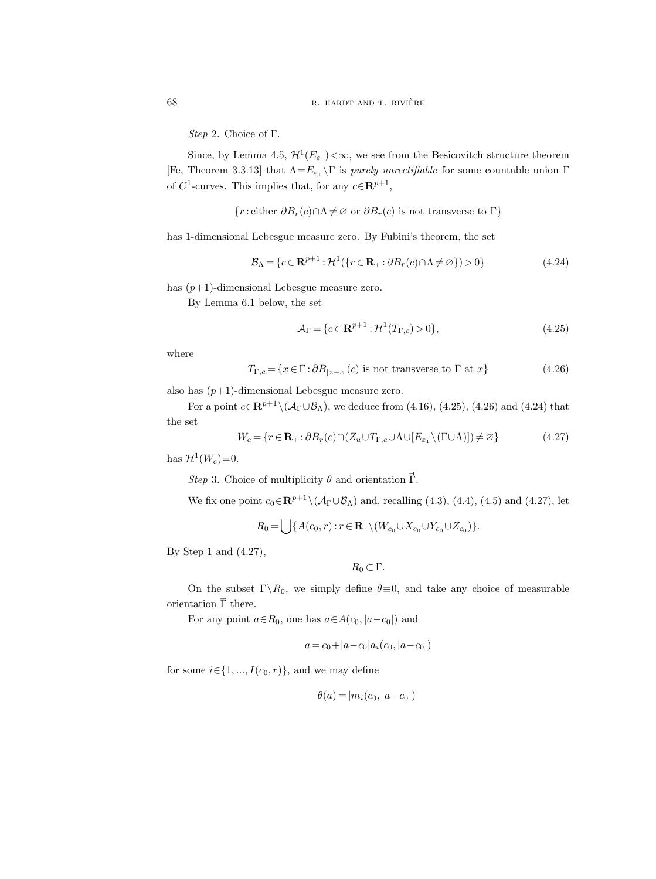Step 2. Choice of Γ.

Since, by Lemma 4.5,  $\mathcal{H}^1(E_{\varepsilon_1})<\infty$ , we see from the Besicovitch structure theorem [Fe, Theorem 3.3.13] that  $\Lambda = E_{\varepsilon_1} \setminus \Gamma$  is *purely unrectifiable* for some countable union  $\Gamma$ of  $C^1$ -curves. This implies that, for any  $c \in \mathbb{R}^{p+1}$ ,

{*r*: either 
$$
\partial B_r(c) \cap \Lambda \neq \emptyset
$$
 or  $\partial B_r(c)$  is not transverse to  $\Gamma$ }

has 1-dimensional Lebesgue measure zero. By Fubini's theorem, the set

$$
\mathcal{B}_{\Lambda} = \{c \in \mathbf{R}^{p+1} : \mathcal{H}^1(\{r \in \mathbf{R}_+ : \partial B_r(c) \cap \Lambda \neq \varnothing\}) > 0\}
$$
(4.24)

has  $(p+1)$ -dimensional Lebesgue measure zero.

By Lemma 6.1 below, the set

$$
A_{\Gamma} = \{c \in \mathbf{R}^{p+1} : \mathcal{H}^1(T_{\Gamma,c}) > 0\},\tag{4.25}
$$

where

$$
T_{\Gamma,c} = \{x \in \Gamma : \partial B_{|x-c|}(c) \text{ is not transverse to } \Gamma \text{ at } x\}
$$
\n(4.26)

also has  $(p+1)$ -dimensional Lebesgue measure zero.

For a point  $c \in \mathbb{R}^{p+1} \setminus (\mathcal{A}_{\Gamma} \cup \mathcal{B}_{\Lambda})$ , we deduce from (4.16), (4.25), (4.26) and (4.24) that the set

$$
W_c = \{r \in \mathbf{R}_+ : \partial B_r(c) \cap (Z_u \cup T_{\Gamma,c} \cup \Lambda \cup [E_{\varepsilon_1} \setminus (\Gamma \cup \Lambda)]) \neq \varnothing\}
$$
(4.27)

has  $\mathcal{H}^1(W_c)=0$ .

Step 3. Choice of multiplicity  $\theta$  and orientation  $\vec{\Gamma}$ .

We fix one point  $c_0 \in \mathbb{R}^{p+1} \setminus (\mathcal{A}_{\Gamma} \cup \mathcal{B}_{\Lambda})$  and, recalling (4.3), (4.4), (4.5) and (4.27), let

$$
R_0 = \bigcup \{ A(c_0, r) : r \in \mathbf{R}_+ \setminus (W_{c_0} \cup X_{c_0} \cup Y_{c_0} \cup Z_{c_0}) \}.
$$

By Step 1 and (4.27),

$$
R_0\subset \Gamma.
$$

On the subset  $\Gamma \backslash R_0$ , we simply define  $\theta \equiv 0$ , and take any choice of measurable orientation  $\vec{\Gamma}$  there.

For any point  $a \in R_0$ , one has  $a \in A(c_0, |a-c_0|)$  and

$$
a = c_0 + |a - c_0| a_i (c_0, |a - c_0|)
$$

for some  $i \in \{1, ..., I(c_0, r)\}$ , and we may define

$$
\theta(a) = |m_i(c_0, |a - c_0|)|
$$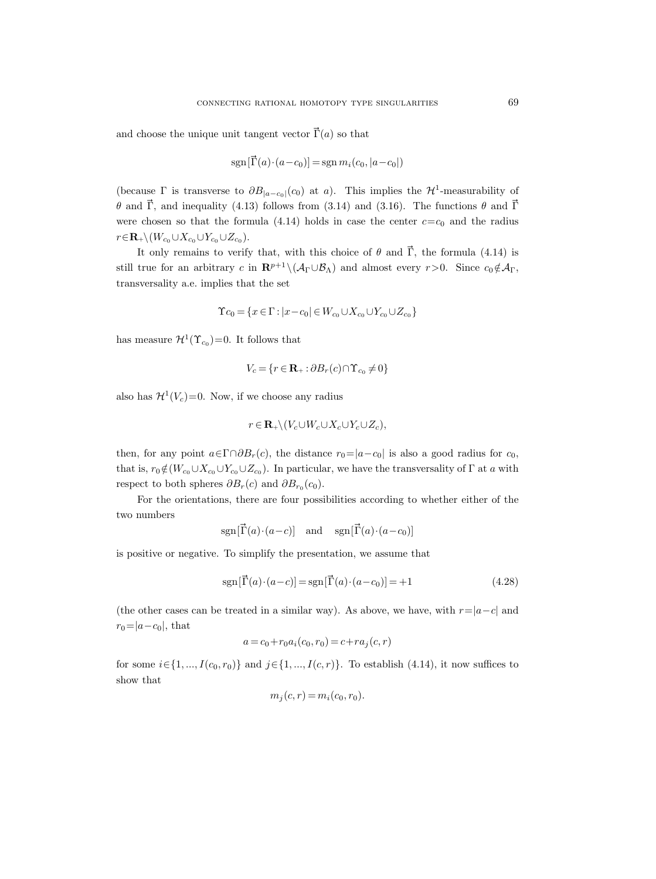and choose the unique unit tangent vector  $\vec{\Gamma}(a)$  so that

$$
sgn[\vec{\Gamma}(a) \cdot (a - c_0)] = sgn m_i(c_0, |a - c_0|)
$$

(because  $\Gamma$  is transverse to  $\partial B_{|a-c_0|}(c_0)$  at a). This implies the  $\mathcal{H}^1$ -measurability of θ and Γ, and inequality (4.13) follows from (3.14) and (3.16). The functions θ and Γ were chosen so that the formula (4.14) holds in case the center  $c=c_0$  and the radius  $r \in \mathbf{R}_+ \backslash (W_{c_0} \cup X_{c_0} \cup Y_{c_0} \cup Z_{c_0}).$ 

It only remains to verify that, with this choice of  $\theta$  and  $\vec{\Gamma}$ , the formula (4.14) is still true for an arbitrary c in  $\mathbf{R}^{p+1} \setminus (\mathcal{A}_{\Gamma} \cup \mathcal{B}_{\Lambda})$  and almost every  $r > 0$ . Since  $c_0 \notin \mathcal{A}_{\Gamma}$ , transversality a.e. implies that the set

$$
\Upsilon c_0 = \{x \in \Gamma : |x - c_0| \in W_{c_0} \cup X_{c_0} \cup Y_{c_0} \cup Z_{c_0}\}
$$

has measure  $\mathcal{H}^1(\Upsilon_{c_0})=0$ . It follows that

$$
V_c = \{r \in \mathbf{R}_+ : \partial B_r(c) \cap \Upsilon_{c_0} \neq 0\}
$$

also has  $\mathcal{H}^1(V_c)=0$ . Now, if we choose any radius

$$
r \in \mathbf{R}_{+} \backslash (V_c \cup W_c \cup X_c \cup Y_c \cup Z_c),
$$

then, for any point  $a \in \Gamma \cap \partial B_r(c)$ , the distance  $r_0=|a-c_0|$  is also a good radius for  $c_0$ , that is,  $r_0 \notin (W_{c_0} \cup X_{c_0} \cup Y_{c_0} \cup Z_{c_0})$ . In particular, we have the transversality of  $\Gamma$  at a with respect to both spheres  $\partial B_r(c)$  and  $\partial B_{r_0}(c_0)$ .

For the orientations, there are four possibilities according to whether either of the two numbers

$$
sgn[\vec{\Gamma}(a) \cdot (a-c)]
$$
 and  $sgn[\vec{\Gamma}(a) \cdot (a-c_0)]$ 

is positive or negative. To simplify the presentation, we assume that

$$
sgn[\vec{\Gamma}(a) \cdot (a-c)] = sgn[\vec{\Gamma}(a) \cdot (a-c_0)] = +1
$$
\n(4.28)

(the other cases can be treated in a similar way). As above, we have, with  $r=|a-c|$  and  $r_0=|a-c_0|$ , that

$$
a = c_0 + r_0 a_i(c_0, r_0) = c + r a_j(c, r)
$$

for some  $i \in \{1, ..., I(c_0, r_0)\}\$  and  $j \in \{1, ..., I(c, r)\}\$ . To establish (4.14), it now suffices to show that

$$
m_j(c, r) = m_i(c_0, r_0).
$$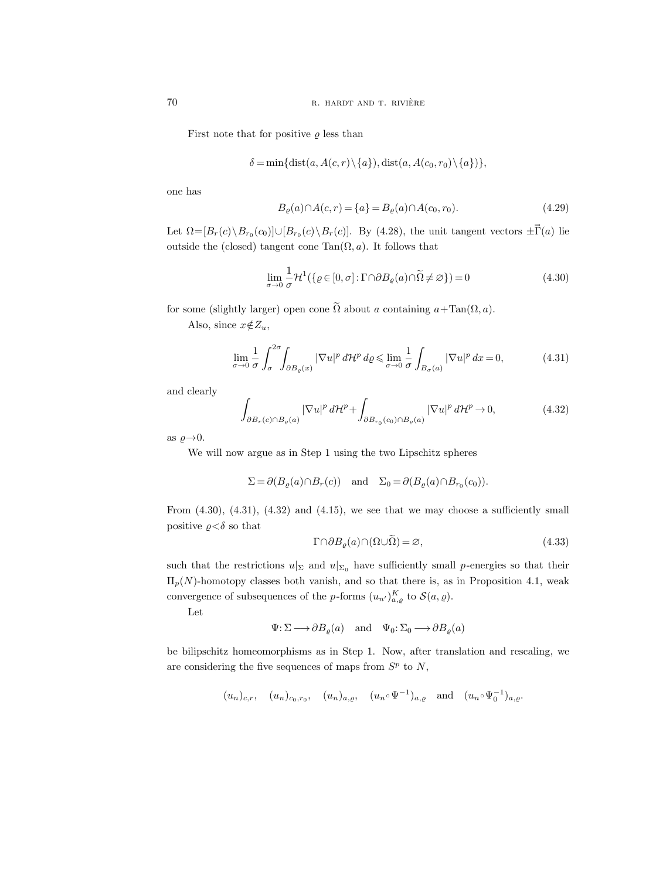First note that for positive  $\rho$  less than

$$
\delta = \min\{\text{dist}(a, A(c, r) \setminus \{a\}), \text{dist}(a, A(c_0, r_0) \setminus \{a\})\},\
$$

one has

$$
B_{\varrho}(a) \cap A(c, r) = \{a\} = B_{\varrho}(a) \cap A(c_0, r_0). \tag{4.29}
$$

Let  $\Omega = [B_r(c) \setminus B_{r_0}(c_0)] \cup [B_{r_0}(c) \setminus B_r(c)]$ . By (4.28), the unit tangent vectors  $\pm \vec{\Gamma}(a)$  lie outside the (closed) tangent cone  $Tan(\Omega, a)$ . It follows that

$$
\lim_{\sigma \to 0} \frac{1}{\sigma} \mathcal{H}^1(\{\varrho \in [0, \sigma] : \Gamma \cap \partial B_{\varrho}(a) \cap \widetilde{\Omega} \neq \varnothing \}) = 0
$$
\n(4.30)

for some (slightly larger) open cone  $\tilde{\Omega}$  about a containing  $a+\text{Tan}(\Omega, a)$ .

Also, since  $x \notin Z_u$ ,

$$
\lim_{\sigma \to 0} \frac{1}{\sigma} \int_{\sigma}^{2\sigma} \int_{\partial B_{\varrho}(x)} |\nabla u|^p d\mathcal{H}^p d\varrho \le \lim_{\sigma \to 0} \frac{1}{\sigma} \int_{B_{\sigma}(a)} |\nabla u|^p dx = 0,
$$
\n(4.31)

and clearly

$$
\int_{\partial B_r(c)\cap B_\varrho(a)} |\nabla u|^p d\mathcal{H}^p + \int_{\partial B_{r_0}(c_0)\cap B_\varrho(a)} |\nabla u|^p d\mathcal{H}^p \to 0,
$$
\n(4.32)

as  $\rho \rightarrow 0$ .

We will now argue as in Step 1 using the two Lipschitz spheres

$$
\Sigma = \partial (B_{\varrho}(a) \cap B_r(c)) \quad \text{and} \quad \Sigma_0 = \partial (B_{\varrho}(a) \cap B_{r_0}(c_0)).
$$

From  $(4.30)$ ,  $(4.31)$ ,  $(4.32)$  and  $(4.15)$ , we see that we may choose a sufficiently small positive  $\rho < \delta$  so that

$$
\Gamma \cap \partial B_{\varrho}(a) \cap (\Omega \cup \widetilde{\Omega}) = \varnothing, \tag{4.33}
$$

such that the restrictions  $u|_{\Sigma}$  and  $u|_{\Sigma_0}$  have sufficiently small p-energies so that their  $\Pi_p(N)$ -homotopy classes both vanish, and so that there is, as in Proposition 4.1, weak convergence of subsequences of the *p*-forms  $(u_{n'})_{a,\varrho}^K$  to  $\mathcal{S}(a,\varrho)$ .

Let

$$
\Psi\!:\!\Sigma\!\longrightarrow\!\partial B_{\varrho}(a)\quad\text{and}\quad \Psi_0\!:\!\Sigma_0\!\longrightarrow\!\partial B_{\varrho}(a)
$$

be bilipschitz homeomorphisms as in Step 1. Now, after translation and rescaling, we are considering the five sequences of maps from  $S<sup>p</sup>$  to N,

$$
(u_n)_{c,r}
$$
,  $(u_n)_{c_0,r_0}$ ,  $(u_n)_{a,\varrho}$ ,  $(u_n \circ \Psi^{-1})_{a,\varrho}$  and  $(u_n \circ \Psi_0^{-1})_{a,\varrho}$ .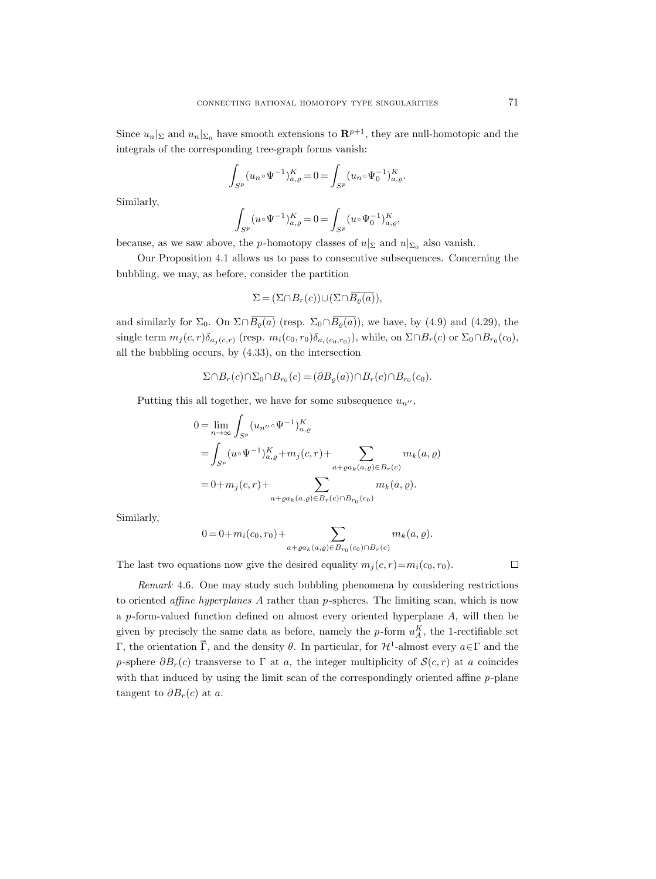Since  $u_n|_{\Sigma}$  and  $u_n|_{\Sigma_0}$  have smooth extensions to  $\mathbb{R}^{p+1}$ , they are null-homotopic and the integrals of the corresponding tree-graph forms vanish:

$$
\int_{S^p} (u_n \circ \Psi^{-1})^K_{a,\varrho} = 0 = \int_{S^p} (u_n \circ \Psi_0^{-1})^K_{a,\varrho}.
$$

Similarly,

$$
\int_{S^p} (u \circ \Psi^{-1})^K_{a,\varrho} = 0 = \int_{S^p} (u \circ \Psi_0^{-1})^K_{a,\varrho},
$$

because, as we saw above, the *p*-homotopy classes of  $u|_{\Sigma}$  and  $u|_{\Sigma_0}$  also vanish.

Our Proposition 4.1 allows us to pass to consecutive subsequences. Concerning the bubbling, we may, as before, consider the partition

$$
\Sigma = (\Sigma \cap B_r(c)) \cup (\Sigma \cap \overline{B_{\varrho}(a)}),
$$

and similarly for  $\Sigma_0$ . On  $\Sigma \cap \overline{B_{\varrho}(a)}$  (resp.  $\Sigma_0 \cap \overline{B_{\varrho}(a)}$ ), we have, by (4.9) and (4.29), the single term  $m_j(c,r)\delta_{a_j(c,r)}$  (resp.  $m_i(c_0,r_0)\delta_{a_i(c_0,r_0)}$ ), while, on  $\Sigma \cap B_r(c)$  or  $\Sigma_0 \cap B_{r_0}(c_0)$ , all the bubbling occurs, by (4.33), on the intersection

$$
\Sigma \cap B_r(c) \cap \Sigma_0 \cap B_{r_0}(c) = (\partial B_{\varrho}(a)) \cap B_r(c) \cap B_{r_0}(c_0).
$$

Putting this all together, we have for some subsequence  $u_{n}$ ,

$$
0 = \lim_{n \to \infty} \int_{S^p} (u_{n''} \circ \Psi^{-1})_{a,\varrho}^K
$$
  
= 
$$
\int_{S^p} (u \circ \Psi^{-1})_{a,\varrho}^K + m_j(c, r) + \sum_{a + \varrho a_k(a,\varrho) \in B_r(c)} m_k(a, \varrho)
$$
  
= 
$$
0 + m_j(c, r) + \sum_{a + \varrho a_k(a,\varrho) \in B_r(c) \cap B_{r_0}(c_0)} m_k(a, \varrho).
$$

Similarly,

$$
0 = 0 + m_i(c_0, r_0) + \sum_{a + \varrho a_k(a, \varrho) \in B_{r_0}(c_0) \cap B_r(c)} m_k(a, \varrho).
$$

The last two equations now give the desired equality  $m_i(c, r)=m_i(c_0, r_0)$ .

 $\Box$ 

Remark 4.6. One may study such bubbling phenomena by considering restrictions to oriented affine hyperplanes A rather than p-spheres. The limiting scan, which is now a p-form-valued function defined on almost every oriented hyperplane A, will then be given by precisely the same data as before, namely the p-form  $u_A^K$ , the 1-rectifiable set Γ, the orientation  $\vec{\Gamma}$ , and the density θ. In particular, for  $\mathcal{H}^1$ -almost every  $a \in \Gamma$  and the p-sphere  $\partial B_r(c)$  transverse to Γ at a, the integer multiplicity of  $\mathcal{S}(c,r)$  at a coincides with that induced by using the limit scan of the correspondingly oriented affine  $p$ -plane tangent to  $\partial B_r(c)$  at a.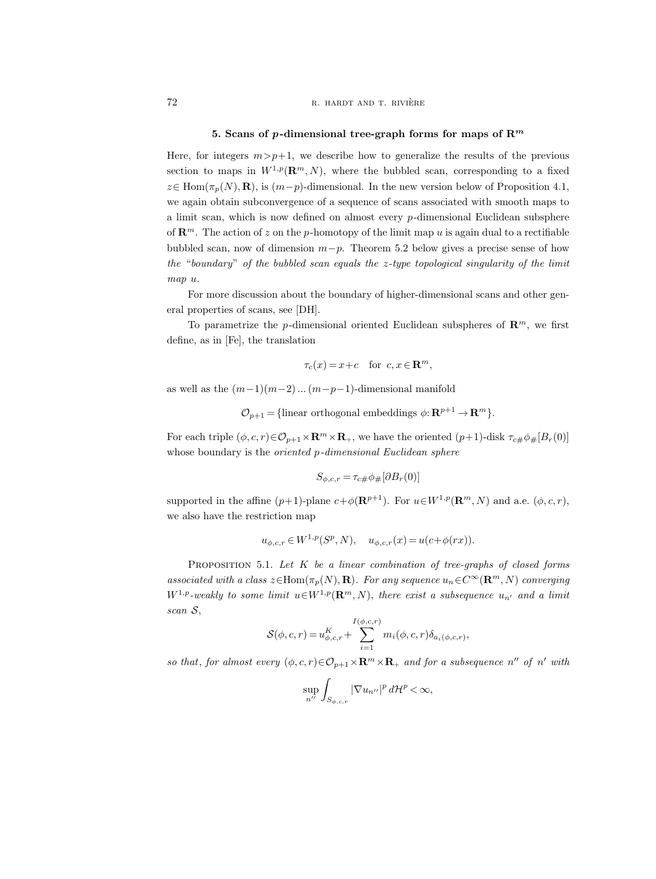### 5. Scans of p-dimensional tree-graph forms for maps of  $\mathbb{R}^m$

Here, for integers  $m > p+1$ , we describe how to generalize the results of the previous section to maps in  $W^{1,p}(\mathbf{R}^m, N)$ , where the bubbled scan, corresponding to a fixed  $z∈ Hom(\pi_p(N), \mathbf{R})$ , is  $(m-p)$ -dimensional. In the new version below of Proposition 4.1, we again obtain subconvergence of a sequence of scans associated with smooth maps to a limit scan, which is now defined on almost every p-dimensional Euclidean subsphere of  $\mathbb{R}^m$ . The action of z on the p-homotopy of the limit map u is again dual to a rectifiable bubbled scan, now of dimension  $m-p$ . Theorem 5.2 below gives a precise sense of how the "boundary" of the bubbled scan equals the  $z$ -type topological singularity of the limit map u.

For more discussion about the boundary of higher-dimensional scans and other general properties of scans, see [DH].

To parametrize the p-dimensional oriented Euclidean subspheres of  $\mathbb{R}^m$ , we first define, as in [Fe], the translation

$$
\tau_c(x) = x + c \quad \text{for } c, x \in \mathbf{R}^m,
$$

as well as the  $(m-1)(m-2)...(m-p-1)$ -dimensional manifold

 $\mathcal{O}_{p+1} = \{\text{linear orthogonal embeddings } \phi: \mathbf{R}^{p+1} \to \mathbf{R}^m \}.$ 

For each triple  $(\phi, c, r) \in \mathcal{O}_{p+1} \times \mathbb{R}^m \times \mathbb{R}_+$ , we have the oriented  $(p+1)$ -disk  $\tau_{c\#} \phi_{\#}[B_r(0)]$ whose boundary is the *oriented* p-dimensional Euclidean sphere

$$
S_{\phi,c,r} = \tau_{c\#} \phi_{\#} [\partial B_r(0)]
$$

supported in the affine  $(p+1)$ -plane  $c+\phi(\mathbf{R}^{p+1})$ . For  $u\in W^{1,p}(\mathbf{R}^m, N)$  and a.e.  $(\phi, c, r)$ , we also have the restriction map

$$
u_{\phi,c,r} \in W^{1,p}(S^p, N), \quad u_{\phi,c,r}(x) = u(c + \phi(rx)).
$$

PROPOSITION 5.1. Let  $K$  be a linear combination of tree-graphs of closed forms associated with a class  $z \in \text{Hom}(\pi_p(N), \mathbf{R})$ . For any sequence  $u_n \in C^{\infty}(\mathbf{R}^m, N)$  converging  $W^{1,p}$ -weakly to some limit  $u \in W^{1,p}(\mathbf{R}^m, N)$ , there exist a subsequence  $u_{n'}$  and a limit scan S,

$$
S(\phi, c, r) = u_{\phi, c, r}^{K} + \sum_{i=1}^{I(\phi, c, r)} m_i(\phi, c, r) \delta_{a_i(\phi, c, r)},
$$

so that, for almost every  $(\phi, c, r) \in \mathcal{O}_{p+1} \times \mathbb{R}^m \times \mathbb{R}_+$  and for a subsequence  $n''$  of  $n'$  with

$$
\sup_{n''}\int_{S_{\phi,c,r}}|\nabla u_{n''}|^p\,d\mathcal{H}^p<\infty,
$$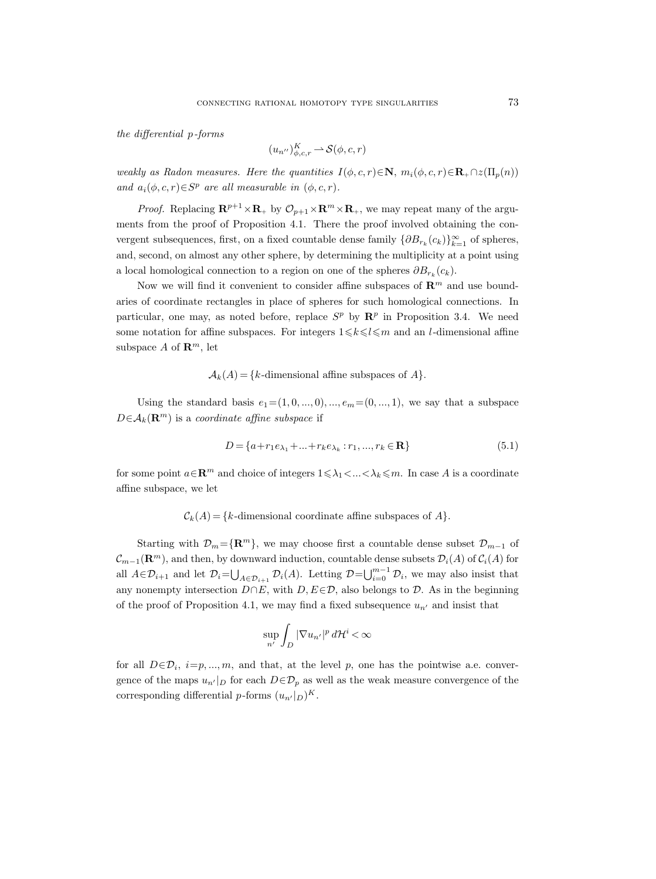the differential p-forms

$$
(u_{n''})_{\phi,c,r}^K \longrightarrow \mathcal{S}(\phi,c,r)
$$

weakly as Radon measures. Here the quantities  $I(\phi, c, r) \in \mathbb{N}$ ,  $m_i(\phi, c, r) \in \mathbb{R}_+ \cap z(\Pi_n(n))$ and  $a_i(\phi, c, r) \in S^p$  are all measurable in  $(\phi, c, r)$ .

*Proof.* Replacing  $\mathbf{R}^{p+1} \times \mathbf{R}_+$  by  $\mathcal{O}_{p+1} \times \mathbf{R}^m \times \mathbf{R}_+$ , we may repeat many of the arguments from the proof of Proposition 4.1. There the proof involved obtaining the convergent subsequences, first, on a fixed countable dense family  $\{\partial B_{r_k}(c_k)\}_{k=1}^{\infty}$  of spheres, and, second, on almost any other sphere, by determining the multiplicity at a point using a local homological connection to a region on one of the spheres  $\partial B_{r_k}(c_k)$ .

Now we will find it convenient to consider affine subspaces of  $\mathbb{R}^m$  and use boundaries of coordinate rectangles in place of spheres for such homological connections. In particular, one may, as noted before, replace  $S^p$  by  $\mathbb{R}^p$  in Proposition 3.4. We need some notation for affine subspaces. For integers  $1 \leq k \leq l \leq m$  and an *l*-dimensional affine subspace A of  $\mathbb{R}^m$ , let

### $\mathcal{A}_k(A) = \{k\text{-dimensional affine subspaces of }A\}.$

Using the standard basis  $e_1=(1, 0, \ldots, 0), \ldots, e_m=(0, \ldots, 1),$  we say that a subspace  $D \in \mathcal{A}_k(\mathbf{R}^m)$  is a coordinate affine subspace if

$$
D = \{a + r_1 e_{\lambda_1} + \dots + r_k e_{\lambda_k} : r_1, \dots, r_k \in \mathbf{R}\}\
$$
\n(5.1)

for some point  $a \in \mathbb{R}^m$  and choice of integers  $1 \leq \lambda_1 < ... < \lambda_k \leq m$ . In case A is a coordinate affine subspace, we let

 $\mathcal{C}_k(A) = \{k\text{-dimensional coordinate affine subspaces of }A\}.$ 

Starting with  $\mathcal{D}_m=\{\mathbf{R}^m\}$ , we may choose first a countable dense subset  $\mathcal{D}_{m-1}$  of  $\mathcal{C}_{m-1}(\mathbf{R}^m)$ , and then, by downward induction, countable dense subsets  $\mathcal{D}_i(A)$  of  $\mathcal{C}_i(A)$  for all  $A \in \mathcal{D}_{i+1}$  and let  $\mathcal{D}_{i} = \bigcup_{A \in \mathcal{D}_{i+1}} \mathcal{D}_{i}(A)$ . Letting  $\mathcal{D} = \bigcup_{i=0}^{m-1} \mathcal{D}_{i}$ , we may also insist that any nonempty intersection  $D \cap E$ , with  $D, E \in \mathcal{D}$ , also belongs to  $\mathcal{D}$ . As in the beginning of the proof of Proposition 4.1, we may find a fixed subsequence  $u_{n'}$  and insist that

$$
\sup_{n'} \int_{D} |\nabla u_{n'}|^p \, d\mathcal{H}^i < \infty
$$

for all  $D \in \mathcal{D}_i$ ,  $i=p, ..., m$ , and that, at the level p, one has the pointwise a.e. convergence of the maps  $u_{n'}|_D$  for each  $D \in \mathcal{D}_p$  as well as the weak measure convergence of the corresponding differential p-forms  $(u_{n'}|_D)^K$ .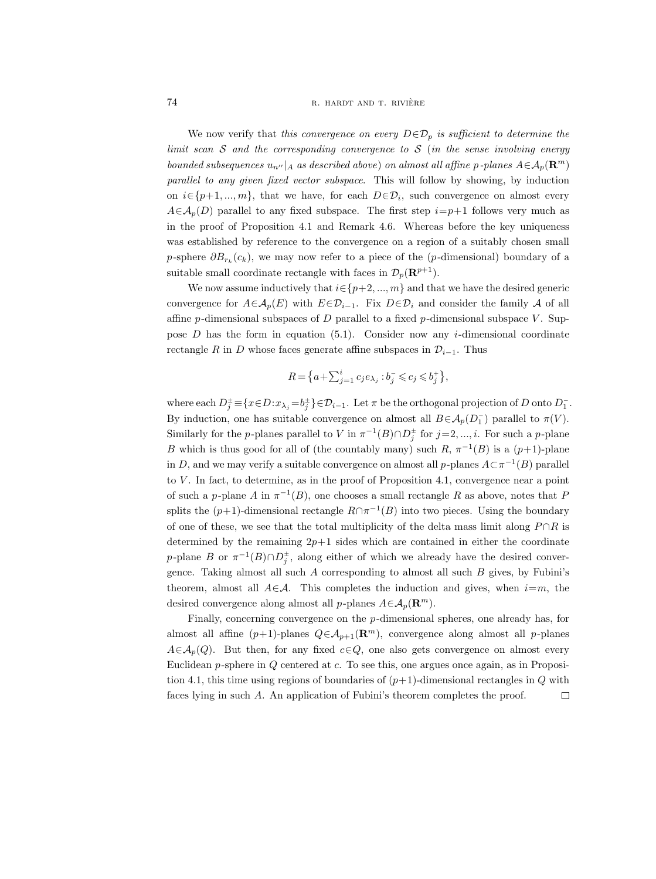### 74 R. HARDT AND T. RIVIÈRE

We now verify that this convergence on every  $D \in \mathcal{D}_p$  is sufficient to determine the limit scan  $S$  and the corresponding convergence to  $S$  (in the sense involving energy bounded subsequences  $u_{n}$ <sup>n</sup> |A as described above) on almost all affine p-planes  $A \in \mathcal{A}_p(\mathbf{R}^m)$ parallel to any given fixed vector subspace. This will follow by showing, by induction on  $i \in \{p+1, ..., m\}$ , that we have, for each  $D \in \mathcal{D}_i$ , such convergence on almost every  $A \in \mathcal{A}_p(D)$  parallel to any fixed subspace. The first step  $i=p+1$  follows very much as in the proof of Proposition 4.1 and Remark 4.6. Whereas before the key uniqueness was established by reference to the convergence on a region of a suitably chosen small p-sphere  $\partial B_{r_k}(c_k)$ , we may now refer to a piece of the (p-dimensional) boundary of a suitable small coordinate rectangle with faces in  $\mathcal{D}_p(\mathbf{R}^{p+1})$ .

We now assume inductively that  $i \in \{p+2, ..., m\}$  and that we have the desired generic convergence for  $A \in \mathcal{A}_p(E)$  with  $E \in \mathcal{D}_{i-1}$ . Fix  $D \in \mathcal{D}_i$  and consider the family  $\mathcal A$  of all affine p-dimensional subspaces of D parallel to a fixed p-dimensional subspace V. Suppose  $D$  has the form in equation (5.1). Consider now any *i*-dimensional coordinate rectangle R in D whose faces generate affine subspaces in  $\mathcal{D}_{i-1}$ . Thus

$$
R = \left\{a + \sum_{j=1}^{i} c_j e_{\lambda_j} : b_j^- \leqslant c_j \leqslant b_j^+ \right\},\
$$

where each  $D_j^{\pm} \equiv \{x \in D : x_{\lambda_j} = b_j^{\pm}\} \in \mathcal{D}_{i-1}$ . Let  $\pi$  be the orthogonal projection of  $D$  onto  $D_1^-$ . By induction, one has suitable convergence on almost all  $B \in A_p(D_1^-)$  parallel to  $\pi(V)$ . Similarly for the *p*-planes parallel to V in  $\pi^{-1}(B) \cap D_j^{\pm}$  for  $j=2,\ldots,i$ . For such a *p*-plane B which is thus good for all of (the countably many) such  $R, \pi^{-1}(B)$  is a  $(p+1)$ -plane in D, and we may verify a suitable convergence on almost all p-planes  $A \subset \pi^{-1}(B)$  parallel to  $V$ . In fact, to determine, as in the proof of Proposition 4.1, convergence near a point of such a p-plane A in  $\pi^{-1}(B)$ , one chooses a small rectangle R as above, notes that F splits the  $(p+1)$ -dimensional rectangle  $R \cap \pi^{-1}(B)$  into two pieces. Using the boundary of one of these, we see that the total multiplicity of the delta mass limit along  $P \cap R$  is determined by the remaining  $2p+1$  sides which are contained in either the coordinate p-plane B or  $\pi^{-1}(B) \cap D_j^{\pm}$ , along either of which we already have the desired convergence. Taking almost all such  $A$  corresponding to almost all such  $B$  gives, by Fubini's theorem, almost all  $A\in\mathcal{A}$ . This completes the induction and gives, when  $i=m$ , the desired convergence along almost all p-planes  $A \in \mathcal{A}_p(\mathbf{R}^m)$ .

Finally, concerning convergence on the p-dimensional spheres, one already has, for almost all affine  $(p+1)$ -planes  $Q \in A_{p+1}(\mathbb{R}^m)$ , convergence along almost all p-planes  $A \in \mathcal{A}_p(Q)$ . But then, for any fixed  $c \in Q$ , one also gets convergence on almost every Euclidean p-sphere in Q centered at c. To see this, one argues once again, as in Proposition 4.1, this time using regions of boundaries of  $(p+1)$ -dimensional rectangles in Q with faces lying in such A. An application of Fubini's theorem completes the proof. $\Box$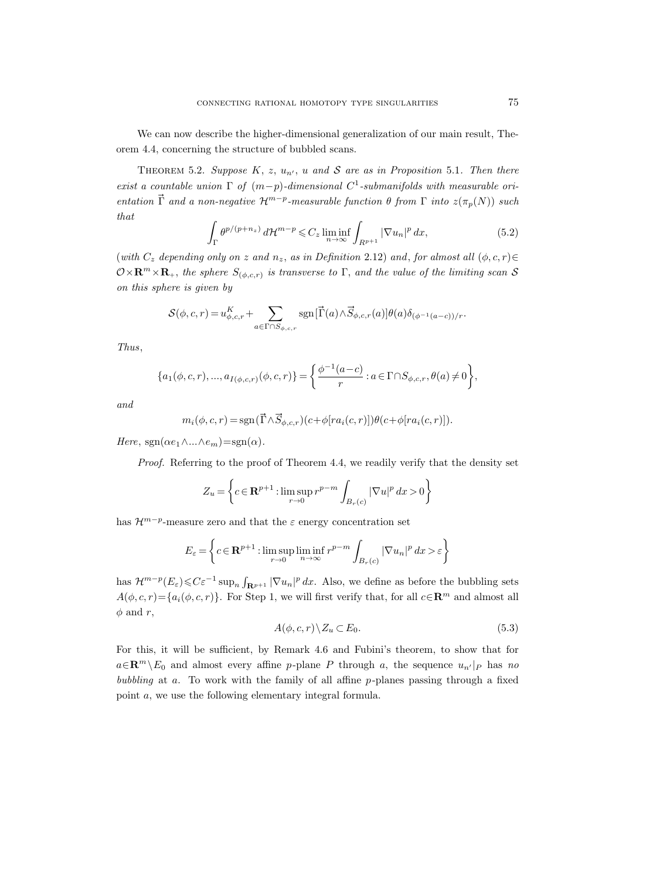We can now describe the higher-dimensional generalization of our main result, Theorem 4.4, concerning the structure of bubbled scans.

THEOREM 5.2. Suppose  $K, z, u_{n'}, u$  and S are as in Proposition 5.1. Then there exist a countable union  $\Gamma$  of  $(m-p)$ -dimensional  $C^1$ -submanifolds with measurable orientation  $\vec{\Gamma}$  and a non-negative  $\mathcal{H}^{m-p}$ -measurable function  $\theta$  from  $\Gamma$  into  $z(\pi_p(N))$  such that

$$
\int_{\Gamma} \theta^{p/(p+n_z)} d\mathcal{H}^{m-p} \leqslant C_z \liminf_{n \to \infty} \int_{R^{p+1}} |\nabla u_n|^p dx,
$$
\n(5.2)

(with  $C_z$  depending only on z and  $n_z$ , as in Definition 2.12) and, for almost all  $(\phi, c, r) \in$  $\mathcal{O}\times\mathbf{R}^m\times\mathbf{R}_+$ , the sphere  $S_{(\phi,c,r)}$  is transverse to  $\Gamma$ , and the value of the limiting scan S on this sphere is given by

$$
\mathcal{S}(\phi, c, r) = u_{\phi, c, r}^K + \sum_{a \in \Gamma \cap S_{\phi, c, r}} \text{sgn}[\vec{\Gamma}(a) \wedge \vec{S}_{\phi, c, r}(a)] \theta(a) \delta_{(\phi^{-1}(a-c))/r}.
$$

Thus,

$$
\{a_1(\phi, c, r), ..., a_{I(\phi, c, r)}(\phi, c, r)\} = \left\{\frac{\phi^{-1}(a-c)}{r} : a \in \Gamma \cap S_{\phi, c, r}, \theta(a) \neq 0\right\},\
$$

and

$$
m_i(\phi, c, r) = \text{sgn}(\vec{\Gamma} \wedge \vec{S}_{\phi, c, r})(c + \phi[ra_i(c, r)])\theta(c + \phi[ra_i(c, r)]).
$$

Here,  $sgn(\alpha e_1 \wedge ... \wedge e_m) = sgn(\alpha)$ .

Proof. Referring to the proof of Theorem 4.4, we readily verify that the density set

$$
Z_u = \left\{ c \in \mathbf{R}^{p+1} : \limsup_{r \to 0} r^{p-m} \int_{B_r(c)} |\nabla u|^p dx > 0 \right\}
$$

has  $\mathcal{H}^{m-p}$ -measure zero and that the  $\varepsilon$  energy concentration set

$$
E_{\varepsilon} = \left\{ c \in \mathbf{R}^{p+1} : \limsup_{r \to 0} \liminf_{n \to \infty} r^{p-m} \int_{B_r(c)} |\nabla u_n|^p \, dx > \varepsilon \right\}
$$

has  $\mathcal{H}^{m-p}(E_{\varepsilon}) \leqslant C \varepsilon^{-1} \sup_n \int_{\mathbf{R}^{p+1}} |\nabla u_n|^p dx$ . Also, we define as before the bubbling sets  $A(\phi, c, r) = \{a_i(\phi, c, r)\}.$  For Step 1, we will first verify that, for all  $c \in \mathbb{R}^m$  and almost all  $\phi$  and r,

$$
A(\phi, c, r) \backslash Z_u \subset E_0. \tag{5.3}
$$

For this, it will be sufficient, by Remark 4.6 and Fubini's theorem, to show that for  $a \in \mathbb{R}^m \setminus E_0$  and almost every affine p-plane P through a, the sequence  $u_{n'}|_P$  has no bubbling at  $a$ . To work with the family of all affine  $p$ -planes passing through a fixed point a, we use the following elementary integral formula.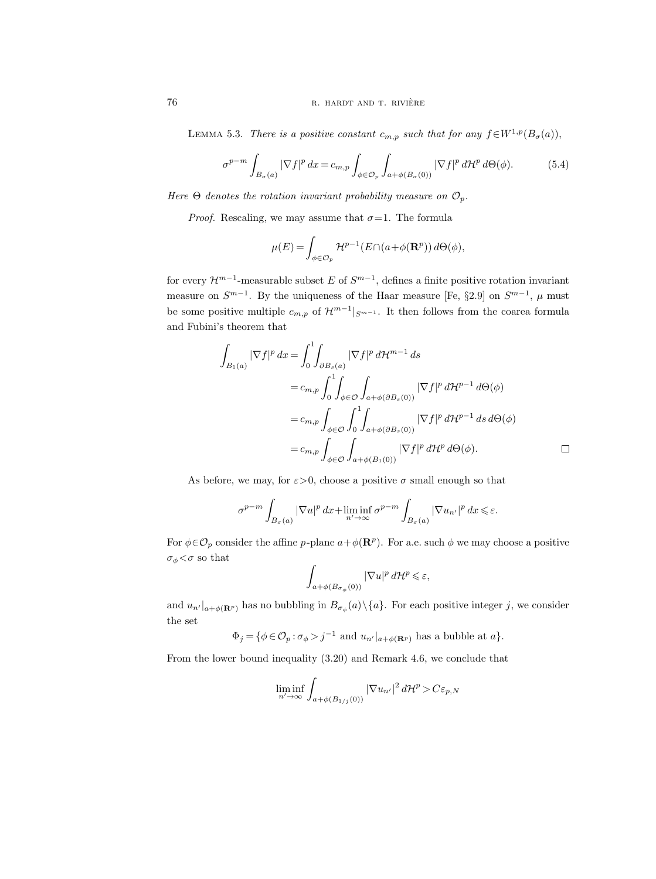LEMMA 5.3. There is a positive constant  $c_{m,p}$  such that for any  $f \in W^{1,p}(B_{\sigma}(a)),$ 

$$
\sigma^{p-m} \int_{B_{\sigma}(a)} |\nabla f|^p \, dx = c_{m,p} \int_{\phi \in \mathcal{O}_p} \int_{a+\phi(B_{\sigma}(0))} |\nabla f|^p \, d\mathcal{H}^p \, d\Theta(\phi). \tag{5.4}
$$

Here  $\Theta$  denotes the rotation invariant probability measure on  $\mathcal{O}_p$ .

*Proof.* Rescaling, we may assume that  $\sigma = 1$ . The formula

$$
\mu(E) = \int_{\phi \in \mathcal{O}_p} \mathcal{H}^{p-1}(E \cap (a + \phi(\mathbf{R}^p)) \, d\Theta(\phi),
$$

for every  $\mathcal{H}^{m-1}$ -measurable subset E of  $S^{m-1}$ , defines a finite positive rotation invariant measure on  $S^{m-1}$ . By the uniqueness of the Haar measure [Fe, §2.9] on  $S^{m-1}$ ,  $\mu$  must be some positive multiple  $c_{m,p}$  of  $\mathcal{H}^{m-1}|_{S^{m-1}}$ . It then follows from the coarea formula and Fubini's theorem that

$$
\int_{B_1(a)} |\nabla f|^p dx = \int_0^1 \int_{\partial B_s(a)} |\nabla f|^p d\mathcal{H}^{m-1} ds
$$
  
\n
$$
= c_{m,p} \int_0^1 \int_{\phi \in \mathcal{O}} \int_{a+\phi(\partial B_s(0))} |\nabla f|^p d\mathcal{H}^{p-1} d\Theta(\phi)
$$
  
\n
$$
= c_{m,p} \int_{\phi \in \mathcal{O}} \int_0^1 \int_{a+\phi(\partial B_s(0))} |\nabla f|^p d\mathcal{H}^{p-1} ds d\Theta(\phi)
$$
  
\n
$$
= c_{m,p} \int_{\phi \in \mathcal{O}} \int_{a+\phi(B_1(0))} |\nabla f|^p d\mathcal{H}^p d\Theta(\phi).
$$

As before, we may, for  $\varepsilon > 0$ , choose a positive  $\sigma$  small enough so that

$$
\sigma^{p-m} \int_{B_{\sigma}(a)} |\nabla u|^p \, dx + \liminf_{n' \to \infty} \sigma^{p-m} \int_{B_{\sigma}(a)} |\nabla u_{n'}|^p \, dx \leq \varepsilon.
$$

For  $\phi \in \mathcal{O}_p$  consider the affine p-plane  $a + \phi(\mathbf{R}^p)$ . For a.e. such  $\phi$  we may choose a positive  $\sigma_{\phi} < \sigma$  so that

$$
\int_{a+\phi(B_{\sigma_{\phi}}(0))} |\nabla u|^p d\mathcal{H}^p \leq \varepsilon,
$$

and  $u_{n'|a+\phi(\mathbf{R}^p)}$  has no bubbling in  $B_{\sigma_{\phi}}(a)\setminus\{a\}$ . For each positive integer j, we consider the set

 $\Phi_j = \{ \phi \in \mathcal{O}_p : \sigma_{\phi} > j^{-1} \text{ and } u_{n'}|_{a + \phi(\mathbf{R}^p)} \text{ has a bubble at } a \}.$ 

From the lower bound inequality (3.20) and Remark 4.6, we conclude that

$$
\liminf_{n'\to\infty}\int_{a+\phi(B_{1/j}(0))}|\nabla u_{n'}|^2\,d\mathcal{H}^p>C\varepsilon_{p,N}
$$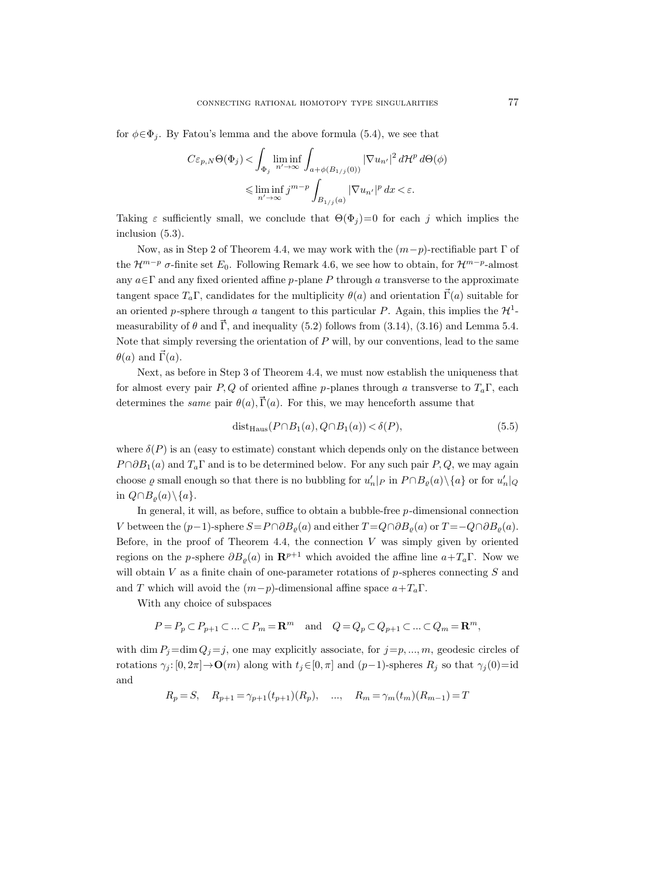for  $\phi \in \Phi_i$ . By Fatou's lemma and the above formula (5.4), we see that

$$
C\varepsilon_{p,N}\Theta(\Phi_j) < \int_{\Phi_j} \liminf_{n' \to \infty} \int_{a+\phi(B_{1/j}(0))} |\nabla u_{n'}|^2 d\mathcal{H}^p d\Theta(\phi)
$$
  

$$
\leq \liminf_{n' \to \infty} j^{m-p} \int_{B_{1/j}(a)} |\nabla u_{n'}|^p dx < \varepsilon.
$$

Taking  $\varepsilon$  sufficiently small, we conclude that  $\Theta(\Phi_j)=0$  for each j which implies the inclusion (5.3).

Now, as in Step 2 of Theorem 4.4, we may work with the  $(m-p)$ -rectifiable part  $\Gamma$  of the  $\mathcal{H}^{m-p}$   $\sigma$ -finite set  $E_0$ . Following Remark 4.6, we see how to obtain, for  $\mathcal{H}^{m-p}$ -almost any  $a \in \Gamma$  and any fixed oriented affine p-plane P through a transverse to the approximate tangent space  $T_a\Gamma$ , candidates for the multiplicity  $\theta(a)$  and orientation  $\vec{\Gamma}(a)$  suitable for an oriented p-sphere through a tangent to this particular P. Again, this implies the  $\mathcal{H}^1$ measurability of  $\theta$  and  $\vec{\Gamma}$ , and inequality (5.2) follows from (3.14), (3.16) and Lemma 5.4. Note that simply reversing the orientation of  $P$  will, by our conventions, lead to the same  $\theta(a)$  and  $\vec{\Gamma}(a)$ .

Next, as before in Step 3 of Theorem 4.4, we must now establish the uniqueness that for almost every pair P, Q of oriented affine p-planes through a transverse to  $T_a\Gamma$ , each determines the *same* pair  $\theta(a), \vec{\Gamma}(a)$ . For this, we may henceforth assume that

$$
dist_{Haus}(P \cap B_1(a), Q \cap B_1(a)) < \delta(P), \tag{5.5}
$$

where  $\delta(P)$  is an (easy to estimate) constant which depends only on the distance between  $P \cap \partial B_1(a)$  and  $T_a\Gamma$  and is to be determined below. For any such pair P, Q, we may again choose  $\varrho$  small enough so that there is no bubbling for  $u'_n|_P$  in  $P \cap B_{\varrho}(a) \setminus \{a\}$  or for  $u'_n|_Q$ in  $Q \cap B_{\rho}(a) \setminus \{a\}.$ 

In general, it will, as before, suffice to obtain a bubble-free  $p$ -dimensional connection V between the  $(p-1)$ -sphere  $S=P \cap \partial B_o(a)$  and either  $T = Q \cap \partial B_o(a)$  or  $T = -Q \cap \partial B_o(a)$ . Before, in the proof of Theorem 4.4, the connection  $V$  was simply given by oriented regions on the p-sphere  $\partial B_{\rho}(a)$  in  $\mathbb{R}^{p+1}$  which avoided the affine line  $a+T_a\Gamma$ . Now we will obtain  $V$  as a finite chain of one-parameter rotations of  $p$ -spheres connecting  $S$  and and T which will avoid the  $(m-p)$ -dimensional affine space  $a+T_a\Gamma$ .

With any choice of subspaces

$$
P = P_p \subset P_{p+1} \subset \ldots \subset P_m = \mathbf{R}^m \quad \text{and} \quad Q = Q_p \subset Q_{p+1} \subset \ldots \subset Q_m = \mathbf{R}^m,
$$

with dim  $P_j = \dim Q_j = j$ , one may explicitly associate, for  $j = p, ..., m$ , geodesic circles of rotations  $\gamma_j : [0, 2\pi] \to \mathbf{O}(m)$  along with  $t_j \in [0, \pi]$  and  $(p-1)$ -spheres  $R_j$  so that  $\gamma_j(0) = id$ and

$$
R_p = S
$$
,  $R_{p+1} = \gamma_{p+1}(t_{p+1})(R_p)$ , ...,  $R_m = \gamma_m(t_m)(R_{m-1}) = T$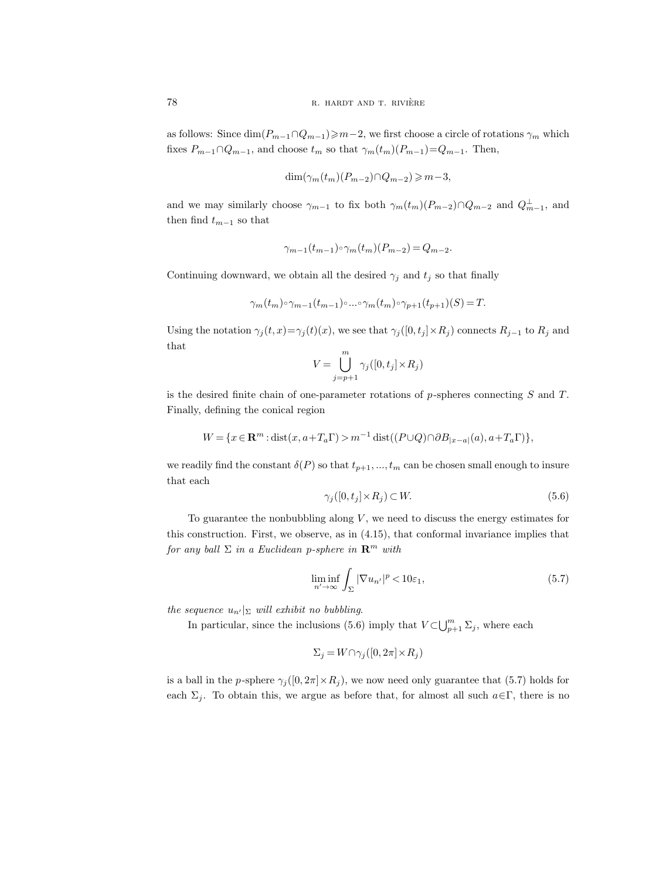as follows: Since  $\dim(P_{m-1}\cap Q_{m-1})\geq m-2$ , we first choose a circle of rotations  $\gamma_m$  which fixes  $P_{m-1} \cap Q_{m-1}$ , and choose  $t_m$  so that  $\gamma_m(t_m)(P_{m-1})=Q_{m-1}$ . Then,

$$
\dim(\gamma_m(t_m)(P_{m-2}) \cap Q_{m-2}) \geq m-3,
$$

and we may similarly choose  $\gamma_{m-1}$  to fix both  $\gamma_m(t_m)(P_{m-2}) \cap Q_{m-2}$  and  $Q_{m-1}^{\perp}$ , and then find  $t_{m-1}$  so that

$$
\gamma_{m-1}(t_{m-1}) \circ \gamma_m(t_m)(P_{m-2}) = Q_{m-2}.
$$

Continuing downward, we obtain all the desired  $\gamma_j$  and  $t_j$  so that finally

$$
\gamma_m(t_m) \circ \gamma_{m-1}(t_{m-1}) \circ \dots \circ \gamma_m(t_m) \circ \gamma_{p+1}(t_{p+1})(S) = T.
$$

Using the notation  $\gamma_j(t, x) = \gamma_j(t)(x)$ , we see that  $\gamma_j([0, t_j] \times R_j)$  connects  $R_{j-1}$  to  $R_j$  and that  $\overline{m}$ 

$$
V = \bigcup_{j=p+1}^{m} \gamma_j([0, t_j] \times R_j)
$$

is the desired finite chain of one-parameter rotations of  $p$ -spheres connecting  $S$  and  $T$ . Finally, defining the conical region

$$
W = \{x \in \mathbf{R}^m : \text{dist}(x, a + T_a \Gamma) > m^{-1} \text{dist}((P \cup Q) \cap \partial B_{|x-a|}(a), a + T_a \Gamma)\},\
$$

we readily find the constant  $\delta(P)$  so that  $t_{p+1}, ..., t_m$  can be chosen small enough to insure that each

$$
\gamma_j([0, t_j] \times R_j) \subset W. \tag{5.6}
$$

To guarantee the nonbubbling along  $V$ , we need to discuss the energy estimates for this construction. First, we observe, as in (4.15), that conformal invariance implies that for any ball  $\Sigma$  in a Euclidean p-sphere in  $\mathbb{R}^m$  with

$$
\liminf_{n' \to \infty} \int_{\Sigma} |\nabla u_{n'}|^p < 10\varepsilon_1,\tag{5.7}
$$

the sequence  $u_{n'}|_{\Sigma}$  will exhibit no bubbling.

In particular, since the inclusions (5.6) imply that  $V \subset \bigcup_{p+1}^m \Sigma_j$ , where each

$$
\Sigma_j = W \cap \gamma_j([0, 2\pi] \times R_j)
$$

is a ball in the p-sphere  $\gamma_i([0, 2\pi] \times R_i)$ , we now need only guarantee that (5.7) holds for each  $\Sigma_j$ . To obtain this, we argue as before that, for almost all such  $a \in \Gamma$ , there is no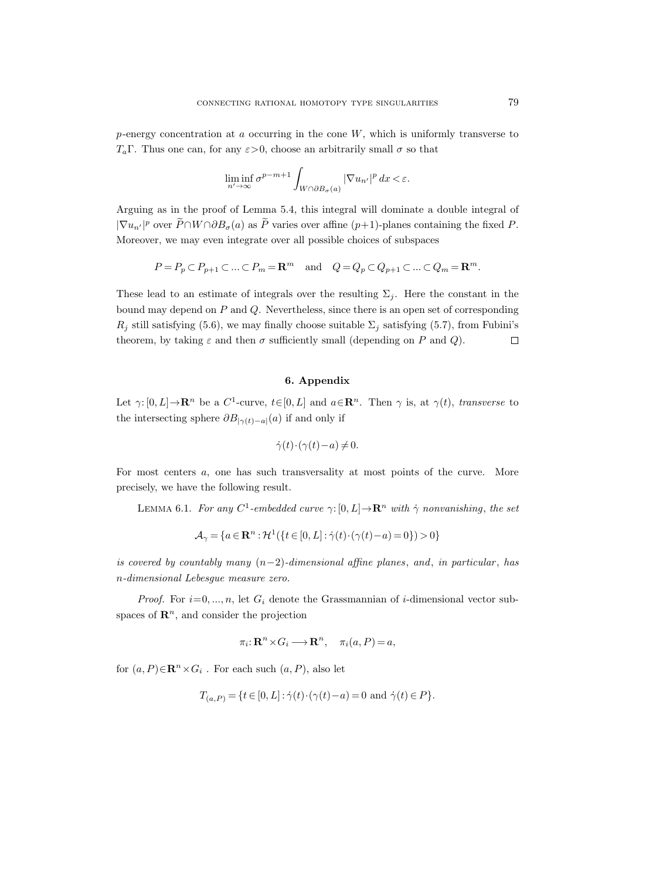$p$ -energy concentration at a occurring in the cone  $W$ , which is uniformly transverse to  $T_a\Gamma$ . Thus one can, for any  $\varepsilon > 0$ , choose an arbitrarily small  $\sigma$  so that

$$
\liminf_{n'\to\infty}\sigma^{p-m+1}\int_{W\cap\partial B_{\sigma}(a)}|\nabla u_{n'}|^p\,dx<\varepsilon.
$$

Arguing as in the proof of Lemma 5.4, this integral will dominate a double integral of  $|\nabla u_{n'}|^p$  over  $\widehat{P} \cap W \cap \partial B_\sigma(a)$  as  $\widehat{P}$  varies over affine  $(p+1)$ -planes containing the fixed  $P$ . Moreover, we may even integrate over all possible choices of subspaces

$$
P = P_p \subset P_{p+1} \subset \dots \subset P_m = \mathbf{R}^m \quad \text{and} \quad Q = Q_p \subset Q_{p+1} \subset \dots \subset Q_m = \mathbf{R}^m.
$$

These lead to an estimate of integrals over the resulting  $\Sigma_i$ . Here the constant in the bound may depend on  $P$  and  $Q$ . Nevertheless, since there is an open set of corresponding  $R_j$  still satisfying (5.6), we may finally choose suitable  $\Sigma_j$  satisfying (5.7), from Fubini's theorem, by taking  $\varepsilon$  and then  $\sigma$  sufficiently small (depending on P and Q).  $\Box$ 

# 6. Appendix

Let  $\gamma: [0, L] \to \mathbf{R}^n$  be a  $C^1$ -curve,  $t \in [0, L]$  and  $a \in \mathbf{R}^n$ . Then  $\gamma$  is, at  $\gamma(t)$ , transverse to the intersecting sphere  $\partial B_{|\gamma(t)-a|}(a)$  if and only if

$$
\dot{\gamma}(t) \cdot (\gamma(t) - a) \neq 0.
$$

For most centers a, one has such transversality at most points of the curve. More precisely, we have the following result.

LEMMA 6.1. For any  $C^1$ -embedded curve  $\gamma: [0, L] \to \mathbb{R}^n$  with  $\dot{\gamma}$  nonvanishing, the set

$$
\mathcal{A}_{\gamma} = \{a \in \mathbf{R}^n : \mathcal{H}^1(\{t \in [0, L] : \dot{\gamma}(t) \cdot (\gamma(t) - a) = 0\}) > 0\}
$$

is covered by countably many  $(n-2)$ -dimensional affine planes, and, in particular, has n-dimensional Lebesgue measure zero.

*Proof.* For  $i=0, ..., n$ , let  $G_i$  denote the Grassmannian of *i*-dimensional vector subspaces of  $\mathbb{R}^n$ , and consider the projection

$$
\pi_i: \mathbf{R}^n \times G_i \longrightarrow \mathbf{R}^n, \quad \pi_i(a, P) = a,
$$

for  $(a, P) \in \mathbb{R}^n \times G_i$ . For each such  $(a, P)$ , also let

$$
T_{(a,P)} = \{ t \in [0,L] : \dot{\gamma}(t) \cdot (\gamma(t) - a) = 0 \text{ and } \dot{\gamma}(t) \in P \}.
$$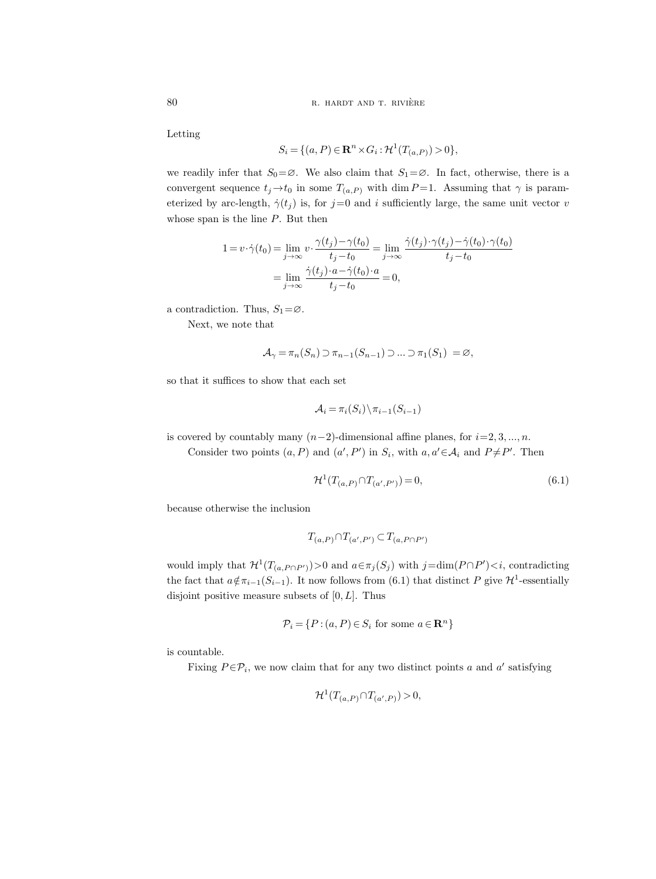Letting

$$
S_i = \{ (a, P) \in \mathbf{R}^n \times G_i : \mathcal{H}^1(T_{(a, P)}) > 0 \},
$$

we readily infer that  $S_0 = \emptyset$ . We also claim that  $S_1 = \emptyset$ . In fact, otherwise, there is a convergent sequence  $t_j \rightarrow t_0$  in some  $T_{(a,P)}$  with dim P = 1. Assuming that  $\gamma$  is parameterized by arc-length,  $\dot{\gamma}(t_j)$  is, for  $j=0$  and i sufficiently large, the same unit vector v whose span is the line  $P$ . But then

$$
1 = v \cdot \dot{\gamma}(t_0) = \lim_{j \to \infty} v \cdot \frac{\gamma(t_j) - \gamma(t_0)}{t_j - t_0} = \lim_{j \to \infty} \frac{\dot{\gamma}(t_j) \cdot \gamma(t_j) - \dot{\gamma}(t_0) \cdot \gamma(t_0)}{t_j - t_0}
$$

$$
= \lim_{j \to \infty} \frac{\dot{\gamma}(t_j) \cdot a - \dot{\gamma}(t_0) \cdot a}{t_j - t_0} = 0,
$$

a contradiction. Thus,  $S_1 = \emptyset$ .

Next, we note that

$$
\mathcal{A}_{\gamma} = \pi_n(S_n) \supset \pi_{n-1}(S_{n-1}) \supset \dots \supset \pi_1(S_1) = \varnothing,
$$

so that it suffices to show that each set

$$
\mathcal{A}_i = \pi_i(S_i) \backslash \pi_{i-1}(S_{i-1})
$$

is covered by countably many  $(n-2)$ -dimensional affine planes, for  $i=2, 3, ..., n$ .

Consider two points  $(a, P)$  and  $(a', P')$  in  $S_i$ , with  $a, a' \in A_i$  and  $P \neq P'$ . Then

$$
\mathcal{H}^1(T_{(a,P)} \cap T_{(a',P')}) = 0,\tag{6.1}
$$

because otherwise the inclusion

$$
T_{(a,P)} \cap T_{(a',P')} \subset T_{(a,P \cap P')}
$$

would imply that  $\mathcal{H}^1(T_{(a,P \cap P')})>0$  and  $a \in \pi_j(S_j)$  with  $j=\dim(P \cap P'), contradicting$ the fact that  $a \notin \pi_{i-1}(S_{i-1})$ . It now follows from (6.1) that distinct P give  $\mathcal{H}^1$ -essentially disjoint positive measure subsets of  $[0, L]$ . Thus

$$
\mathcal{P}_i = \{ P : (a, P) \in S_i \text{ for some } a \in \mathbf{R}^n \}
$$

is countable.

Fixing  $P \in \mathcal{P}_i$ , we now claim that for any two distinct points a and a' satisfying

$$
\mathcal{H}^1(T_{(a,P)} \cap T_{(a',P)}) > 0,
$$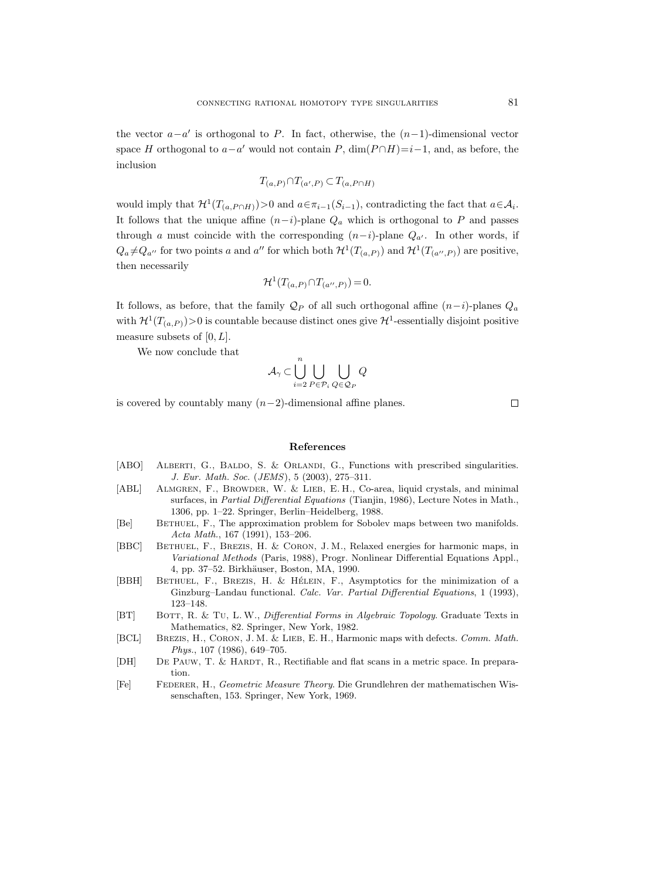the vector  $a-a'$  is orthogonal to P. In fact, otherwise, the  $(n-1)$ -dimensional vector space H orthogonal to  $a-a'$  would not contain P,  $\dim(P \cap H) = i-1$ , and, as before, the inclusion

$$
T_{(a,P)} \cap T_{(a',P)} \subset T_{(a,P \cap H)}
$$

would imply that  $\mathcal{H}^1(T_{(a,P\cap H)})>0$  and  $a \in \pi_{i-1}(S_{i-1})$ , contradicting the fact that  $a \in \mathcal{A}_i$ . It follows that the unique affine  $(n-i)$ -plane  $Q_a$  which is orthogonal to P and passes through a must coincide with the corresponding  $(n-i)$ -plane  $Q_{a'}$ . In other words, if  $Q_a \neq Q_{a''}$  for two points a and a'' for which both  $\mathcal{H}^1(T_{(a,P)})$  and  $\mathcal{H}^1(T_{(a'',P)})$  are positive, then necessarily

$$
\mathcal{H}^1(T_{(a,P)} \cap T_{(a'',P)}) = 0.
$$

It follows, as before, that the family  $\mathcal{Q}_P$  of all such orthogonal affine  $(n-i)$ -planes  $Q_a$ with  $\mathcal{H}^1(T_{(a,P)})>0$  is countable because distinct ones give  $\mathcal{H}^1$ -essentially disjoint positive measure subsets of  $[0, L]$ .

We now conclude that

$$
\mathcal{A}_\gamma \subset \bigcup_{i=2}^n \bigcup_{P \in \mathcal{P}_i} \bigcup_{Q \in \mathcal{Q}_P} Q
$$

is covered by countably many  $(n-2)$ -dimensional affine planes.

 $\Box$ 

#### References

- [ABO] ALBERTI, G., BALDO, S. & ORLANDI, G., Functions with prescribed singularities. J. Eur. Math. Soc. (JEMS), 5 (2003), 275–311.
- [ABL] ALMGREN, F., BROWDER, W. & LIEB, E. H., Co-area, liquid crystals, and minimal surfaces, in Partial Differential Equations (Tianjin, 1986), Lecture Notes in Math., 1306, pp. 1–22. Springer, Berlin–Heidelberg, 1988.
- [Be] Bethuel, F., The approximation problem for Sobolev maps between two manifolds. Acta Math., 167 (1991), 153–206.
- [BBC] Bethuel, F., Brezis, H. & Coron, J. M., Relaxed energies for harmonic maps, in Variational Methods (Paris, 1988), Progr. Nonlinear Differential Equations Appl., 4, pp. 37–52. Birkhäuser, Boston, MA, 1990.
- [BBH] BETHUEL, F., BREZIS, H. & HÉLEIN, F., Asymptotics for the minimization of a Ginzburg–Landau functional. Calc. Var. Partial Differential Equations, 1 (1993), 123–148.
- [BT] BOTT, R. & TU, L. W., *Differential Forms in Algebraic Topology*. Graduate Texts in Mathematics, 82. Springer, New York, 1982.
- [BCL] BREZIS, H., CORON, J. M. & LIEB, E. H., Harmonic maps with defects. Comm. Math. Phys., 107 (1986), 649–705.
- [DH] DE PAUW, T. & HARDT, R., Rectifiable and flat scans in a metric space. In preparation.
- [Fe] Federer, H., Geometric Measure Theory. Die Grundlehren der mathematischen Wissenschaften, 153. Springer, New York, 1969.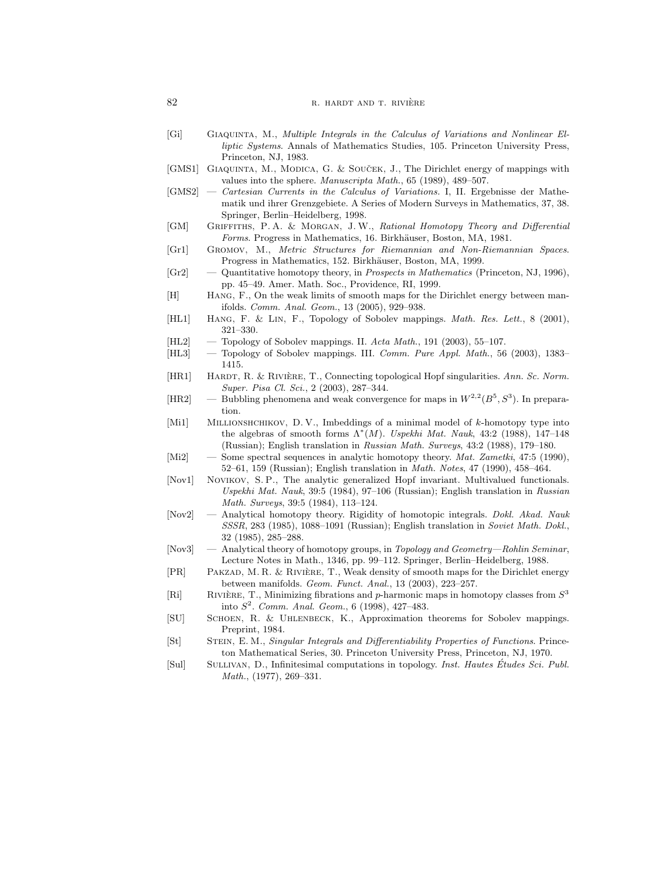- [Gi] GIAQUINTA, M., Multiple Integrals in the Calculus of Variations and Nonlinear Elliptic Systems. Annals of Mathematics Studies, 105. Princeton University Press, Princeton, NJ, 1983.
- [GMS1] GIAQUINTA, M., MODICA, G. & SOUCEK, J., The Dirichlet energy of mappings with values into the sphere. Manuscripta Math., 65 (1989), 489–507.
- [GMS2] Cartesian Currents in the Calculus of Variations. I, II. Ergebnisse der Mathematik und ihrer Grenzgebiete. A Series of Modern Surveys in Mathematics, 37, 38. Springer, Berlin–Heidelberg, 1998.
- [GM] Griffiths, P. A. & Morgan, J. W., Rational Homotopy Theory and Differential Forms. Progress in Mathematics, 16. Birkhäuser, Boston, MA, 1981.
- [Gr1] Gromov, M., Metric Structures for Riemannian and Non-Riemannian Spaces. Progress in Mathematics, 152. Birkhäuser, Boston, MA, 1999.
- $[Gr2]$  Quantitative homotopy theory, in *Prospects in Mathematics* (Princeton, NJ, 1996), pp. 45–49. Amer. Math. Soc., Providence, RI, 1999.
- [H] Hang, F., On the weak limits of smooth maps for the Dirichlet energy between manifolds. Comm. Anal. Geom., 13 (2005), 929–938.
- [HL1] Hang, F. & Lin, F., Topology of Sobolev mappings. Math. Res. Lett., 8 (2001), 321–330.
- [HL2] Topology of Sobolev mappings. II. Acta Math., 191 (2003), 55–107.
- [HL3] Topology of Sobolev mappings. III. Comm. Pure Appl. Math., 56 (2003), 1383– 1415.
- [HR1] HARDT, R. & RIVIÈRE, T., Connecting topological Hopf singularities. Ann. Sc. Norm. Super. Pisa Cl. Sci., 2 (2003), 287–344.
- [HR2] Bubbling phenomena and weak convergence for maps in  $W^{2,2}(B^5, S^3)$ . In preparation.
- [Mi1] MILLIONSHCHIKOV, D. V., Imbeddings of a minimal model of k-homotopy type into the algebras of smooth forms  $\Lambda^*(M)$ . Uspekhi Mat. Nauk, 43:2 (1988), 147-148 (Russian); English translation in Russian Math. Surveys, 43:2 (1988), 179–180.
- [Mi2] Some spectral sequences in analytic homotopy theory. Mat. Zametki, 47:5 (1990), 52–61, 159 (Russian); English translation in Math. Notes, 47 (1990), 458–464.
- [Nov1] NOVIKOV, S.P., The analytic generalized Hopf invariant. Multivalued functionals. Uspekhi Mat. Nauk, 39:5 (1984), 97–106 (Russian); English translation in Russian Math. Surveys, 39:5 (1984), 113–124.
- [Nov2] Analytical homotopy theory. Rigidity of homotopic integrals. Dokl. Akad. Nauk SSSR, 283 (1985), 1088–1091 (Russian); English translation in Soviet Math. Dokl., 32 (1985), 285–288.
- [Nov3] Analytical theory of homotopy groups, in Topology and Geometry—Rohlin Seminar, Lecture Notes in Math., 1346, pp. 99–112. Springer, Berlin–Heidelberg, 1988.
- [PR] PAKZAD, M. R. & RIVIÈRE, T., Weak density of smooth maps for the Dirichlet energy between manifolds. Geom. Funct. Anal., 13 (2003), 223–257.
- [Ri] RIVIÈRE, T., Minimizing fibrations and p-harmonic maps in homotopy classes from  $S^3$ into  $S^2$ . Comm. Anal. Geom., 6 (1998), 427-483.
- [SU] Schoen, R. & Uhlenbeck, K., Approximation theorems for Sobolev mappings. Preprint, 1984.
- [St] Stein, E. M., Singular Integrals and Differentiability Properties of Functions. Princeton Mathematical Series, 30. Princeton University Press, Princeton, NJ, 1970.
- [Sul] SULLIVAN, D., Infinitesimal computations in topology. Inst. Hautes Études Sci. Publ. Math., (1977), 269–331.